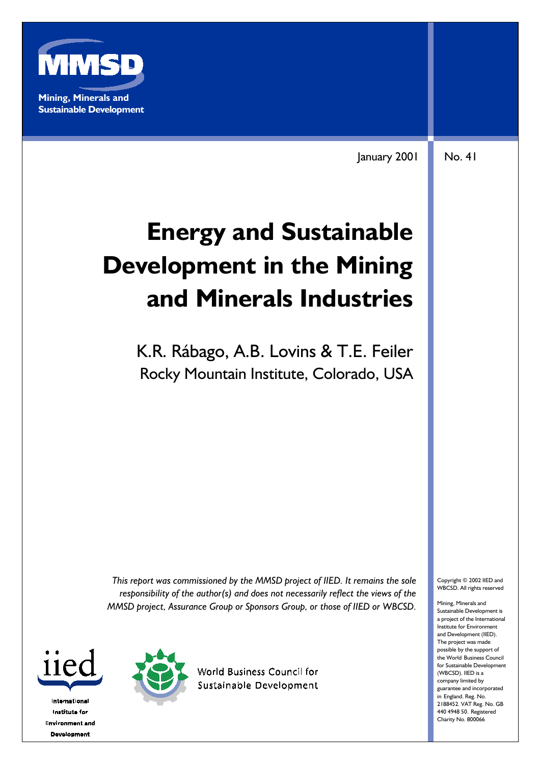

 $|$ anuary 2001  $|$  No. 41

# **Energy and Sustainable Development in the Mining and Minerals Industries**

K.R. Rábago, A.B. Lovins & T.E. Feiler Rocky Mountain Institute, Colorado, USA

*This report was commissioned by the MMSD project of IIED. It remains the sole responsibility of the author(s) and does not necessarily reflect the views of the MMSD project, Assurance Group or Sponsors Group, or those of IIED or WBCSD.*





**World Business Council for** Sustainable Development Copyright © 2002 IIED and WBCSD. All rights reserved

Mining, Minerals and Sustainable Development is a project of the International Institute for Environment and Development (IIED). The project was made possible by the support of the World Business Council for Sustainable Development (WBCSD). IIED is a company limited by guarantee and incorporated in England. Reg. No. 2188452. VAT Reg. No. GB 440 4948 50. Registered Charity No. 800066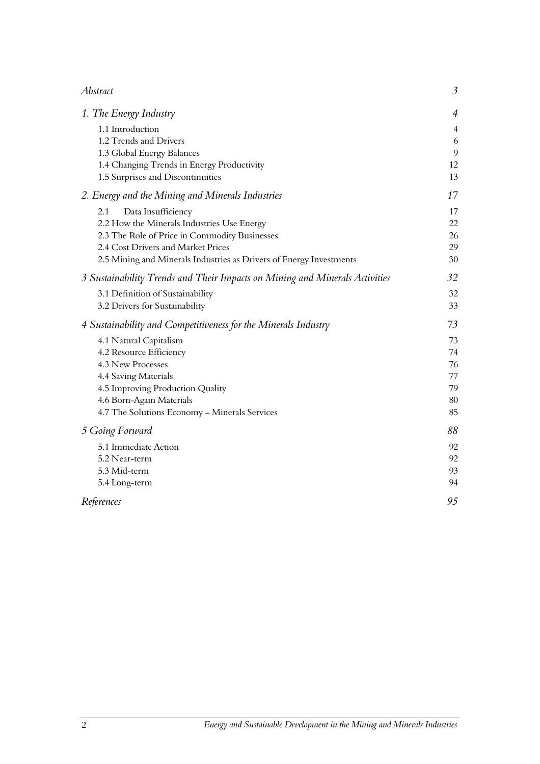| Abstract                                                                    | $\mathfrak{Z}$ |
|-----------------------------------------------------------------------------|----------------|
| 1. The Energy Industry                                                      | 4              |
| 1.1 Introduction                                                            | $\overline{4}$ |
| 1.2 Trends and Drivers                                                      | 6              |
| 1.3 Global Energy Balances                                                  | 9              |
| 1.4 Changing Trends in Energy Productivity                                  | 12             |
| 1.5 Surprises and Discontinuities                                           | 13             |
| 2. Energy and the Mining and Minerals Industries                            | 17             |
| 2.1<br>Data Insufficiency                                                   | 17             |
| 2.2 How the Minerals Industries Use Energy                                  | 22             |
| 2.3 The Role of Price in Commodity Businesses                               | 26             |
| 2.4 Cost Drivers and Market Prices                                          | 29             |
| 2.5 Mining and Minerals Industries as Drivers of Energy Investments         | 30             |
| 3 Sustainability Trends and Their Impacts on Mining and Minerals Activities | 32             |
| 3.1 Definition of Sustainability                                            | 32             |
| 3.2 Drivers for Sustainability                                              | 33             |
| 4 Sustainability and Competitiveness for the Minerals Industry              | 73             |
| 4.1 Natural Capitalism                                                      | 73             |
| 4.2 Resource Efficiency                                                     | 74             |
| 4.3 New Processes                                                           | 76             |
| 4.4 Saving Materials                                                        | 77             |
| 4.5 Improving Production Quality                                            | 79             |
| 4.6 Born-Again Materials                                                    | 80             |
| 4.7 The Solutions Economy - Minerals Services                               | 85             |
| 5 Going Forward                                                             | 88             |
| 5.1 Immediate Action                                                        | 92             |
| 5.2 Near-term                                                               | 92             |
| 5.3 Mid-term                                                                | 93             |
| 5.4 Long-term                                                               | 94             |
| References                                                                  | 95             |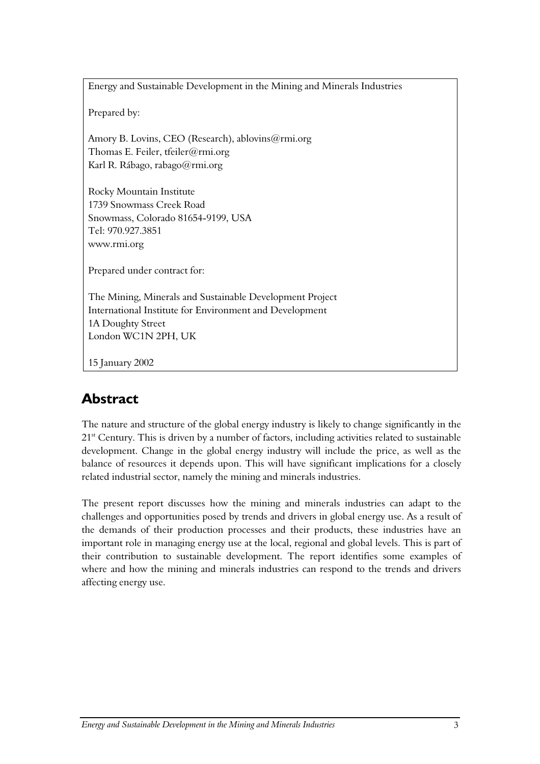Energy and Sustainable Development in the Mining and Minerals Industries

Prepared by:

Amory B. Lovins, CEO (Research), ablovins@rmi.org Thomas E. Feiler, tfeiler@rmi.org Karl R. Rábago, rabago@rmi.org

Rocky Mountain Institute 1739 Snowmass Creek Road Snowmass, Colorado 81654-9199, USA Tel: 970.927.3851 www.rmi.org

Prepared under contract for:

The Mining, Minerals and Sustainable Development Project International Institute for Environment and Development 1A Doughty Street London WC1N 2PH, UK

15 January 2002

# <span id="page-2-0"></span>**Abstract**

The nature and structure of the global energy industry is likely to change significantly in the 21<sup>st</sup> Century. This is driven by a number of factors, including activities related to sustainable development. Change in the global energy industry will include the price, as well as the balance of resources it depends upon. This will have significant implications for a closely related industrial sector, namely the mining and minerals industries.

The present report discusses how the mining and minerals industries can adapt to the challenges and opportunities posed by trends and drivers in global energy use. As a result of the demands of their production processes and their products, these industries have an important role in managing energy use at the local, regional and global levels. This is part of their contribution to sustainable development. The report identifies some examples of where and how the mining and minerals industries can respond to the trends and drivers affecting energy use.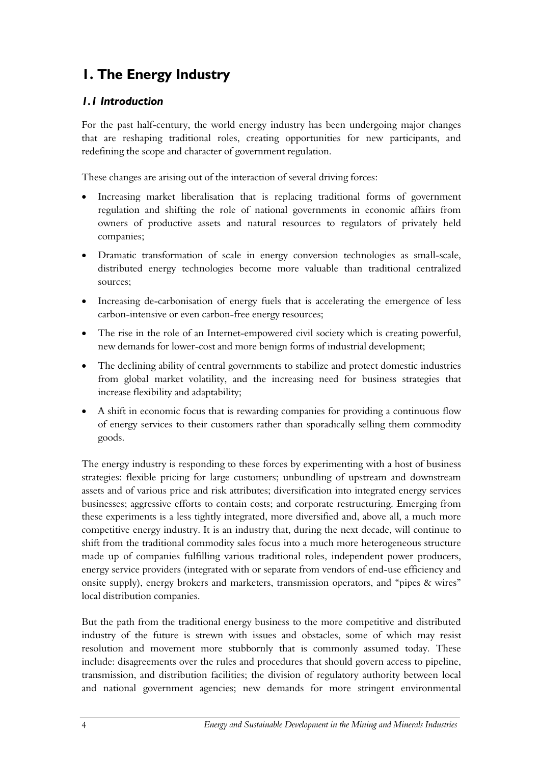# <span id="page-3-0"></span>**1. The Energy Industry**

# <span id="page-3-1"></span>*1.1 Introduction*

For the past half-century, the world energy industry has been undergoing major changes that are reshaping traditional roles, creating opportunities for new participants, and redefining the scope and character of government regulation.

These changes are arising out of the interaction of several driving forces:

- Increasing market liberalisation that is replacing traditional forms of government regulation and shifting the role of national governments in economic affairs from owners of productive assets and natural resources to regulators of privately held companies;
- Dramatic transformation of scale in energy conversion technologies as small-scale, distributed energy technologies become more valuable than traditional centralized sources;
- Increasing de-carbonisation of energy fuels that is accelerating the emergence of less carbon-intensive or even carbon-free energy resources;
- The rise in the role of an Internet-empowered civil society which is creating powerful, new demands for lower-cost and more benign forms of industrial development;
- The declining ability of central governments to stabilize and protect domestic industries from global market volatility, and the increasing need for business strategies that increase flexibility and adaptability;
- A shift in economic focus that is rewarding companies for providing a continuous flow of energy services to their customers rather than sporadically selling them commodity goods.

The energy industry is responding to these forces by experimenting with a host of business strategies: flexible pricing for large customers; unbundling of upstream and downstream assets and of various price and risk attributes; diversification into integrated energy services businesses; aggressive efforts to contain costs; and corporate restructuring. Emerging from these experiments is a less tightly integrated, more diversified and, above all, a much more competitive energy industry. It is an industry that, during the next decade, will continue to shift from the traditional commodity sales focus into a much more heterogeneous structure made up of companies fulfilling various traditional roles, independent power producers, energy service providers (integrated with or separate from vendors of end-use efficiency and onsite supply), energy brokers and marketers, transmission operators, and "pipes & wires" local distribution companies.

But the path from the traditional energy business to the more competitive and distributed industry of the future is strewn with issues and obstacles, some of which may resist resolution and movement more stubbornly that is commonly assumed today. These include: disagreements over the rules and procedures that should govern access to pipeline, transmission, and distribution facilities; the division of regulatory authority between local and national government agencies; new demands for more stringent environmental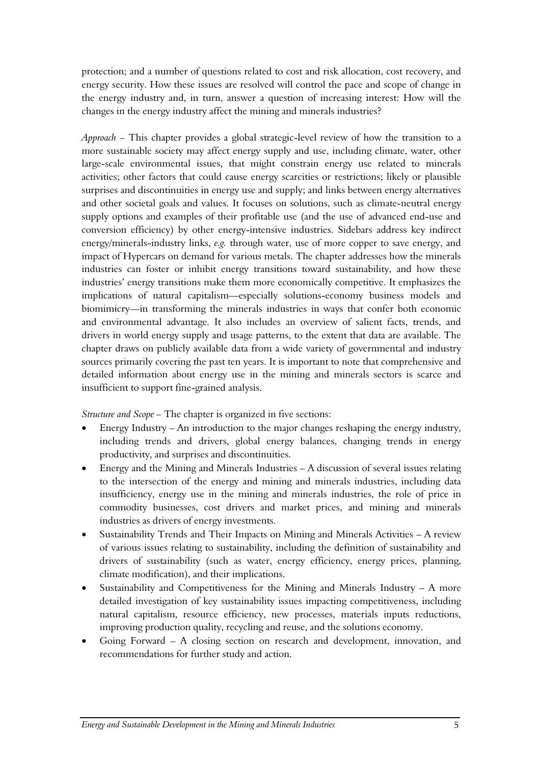protection; and a number of questions related to cost and risk allocation, cost recovery, and energy security. How these issues are resolved will control the pace and scope of change in the energy industry and, in turn, answer a question of increasing interest: How will the changes in the energy industry affect the mining and minerals industries?

*Approach –* This chapter provides a global strategic-level review of how the transition to a more sustainable society may affect energy supply and use, including climate, water, other large-scale environmental issues, that might constrain energy use related to minerals activities; other factors that could cause energy scarcities or restrictions; likely or plausible surprises and discontinuities in energy use and supply; and links between energy alternatives and other societal goals and values. It focuses on solutions, such as climate-neutral energy supply options and examples of their profitable use (and the use of advanced end-use and conversion efficiency) by other energy-intensive industries. Sidebars address key indirect energy/minerals-industry links, *e.g.* through water, use of more copper to save energy, and impact of Hypercars on demand for various metals. The chapter addresses how the minerals industries can foster or inhibit energy transitions toward sustainability, and how these industries' energy transitions make them more economically competitive. It emphasizes the implications of natural capitalism—especially solutions-economy business models and biomimicry—in transforming the minerals industries in ways that confer both economic and environmental advantage. It also includes an overview of salient facts, trends, and drivers in world energy supply and usage patterns, to the extent that data are available. The chapter draws on publicly available data from a wide variety of governmental and industry sources primarily covering the past ten years. It is important to note that comprehensive and detailed information about energy use in the mining and minerals sectors is scarce and insufficient to support fine-grained analysis.

*Structure and Scope –* The chapter is organized in five sections:

- Energy Industry An introduction to the major changes reshaping the energy industry, including trends and drivers, global energy balances, changing trends in energy productivity, and surprises and discontinuities.
- Energy and the Mining and Minerals Industries A discussion of several issues relating to the intersection of the energy and mining and minerals industries, including data insufficiency, energy use in the mining and minerals industries, the role of price in commodity businesses, cost drivers and market prices, and mining and minerals industries as drivers of energy investments.
- Sustainability Trends and Their Impacts on Mining and Minerals Activities A review of various issues relating to sustainability, including the definition of sustainability and drivers of sustainability (such as water, energy efficiency, energy prices, planning, climate modification), and their implications.
- Sustainability and Competitiveness for the Mining and Minerals Industry  $-$  A more detailed investigation of key sustainability issues impacting competitiveness, including natural capitalism, resource efficiency, new processes, materials inputs reductions, improving production quality, recycling and reuse, and the solutions economy.
- Going Forward A closing section on research and development, innovation, and recommendations for further study and action.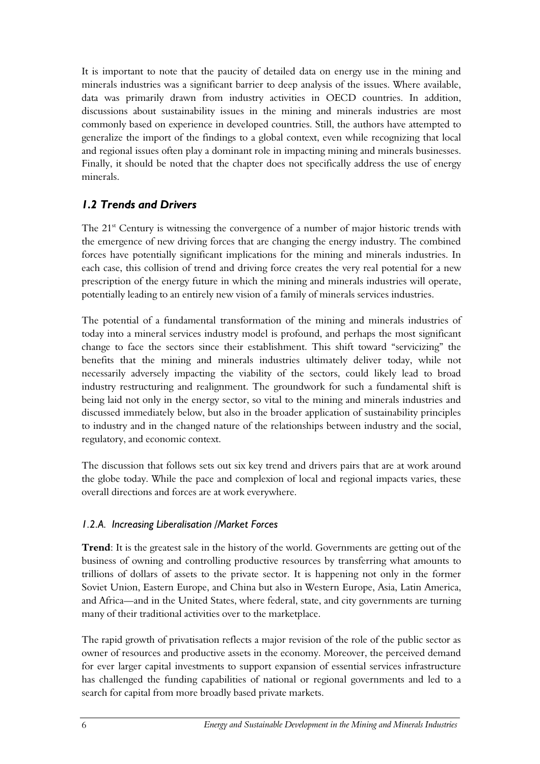It is important to note that the paucity of detailed data on energy use in the mining and minerals industries was a significant barrier to deep analysis of the issues. Where available, data was primarily drawn from industry activities in OECD countries. In addition, discussions about sustainability issues in the mining and minerals industries are most commonly based on experience in developed countries. Still, the authors have attempted to generalize the import of the findings to a global context, even while recognizing that local and regional issues often play a dominant role in impacting mining and minerals businesses. Finally, it should be noted that the chapter does not specifically address the use of energy minerals.

# <span id="page-5-0"></span>*1.2 Trends and Drivers*

The 21<sup>st</sup> Century is witnessing the convergence of a number of major historic trends with the emergence of new driving forces that are changing the energy industry. The combined forces have potentially significant implications for the mining and minerals industries. In each case, this collision of trend and driving force creates the very real potential for a new prescription of the energy future in which the mining and minerals industries will operate, potentially leading to an entirely new vision of a family of minerals services industries.

The potential of a fundamental transformation of the mining and minerals industries of today into a mineral services industry model is profound, and perhaps the most significant change to face the sectors since their establishment. This shift toward "servicizing" the benefits that the mining and minerals industries ultimately deliver today, while not necessarily adversely impacting the viability of the sectors, could likely lead to broad industry restructuring and realignment. The groundwork for such a fundamental shift is being laid not only in the energy sector, so vital to the mining and minerals industries and discussed immediately below, but also in the broader application of sustainability principles to industry and in the changed nature of the relationships between industry and the social, regulatory, and economic context.

The discussion that follows sets out six key trend and drivers pairs that are at work around the globe today. While the pace and complexion of local and regional impacts varies, these overall directions and forces are at work everywhere.

# *1.2.A. Increasing Liberalisation /Market Forces*

**Trend**: It is the greatest sale in the history of the world. Governments are getting out of the business of owning and controlling productive resources by transferring what amounts to trillions of dollars of assets to the private sector. It is happening not only in the former Soviet Union, Eastern Europe, and China but also in Western Europe, Asia, Latin America, and Africa—and in the United States, where federal, state, and city governments are turning many of their traditional activities over to the marketplace.

The rapid growth of privatisation reflects a major revision of the role of the public sector as owner of resources and productive assets in the economy. Moreover, the perceived demand for ever larger capital investments to support expansion of essential services infrastructure has challenged the funding capabilities of national or regional governments and led to a search for capital from more broadly based private markets.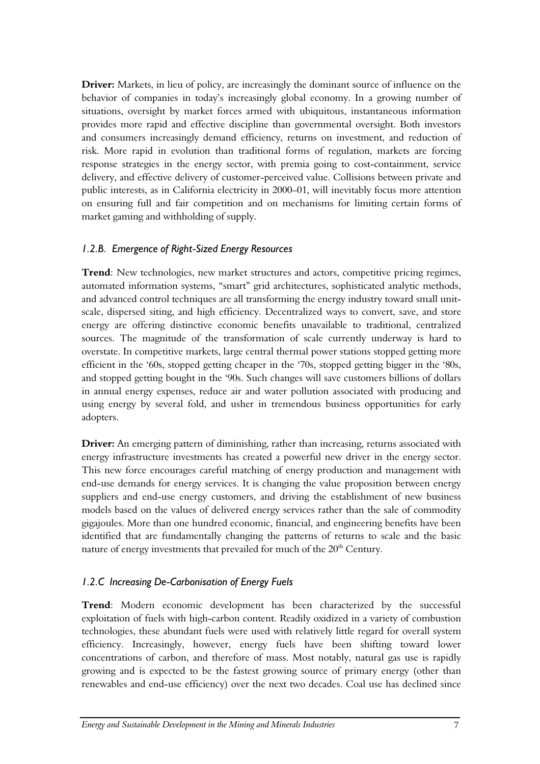**Driver:** Markets, in lieu of policy, are increasingly the dominant source of influence on the behavior of companies in today's increasingly global economy. In a growing number of situations, oversight by market forces armed with ubiquitous, instantaneous information provides more rapid and effective discipline than governmental oversight. Both investors and consumers increasingly demand efficiency, returns on investment, and reduction of risk. More rapid in evolution than traditional forms of regulation, markets are forcing response strategies in the energy sector, with premia going to cost-containment, service delivery, and effective delivery of customer-perceived value. Collisions between private and public interests, as in California electricity in 2000–01, will inevitably focus more attention on ensuring full and fair competition and on mechanisms for limiting certain forms of market gaming and withholding of supply.

## *1.2.B. Emergence of Right-Sized Energy Resources*

**Trend**: New technologies, new market structures and actors, competitive pricing regimes, automated information systems, "smart" grid architectures, sophisticated analytic methods, and advanced control techniques are all transforming the energy industry toward small unitscale, dispersed siting, and high efficiency. Decentralized ways to convert, save, and store energy are offering distinctive economic benefits unavailable to traditional, centralized sources. The magnitude of the transformation of scale currently underway is hard to overstate. In competitive markets, large central thermal power stations stopped getting more efficient in the '60s, stopped getting cheaper in the '70s, stopped getting bigger in the '80s, and stopped getting bought in the '90s. Such changes will save customers billions of dollars in annual energy expenses, reduce air and water pollution associated with producing and using energy by several fold, and usher in tremendous business opportunities for early adopters.

**Driver:** An emerging pattern of diminishing, rather than increasing, returns associated with energy infrastructure investments has created a powerful new driver in the energy sector. This new force encourages careful matching of energy production and management with end-use demands for energy services. It is changing the value proposition between energy suppliers and end-use energy customers, and driving the establishment of new business models based on the values of delivered energy services rather than the sale of commodity gigajoules. More than one hundred economic, financial, and engineering benefits have been identified that are fundamentally changing the patterns of returns to scale and the basic nature of energy investments that prevailed for much of the 20<sup>th</sup> Century.

# *1.2.C Increasing De-Carbonisation of Energy Fuels*

**Trend**: Modern economic development has been characterized by the successful exploitation of fuels with high-carbon content. Readily oxidized in a variety of combustion technologies, these abundant fuels were used with relatively little regard for overall system efficiency. Increasingly, however, energy fuels have been shifting toward lower concentrations of carbon, and therefore of mass. Most notably, natural gas use is rapidly growing and is expected to be the fastest growing source of primary energy (other than renewables and end-use efficiency) over the next two decades. Coal use has declined since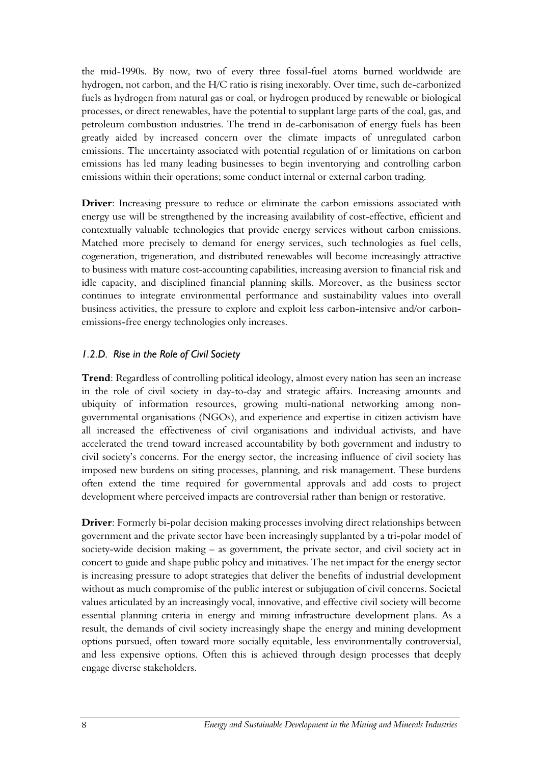the mid-1990s. By now, two of every three fossil-fuel atoms burned worldwide are hydrogen, not carbon, and the H/C ratio is rising inexorably. Over time, such de-carbonized fuels as hydrogen from natural gas or coal, or hydrogen produced by renewable or biological processes, or direct renewables, have the potential to supplant large parts of the coal, gas, and petroleum combustion industries. The trend in de-carbonisation of energy fuels has been greatly aided by increased concern over the climate impacts of unregulated carbon emissions. The uncertainty associated with potential regulation of or limitations on carbon emissions has led many leading businesses to begin inventorying and controlling carbon emissions within their operations; some conduct internal or external carbon trading.

**Driver**: Increasing pressure to reduce or eliminate the carbon emissions associated with energy use will be strengthened by the increasing availability of cost-effective, efficient and contextually valuable technologies that provide energy services without carbon emissions. Matched more precisely to demand for energy services, such technologies as fuel cells, cogeneration, trigeneration, and distributed renewables will become increasingly attractive to business with mature cost-accounting capabilities, increasing aversion to financial risk and idle capacity, and disciplined financial planning skills. Moreover, as the business sector continues to integrate environmental performance and sustainability values into overall business activities, the pressure to explore and exploit less carbon-intensive and/or carbonemissions-free energy technologies only increases.

#### *1.2.D. Rise in the Role of Civil Society*

**Trend**: Regardless of controlling political ideology, almost every nation has seen an increase in the role of civil society in day-to-day and strategic affairs. Increasing amounts and ubiquity of information resources, growing multi-national networking among nongovernmental organisations (NGOs), and experience and expertise in citizen activism have all increased the effectiveness of civil organisations and individual activists, and have accelerated the trend toward increased accountability by both government and industry to civil society's concerns. For the energy sector, the increasing influence of civil society has imposed new burdens on siting processes, planning, and risk management. These burdens often extend the time required for governmental approvals and add costs to project development where perceived impacts are controversial rather than benign or restorative.

**Driver**: Formerly bi-polar decision making processes involving direct relationships between government and the private sector have been increasingly supplanted by a tri-polar model of society-wide decision making – as government, the private sector, and civil society act in concert to guide and shape public policy and initiatives. The net impact for the energy sector is increasing pressure to adopt strategies that deliver the benefits of industrial development without as much compromise of the public interest or subjugation of civil concerns. Societal values articulated by an increasingly vocal, innovative, and effective civil society will become essential planning criteria in energy and mining infrastructure development plans. As a result, the demands of civil society increasingly shape the energy and mining development options pursued, often toward more socially equitable, less environmentally controversial, and less expensive options. Often this is achieved through design processes that deeply engage diverse stakeholders.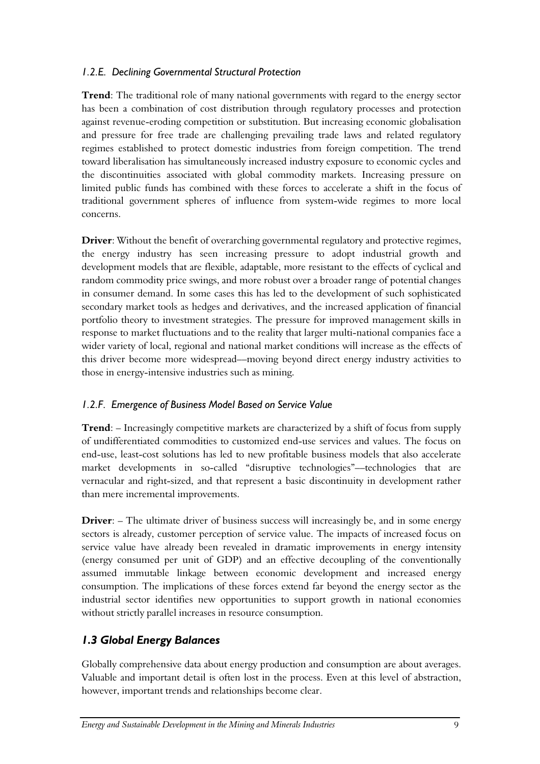## *1.2.E. Declining Governmental Structural Protection*

**Trend**: The traditional role of many national governments with regard to the energy sector has been a combination of cost distribution through regulatory processes and protection against revenue-eroding competition or substitution. But increasing economic globalisation and pressure for free trade are challenging prevailing trade laws and related regulatory regimes established to protect domestic industries from foreign competition. The trend toward liberalisation has simultaneously increased industry exposure to economic cycles and the discontinuities associated with global commodity markets. Increasing pressure on limited public funds has combined with these forces to accelerate a shift in the focus of traditional government spheres of influence from system-wide regimes to more local concerns.

**Driver**: Without the benefit of overarching governmental regulatory and protective regimes, the energy industry has seen increasing pressure to adopt industrial growth and development models that are flexible, adaptable, more resistant to the effects of cyclical and random commodity price swings, and more robust over a broader range of potential changes in consumer demand. In some cases this has led to the development of such sophisticated secondary market tools as hedges and derivatives, and the increased application of financial portfolio theory to investment strategies. The pressure for improved management skills in response to market fluctuations and to the reality that larger multi-national companies face a wider variety of local, regional and national market conditions will increase as the effects of this driver become more widespread––moving beyond direct energy industry activities to those in energy-intensive industries such as mining.

#### *1.2.F. Emergence of Business Model Based on Service Value*

**Trend**: – Increasingly competitive markets are characterized by a shift of focus from supply of undifferentiated commodities to customized end-use services and values. The focus on end-use, least-cost solutions has led to new profitable business models that also accelerate market developments in so-called "disruptive technologies"––technologies that are vernacular and right-sized, and that represent a basic discontinuity in development rather than mere incremental improvements.

**Driver**: – The ultimate driver of business success will increasingly be, and in some energy sectors is already, customer perception of service value. The impacts of increased focus on service value have already been revealed in dramatic improvements in energy intensity (energy consumed per unit of GDP) and an effective decoupling of the conventionally assumed immutable linkage between economic development and increased energy consumption. The implications of these forces extend far beyond the energy sector as the industrial sector identifies new opportunities to support growth in national economies without strictly parallel increases in resource consumption.

# <span id="page-8-0"></span>*1.3 Global Energy Balances*

Globally comprehensive data about energy production and consumption are about averages. Valuable and important detail is often lost in the process. Even at this level of abstraction, however, important trends and relationships become clear.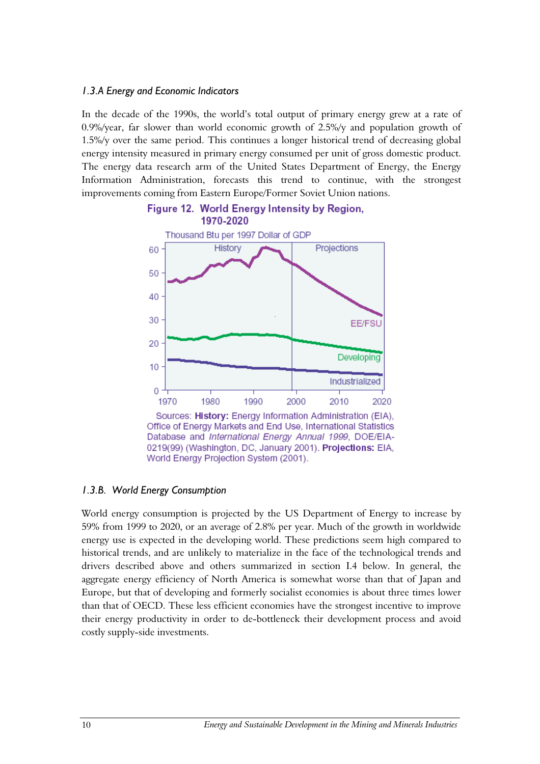#### *1.3.A Energy and Economic Indicators*

In the decade of the 1990s, the world's total output of primary energy grew at a rate of 0.9%/year, far slower than world economic growth of  $2.5\%$  and population growth of 1.5%/y over the same period. This continues a longer historical trend of decreasing global energy intensity measured in primary energy consumed per unit of gross domestic product. The energy data research arm of the United States Department of Energy, the Energy Information Administration, forecasts this trend to continue, with the strongest improvements coming from Eastern Europe/Former Soviet Union nations.



#### Figure 12. World Energy Intensity by Region, 1970-2020

Sources: History: Energy Information Administration (EIA), Office of Energy Markets and End Use, International Statistics Database and International Energy Annual 1999, DOE/EIA-0219(99) (Washington, DC, January 2001). Projections: EIA, World Energy Projection System (2001).

#### *1.3.B. World Energy Consumption*

World energy consumption is projected by the US Department of Energy to increase by 59% from 1999 to 2020, or an average of 2.8% per year. Much of the growth in worldwide energy use is expected in the developing world. These predictions seem high compared to historical trends, and are unlikely to materialize in the face of the technological trends and drivers described above and others summarized in section I.4 below. In general, the aggregate energy efficiency of North America is somewhat worse than that of Japan and Europe, but that of developing and formerly socialist economies is about three times lower than that of OECD. These less efficient economies have the strongest incentive to improve their energy productivity in order to de-bottleneck their development process and avoid costly supply-side investments.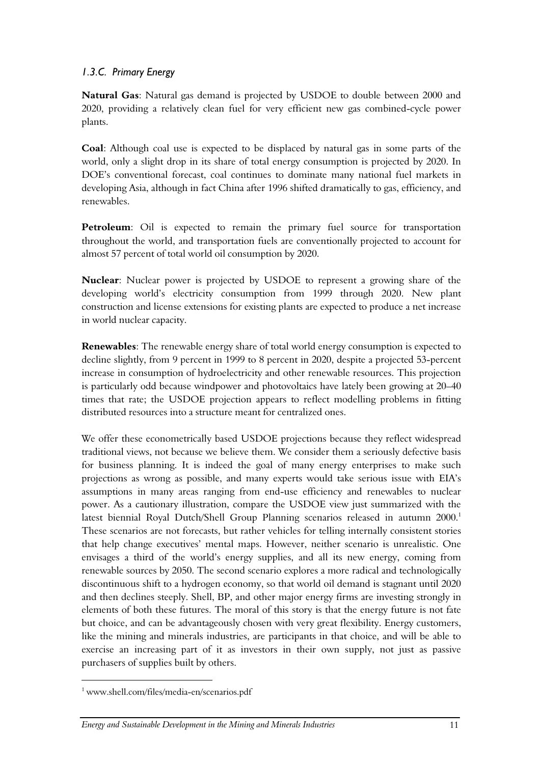## *1.3.C. Primary Energy*

**Natural Gas**: Natural gas demand is projected by USDOE to double between 2000 and 2020, providing a relatively clean fuel for very efficient new gas combined-cycle power plants.

**Coal**: Although coal use is expected to be displaced by natural gas in some parts of the world, only a slight drop in its share of total energy consumption is projected by 2020. In DOE's conventional forecast, coal continues to dominate many national fuel markets in developing Asia, although in fact China after 1996 shifted dramatically to gas, efficiency, and renewables.

Petroleum: Oil is expected to remain the primary fuel source for transportation throughout the world, and transportation fuels are conventionally projected to account for almost 57 percent of total world oil consumption by 2020.

**Nuclear**: Nuclear power is projected by USDOE to represent a growing share of the developing world's electricity consumption from 1999 through 2020. New plant construction and license extensions for existing plants are expected to produce a net increase in world nuclear capacity.

**Renewables**: The renewable energy share of total world energy consumption is expected to decline slightly, from 9 percent in 1999 to 8 percent in 2020, despite a projected 53-percent increase in consumption of hydroelectricity and other renewable resources. This projection is particularly odd because windpower and photovoltaics have lately been growing at 20–40 times that rate; the USDOE projection appears to reflect modelling problems in fitting distributed resources into a structure meant for centralized ones.

We offer these econometrically based USDOE projections because they reflect widespread traditional views, not because we believe them. We consider them a seriously defective basis for business planning. It is indeed the goal of many energy enterprises to make such projections as wrong as possible, and many experts would take serious issue with EIA's assumptions in many areas ranging from end-use efficiency and renewables to nuclear power. As a cautionary illustration, compare the USDOE view just summarized with the latest biennial Royal Dutch/Shell Group Planning scenarios released in autumn 2000.<sup>1</sup> These scenarios are not forecasts, but rather vehicles for telling internally consistent stories that help change executives' mental maps. However, neither scenario is unrealistic. One envisages a third of the world's energy supplies, and all its new energy, coming from renewable sources by 2050. The second scenario explores a more radical and technologically discontinuous shift to a hydrogen economy, so that world oil demand is stagnant until 2020 and then declines steeply. Shell, BP, and other major energy firms are investing strongly in elements of both these futures. The moral of this story is that the energy future is not fate but choice, and can be advantageously chosen with very great flexibility. Energy customers, like the mining and minerals industries, are participants in that choice, and will be able to exercise an increasing part of it as investors in their own supply, not just as passive purchasers of supplies built by others.

 $\overline{a}$ 

<sup>1</sup> www.shell.com/files/media-en/scenarios.pdf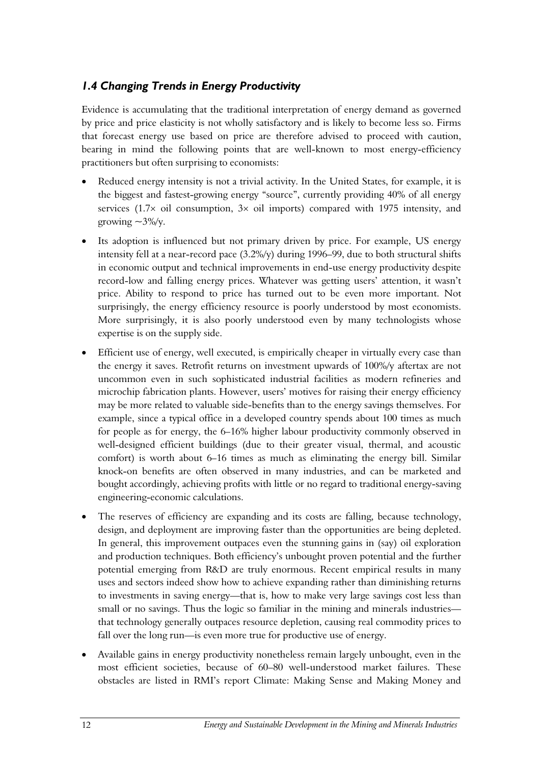# <span id="page-11-0"></span>*1.4 Changing Trends in Energy Productivity*

Evidence is accumulating that the traditional interpretation of energy demand as governed by price and price elasticity is not wholly satisfactory and is likely to become less so. Firms that forecast energy use based on price are therefore advised to proceed with caution, bearing in mind the following points that are well-known to most energy-efficiency practitioners but often surprising to economists:

- Reduced energy intensity is not a trivial activity. In the United States, for example, it is the biggest and fastest-growing energy "source", currently providing 40% of all energy services (1.7 $\times$  oil consumption, 3 $\times$  oil imports) compared with 1975 intensity, and growing  $\sim$ 3%/y.
- Its adoption is influenced but not primary driven by price. For example, US energy intensity fell at a near-record pace (3.2%/y) during 1996–99, due to both structural shifts in economic output and technical improvements in end-use energy productivity despite record-low and falling energy prices. Whatever was getting users' attention, it wasn't price. Ability to respond to price has turned out to be even more important. Not surprisingly, the energy efficiency resource is poorly understood by most economists. More surprisingly, it is also poorly understood even by many technologists whose expertise is on the supply side.
- Efficient use of energy, well executed, is empirically cheaper in virtually every case than the energy it saves. Retrofit returns on investment upwards of 100%/y aftertax are not uncommon even in such sophisticated industrial facilities as modern refineries and microchip fabrication plants. However, users' motives for raising their energy efficiency may be more related to valuable side-benefits than to the energy savings themselves. For example, since a typical office in a developed country spends about 100 times as much for people as for energy, the 6–16% higher labour productivity commonly observed in well-designed efficient buildings (due to their greater visual, thermal, and acoustic comfort) is worth about 6–16 times as much as eliminating the energy bill. Similar knock-on benefits are often observed in many industries, and can be marketed and bought accordingly, achieving profits with little or no regard to traditional energy-saving engineering-economic calculations.
- The reserves of efficiency are expanding and its costs are falling, because technology, design, and deployment are improving faster than the opportunities are being depleted. In general, this improvement outpaces even the stunning gains in (say) oil exploration and production techniques. Both efficiency's unbought proven potential and the further potential emerging from R&D are truly enormous. Recent empirical results in many uses and sectors indeed show how to achieve expanding rather than diminishing returns to investments in saving energy—that is, how to make very large savings cost less than small or no savings. Thus the logic so familiar in the mining and minerals industries that technology generally outpaces resource depletion, causing real commodity prices to fall over the long run—is even more true for productive use of energy.
- Available gains in energy productivity nonetheless remain largely unbought, even in the most efficient societies, because of 60–80 well-understood market failures. These obstacles are listed in RMI's report Climate: Making Sense and Making Money and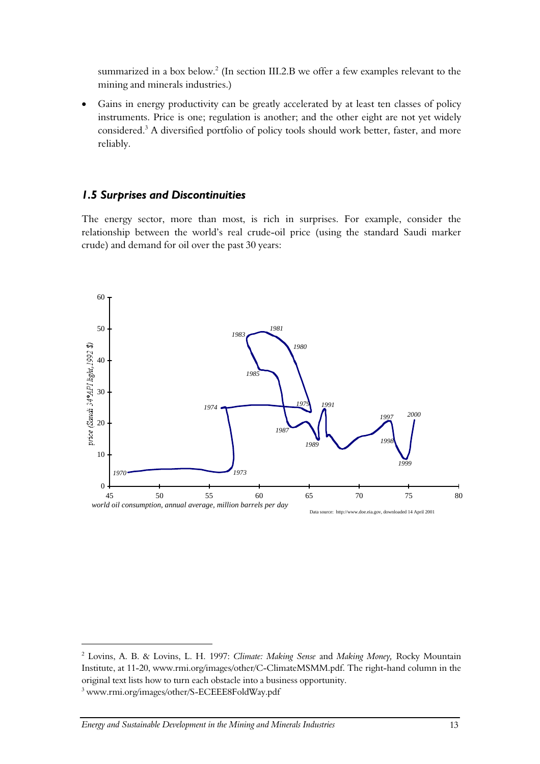summarized in a box below.<sup>2</sup> (In section III.2.B we offer a few examples relevant to the mining and minerals industries.)

• Gains in energy productivity can be greatly accelerated by at least ten classes of policy instruments. Price is one; regulation is another; and the other eight are not yet widely considered.<sup>3</sup> A diversified portfolio of policy tools should work better, faster, and more reliably.

## <span id="page-12-0"></span>*1.5 Surprises and Discontinuities*

The energy sector, more than most, is rich in surprises. For example, consider the relationship between the world's real crude-oil price (using the standard Saudi marker crude) and demand for oil over the past 30 years:



 $\overline{a}$ 

<sup>2</sup> Lovins, A. B. & Lovins, L. H. 1997: *Climate: Making Sense* and *Making Money,* Rocky Mountain Institute, at 11-20, www.rmi.org/images/other/C-ClimateMSMM.pdf. The right-hand column in the original text lists how to turn each obstacle into a business opportunity. 3

www.rmi.org/images/other/S-ECEEE8FoldWay.pdf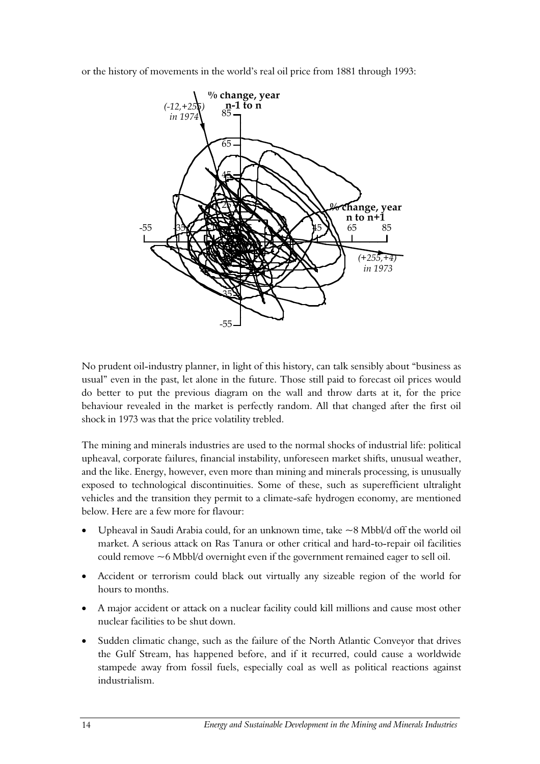or the history of movements in the world's real oil price from 1881 through 1993:



No prudent oil-industry planner, in light of this history, can talk sensibly about "business as usual" even in the past, let alone in the future. Those still paid to forecast oil prices would do better to put the previous diagram on the wall and throw darts at it, for the price behaviour revealed in the market is perfectly random. All that changed after the first oil shock in 1973 was that the price volatility trebled.

The mining and minerals industries are used to the normal shocks of industrial life: political upheaval, corporate failures, financial instability, unforeseen market shifts, unusual weather, and the like. Energy, however, even more than mining and minerals processing, is unusually exposed to technological discontinuities. Some of these, such as superefficient ultralight vehicles and the transition they permit to a climate-safe hydrogen economy, are mentioned below. Here are a few more for flavour:

- Upheaval in Saudi Arabia could, for an unknown time, take  $\sim$ 8 Mbbl/d off the world oil market. A serious attack on Ras Tanura or other critical and hard-to-repair oil facilities could remove  $\sim$  6 Mbbl/d overnight even if the government remained eager to sell oil.
- Accident or terrorism could black out virtually any sizeable region of the world for hours to months.
- A major accident or attack on a nuclear facility could kill millions and cause most other nuclear facilities to be shut down.
- Sudden climatic change, such as the failure of the North Atlantic Conveyor that drives the Gulf Stream, has happened before, and if it recurred, could cause a worldwide stampede away from fossil fuels, especially coal as well as political reactions against industrialism.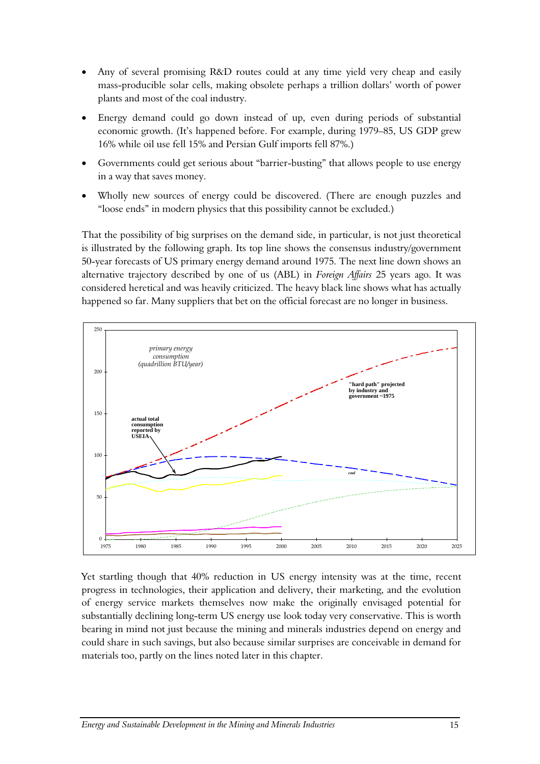- Any of several promising R&D routes could at any time yield very cheap and easily mass-producible solar cells, making obsolete perhaps a trillion dollars' worth of power plants and most of the coal industry.
- Energy demand could go down instead of up, even during periods of substantial economic growth. (It's happened before. For example, during 1979–85, US GDP grew 16% while oil use fell 15% and Persian Gulf imports fell 87%.)
- Governments could get serious about "barrier-busting" that allows people to use energy in a way that saves money.
- Wholly new sources of energy could be discovered. (There are enough puzzles and "loose ends" in modern physics that this possibility cannot be excluded.)

That the possibility of big surprises on the demand side, in particular, is not just theoretical is illustrated by the following graph. Its top line shows the consensus industry/government 50-year forecasts of US primary energy demand around 1975. The next line down shows an alternative trajectory described by one of us (ABL) in *Foreign Affairs* 25 years ago. It was considered heretical and was heavily criticized. The heavy black line shows what has actually happened so far. Many suppliers that bet on the official forecast are no longer in business.



Yet startling though that 40% reduction in US energy intensity was at the time, recent progress in technologies, their application and delivery, their marketing, and the evolution of energy service markets themselves now make the originally envisaged potential for substantially declining long-term US energy use look today very conservative. This is worth bearing in mind not just because the mining and minerals industries depend on energy and could share in such savings, but also because similar surprises are conceivable in demand for materials too, partly on the lines noted later in this chapter.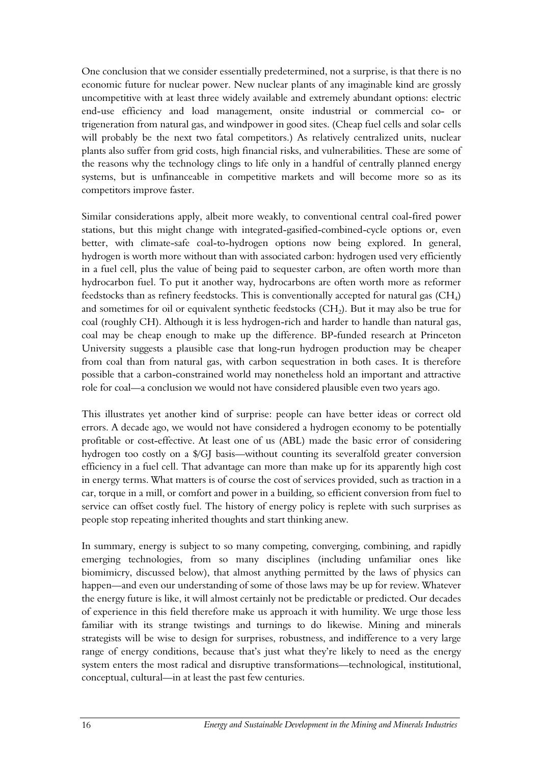One conclusion that we consider essentially predetermined, not a surprise, is that there is no economic future for nuclear power. New nuclear plants of any imaginable kind are grossly uncompetitive with at least three widely available and extremely abundant options: electric end-use efficiency and load management, onsite industrial or commercial co- or trigeneration from natural gas, and windpower in good sites. (Cheap fuel cells and solar cells will probably be the next two fatal competitors.) As relatively centralized units, nuclear plants also suffer from grid costs, high financial risks, and vulnerabilities. These are some of the reasons why the technology clings to life only in a handful of centrally planned energy systems, but is unfinanceable in competitive markets and will become more so as its competitors improve faster.

Similar considerations apply, albeit more weakly, to conventional central coal-fired power stations, but this might change with integrated-gasified-combined-cycle options or, even better, with climate-safe coal-to-hydrogen options now being explored. In general, hydrogen is worth more without than with associated carbon: hydrogen used very efficiently in a fuel cell, plus the value of being paid to sequester carbon, are often worth more than hydrocarbon fuel. To put it another way, hydrocarbons are often worth more as reformer feedstocks than as refinery feedstocks. This is conventionally accepted for natural gas  $(CH_4)$ and sometimes for oil or equivalent synthetic feedstocks (CH<sub>2</sub>). But it may also be true for coal (roughly CH). Although it is less hydrogen-rich and harder to handle than natural gas, coal may be cheap enough to make up the difference. BP-funded research at Princeton University suggests a plausible case that long-run hydrogen production may be cheaper from coal than from natural gas, with carbon sequestration in both cases. It is therefore possible that a carbon-constrained world may nonetheless hold an important and attractive role for coal—a conclusion we would not have considered plausible even two years ago.

This illustrates yet another kind of surprise: people can have better ideas or correct old errors. A decade ago, we would not have considered a hydrogen economy to be potentially profitable or cost-effective. At least one of us (ABL) made the basic error of considering hydrogen too costly on a \$/GJ basis—without counting its severalfold greater conversion efficiency in a fuel cell. That advantage can more than make up for its apparently high cost in energy terms. What matters is of course the cost of services provided, such as traction in a car, torque in a mill, or comfort and power in a building, so efficient conversion from fuel to service can offset costly fuel. The history of energy policy is replete with such surprises as people stop repeating inherited thoughts and start thinking anew.

In summary, energy is subject to so many competing, converging, combining, and rapidly emerging technologies, from so many disciplines (including unfamiliar ones like biomimicry, discussed below), that almost anything permitted by the laws of physics can happen—and even our understanding of some of those laws may be up for review. Whatever the energy future is like, it will almost certainly not be predictable or predicted. Our decades of experience in this field therefore make us approach it with humility. We urge those less familiar with its strange twistings and turnings to do likewise. Mining and minerals strategists will be wise to design for surprises, robustness, and indifference to a very large range of energy conditions, because that's just what they're likely to need as the energy system enters the most radical and disruptive transformations––technological, institutional, conceptual, cultural––in at least the past few centuries.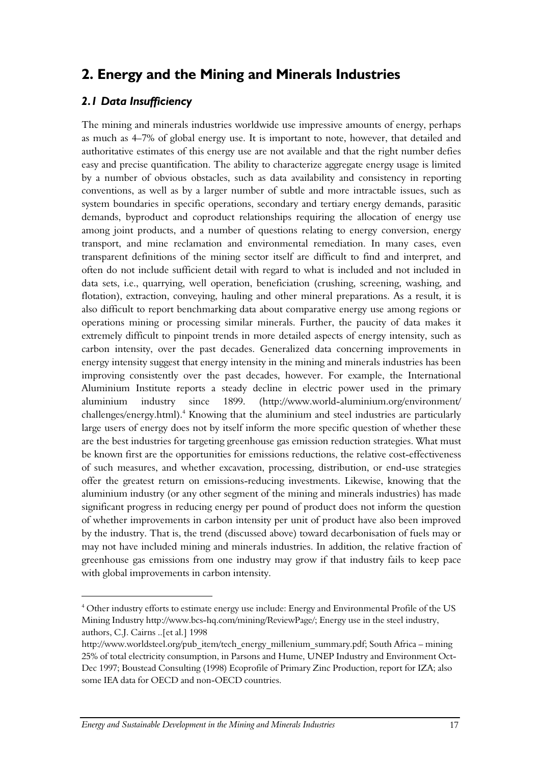# <span id="page-16-0"></span>**2. Energy and the Mining and Minerals Industries**

# <span id="page-16-1"></span>*2.1 Data Insufficiency*

The mining and minerals industries worldwide use impressive amounts of energy, perhaps as much as 4–7% of global energy use. It is important to note, however, that detailed and authoritative estimates of this energy use are not available and that the right number defies easy and precise quantification. The ability to characterize aggregate energy usage is limited by a number of obvious obstacles, such as data availability and consistency in reporting conventions, as well as by a larger number of subtle and more intractable issues, such as system boundaries in specific operations, secondary and tertiary energy demands, parasitic demands, byproduct and coproduct relationships requiring the allocation of energy use among joint products, and a number of questions relating to energy conversion, energy transport, and mine reclamation and environmental remediation. In many cases, even transparent definitions of the mining sector itself are difficult to find and interpret, and often do not include sufficient detail with regard to what is included and not included in data sets, i.e., quarrying, well operation, beneficiation (crushing, screening, washing, and flotation), extraction, conveying, hauling and other mineral preparations. As a result, it is also difficult to report benchmarking data about comparative energy use among regions or operations mining or processing similar minerals. Further, the paucity of data makes it extremely difficult to pinpoint trends in more detailed aspects of energy intensity, such as carbon intensity, over the past decades. Generalized data concerning improvements in energy intensity suggest that energy intensity in the mining and minerals industries has been improving consistently over the past decades, however. For example, the International Aluminium Institute reports a steady decline in electric power used in the primary aluminium industry since 1899. (http://www.world-aluminium.org/environment/ challenges/energy.html).4 Knowing that the aluminium and steel industries are particularly large users of energy does not by itself inform the more specific question of whether these are the best industries for targeting greenhouse gas emission reduction strategies. What must be known first are the opportunities for emissions reductions, the relative cost-effectiveness of such measures, and whether excavation, processing, distribution, or end-use strategies offer the greatest return on emissions-reducing investments. Likewise, knowing that the aluminium industry (or any other segment of the mining and minerals industries) has made significant progress in reducing energy per pound of product does not inform the question of whether improvements in carbon intensity per unit of product have also been improved by the industry. That is, the trend (discussed above) toward decarbonisation of fuels may or may not have included mining and minerals industries. In addition, the relative fraction of greenhouse gas emissions from one industry may grow if that industry fails to keep pace with global improvements in carbon intensity.

 $\ddot{\phantom{a}}$ 

<sup>&</sup>lt;sup>4</sup> Other industry efforts to estimate energy use include: Energy and Environmental Profile of the US Mining Industry http://www.bcs-hq.com/mining/ReviewPage/; Energy use in the steel industry, authors, C.J. Cairns ..[et al.] 1998

http://www.worldsteel.org/pub\_item/tech\_energy\_millenium\_summary.pdf; South Africa – mining 25% of total electricity consumption, in Parsons and Hume, UNEP Industry and Environment Oct-Dec 1997; Boustead Consulting (1998) Ecoprofile of Primary Zinc Production, report for IZA; also some IEA data for OECD and non-OECD countries.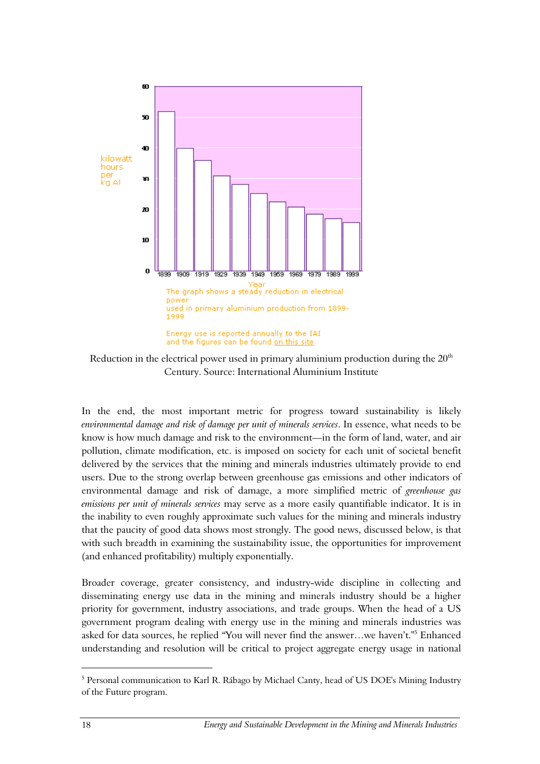

Reduction in the electrical power used in primary aluminium production during the  $20<sup>th</sup>$ Century. Source: International Aluminium Institute

In the end, the most important metric for progress toward sustainability is likely *environmental damage and risk of damage per unit of minerals services*. In essence, what needs to be know is how much damage and risk to the environment—in the form of land, water, and air pollution, climate modification, etc. is imposed on society for each unit of societal benefit delivered by the services that the mining and minerals industries ultimately provide to end users. Due to the strong overlap between greenhouse gas emissions and other indicators of environmental damage and risk of damage, a more simplified metric of *greenhouse gas emissions per unit of minerals services* may serve as a more easily quantifiable indicator. It is in the inability to even roughly approximate such values for the mining and minerals industry that the paucity of good data shows most strongly. The good news, discussed below, is that with such breadth in examining the sustainability issue, the opportunities for improvement (and enhanced profitability) multiply exponentially.

Broader coverage, greater consistency, and industry-wide discipline in collecting and disseminating energy use data in the mining and minerals industry should be a higher priority for government, industry associations, and trade groups. When the head of a US government program dealing with energy use in the mining and minerals industries was asked for data sources, he replied "You will never find the answer…we haven't."5 Enhanced understanding and resolution will be critical to project aggregate energy usage in national

1

<sup>&</sup>lt;sup>5</sup> Personal communication to Karl R. Rábago by Michael Canty, head of US DOE's Mining Industry of the Future program.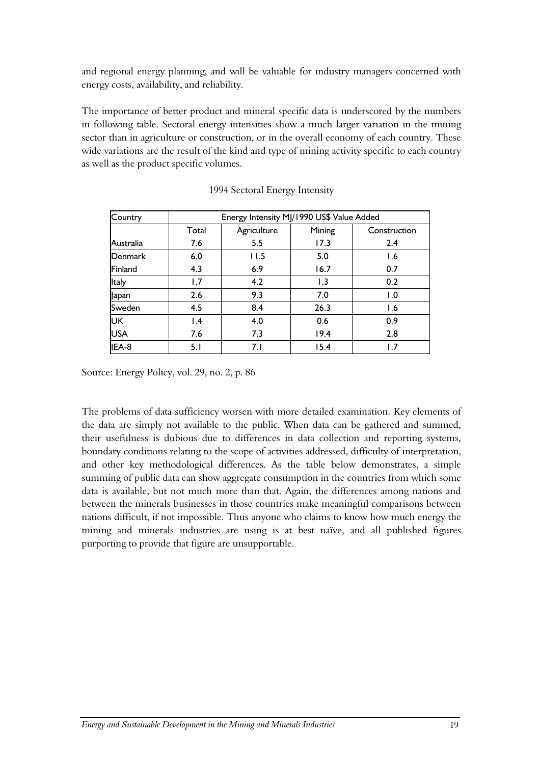and regional energy planning, and will be valuable for industry managers concerned with energy costs, availability, and reliability.

The importance of better product and mineral specific data is underscored by the numbers in following table. Sectoral energy intensities show a much larger variation in the mining sector than in agriculture or construction, or in the overall economy of each country. These wide variations are the result of the kind and type of mining activity specific to each country as well as the product specific volumes.

| Country    | Energy Intensity MJ/1990 US\$ Value Added |             |                  |              |  |
|------------|-------------------------------------------|-------------|------------------|--------------|--|
|            | Total                                     | Agriculture | Mining           | Construction |  |
| Australia  | 7.6                                       | 5.5         | 17.3             | 2.4          |  |
| Denmark    | 6.0                                       | 11.5        | 5.0              | 1.6          |  |
| Finland    | 4.3                                       | 6.9         | 16.7             | 0.7          |  |
| Italy      | 1.7                                       | 4.2         | $\overline{1.3}$ | 0.2          |  |
| Japan      | 2.6                                       | 9.3         | 7.0              | 1.0          |  |
| Sweden     | 4.5                                       | 8.4         | 26.3             | 1.6          |  |
| UK         | 1.4                                       | 4.0         | 0.6              | 0.9          |  |
| <b>USA</b> | 7.6                                       | 7.3         | 19.4             | 2.8          |  |
| IEA-8      | 5.1                                       | 7. I        | 15.4             | ۱.7          |  |

#### 1994 Sectoral Energy Intensity

Source: Energy Policy, vol. 29, no. 2, p. 86

The problems of data sufficiency worsen with more detailed examination. Key elements of the data are simply not available to the public. When data can be gathered and summed, their usefulness is dubious due to differences in data collection and reporting systems, boundary conditions relating to the scope of activities addressed, difficulty of interpretation, and other key methodological differences. As the table below demonstrates, a simple summing of public data can show aggregate consumption in the countries from which some data is available, but not much more than that. Again, the differences among nations and between the minerals businesses in those countries make meaningful comparisons between nations difficult, if not impossible. Thus anyone who claims to know how much energy the mining and minerals industries are using is at best naïve, and all published figures purporting to provide that figure are unsupportable.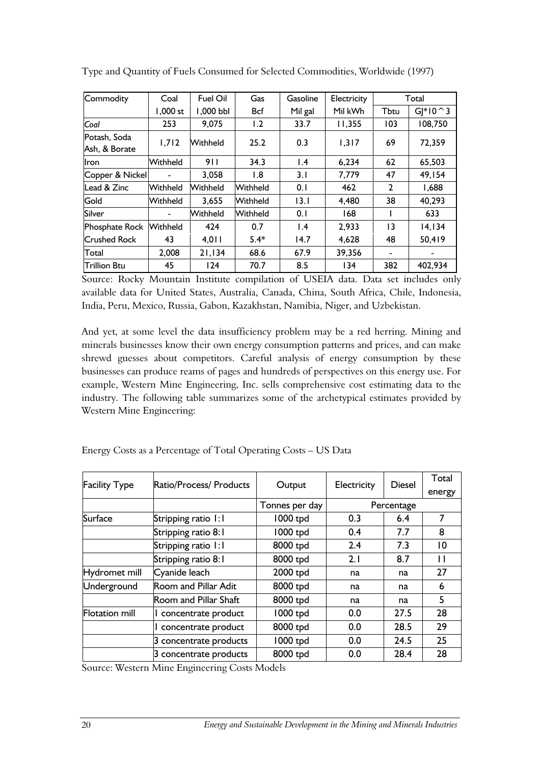| Commodity                     | Coal       | Fuel Oil    | Gas         | Gasoline        | Electricity | Total                    |           |
|-------------------------------|------------|-------------|-------------|-----------------|-------------|--------------------------|-----------|
|                               | $1,000$ st | $1,000$ bbl | <b>B</b> cf | Mil gal         | Mil kWh     | Tbtu                     | $GI*10^3$ |
| Coal                          | 253        | 9,075       | 1.2         | 33.7            | 11,355      | 103                      | 108,750   |
| Potash, Soda<br>Ash. & Borate | 1,712      | Withheld    | 25.2        | 0.3             | 1,317       | 69                       | 72,359    |
| Iron                          | Withheld   | 911         | 34.3        | $\mathsf{I}$ .4 | 6,234       | 62                       | 65,503    |
| Copper & Nickel               |            | 3,058       | 1.8         | 3.1             | 7,779       | 47                       | 49,154    |
| Lead & Zinc                   | Withheld   | Withheld    | Withheld    | 0.1             | 462         | $\mathbf{2}$             | 1,688     |
| Gold                          | Withheld   | 3,655       | Withheld    | 13.1            | 4,480       | 38                       | 40,293    |
| Silver                        |            | Withheld    | Withheld    | 0.1             | 168         |                          | 633       |
| Phosphate Rock                | Withheld   | 424         | 0.7         | $\mathsf{I}$ .4 | 2.933       | 13                       | 14.134    |
| <b>Crushed Rock</b>           | 43         | 4,011       | $5.4*$      | 14.7            | 4,628       | 48                       | 50,419    |
| Total                         | 2,008      | 21,134      | 68.6        | 67.9            | 39,356      | $\overline{\phantom{a}}$ |           |
| Trillion Btu                  | 45         | 124         | 70.7        | 8.5             | 134         | 382                      | 402,934   |

Type and Quantity of Fuels Consumed for Selected Commodities, Worldwide (1997)

Source: Rocky Mountain Institute compilation of USEIA data. Data set includes only available data for United States, Australia, Canada, China, South Africa, Chile, Indonesia, India, Peru, Mexico, Russia, Gabon, Kazakhstan, Namibia, Niger, and Uzbekistan.

And yet, at some level the data insufficiency problem may be a red herring. Mining and minerals businesses know their own energy consumption patterns and prices, and can make shrewd guesses about competitors. Careful analysis of energy consumption by these businesses can produce reams of pages and hundreds of perspectives on this energy use. For example, Western Mine Engineering, Inc. sells comprehensive cost estimating data to the industry. The following table summarizes some of the archetypical estimates provided by Western Mine Engineering:

| <b>Facility Type</b>  | Ratio/Process/ Products | Output         | Electricity | <b>Diesel</b> | Total<br>energy |
|-----------------------|-------------------------|----------------|-------------|---------------|-----------------|
|                       |                         | Tonnes per day | Percentage  |               |                 |
| Surface               | Stripping ratio 1:1     | 1000 tpd       | 0.3         | 6.4           | 7               |
|                       | Stripping ratio 8:1     | 1000 tpd       | 0.4         | 7.7           | 8               |
|                       | Stripping ratio 1:1     | 8000 tpd       | 2.4         | 7.3           | 10              |
|                       | Stripping ratio 8:1     | 8000 tpd       | 2.1         | 8.7           | П               |
| Hydromet mill         | Cyanide leach           | 2000 tpd       | na          | na            | 27              |
| Underground           | Room and Pillar Adit    | 8000 tpd       | na          | na            | 6               |
|                       | Room and Pillar Shaft   | 8000 tpd       | na          | na            | 5               |
| <b>Flotation mill</b> | concentrate product     | 1000 tpd       | 0.0         | 27.5          | 28              |
|                       | concentrate product     | 8000 tpd       | 0.0         | 28.5          | 29              |
|                       | 3 concentrate products  | 1000 tpd       | 0.0         | 24.5          | 25              |
|                       | 3 concentrate products  | 8000 tpd       | 0.0         | 28.4          | 28              |

Energy Costs as a Percentage of Total Operating Costs – US Data

Source: Western Mine Engineering Costs Models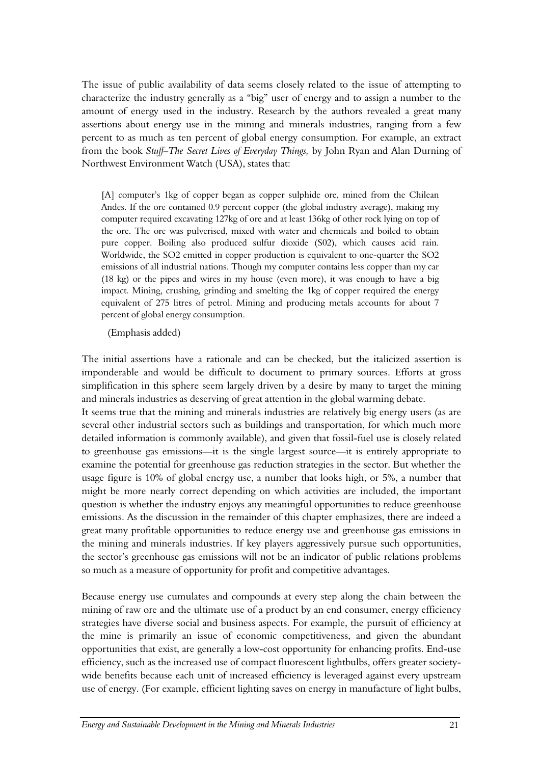The issue of public availability of data seems closely related to the issue of attempting to characterize the industry generally as a "big" user of energy and to assign a number to the amount of energy used in the industry. Research by the authors revealed a great many assertions about energy use in the mining and minerals industries, ranging from a few percent to as much as ten percent of global energy consumption. For example, an extract from the book *Stuff–The Secret Lives of Everyday Things,* by John Ryan and Alan Durning of Northwest Environment Watch (USA), states that:

[A] computer's 1kg of copper began as copper sulphide ore, mined from the Chilean Andes. If the ore contained 0.9 percent copper (the global industry average), making my computer required excavating 127kg of ore and at least 136kg of other rock lying on top of the ore. The ore was pulverised, mixed with water and chemicals and boiled to obtain pure copper. Boiling also produced sulfur dioxide (S02), which causes acid rain. Worldwide, the SO2 emitted in copper production is equivalent to one-quarter the SO2 emissions of all industrial nations. Though my computer contains less copper than my car (18 kg) or the pipes and wires in my house (even more), it was enough to have a big impact. Mining, crushing, grinding and smelting the 1kg of copper required the energy equivalent of 275 litres of petrol. Mining and producing metals accounts for about 7 percent of global energy consumption.

(Emphasis added)

The initial assertions have a rationale and can be checked, but the italicized assertion is imponderable and would be difficult to document to primary sources. Efforts at gross simplification in this sphere seem largely driven by a desire by many to target the mining and minerals industries as deserving of great attention in the global warming debate.

It seems true that the mining and minerals industries are relatively big energy users (as are several other industrial sectors such as buildings and transportation, for which much more detailed information is commonly available), and given that fossil-fuel use is closely related to greenhouse gas emissions––it is the single largest source––it is entirely appropriate to examine the potential for greenhouse gas reduction strategies in the sector. But whether the usage figure is 10% of global energy use, a number that looks high, or 5%, a number that might be more nearly correct depending on which activities are included, the important question is whether the industry enjoys any meaningful opportunities to reduce greenhouse emissions. As the discussion in the remainder of this chapter emphasizes, there are indeed a great many profitable opportunities to reduce energy use and greenhouse gas emissions in the mining and minerals industries. If key players aggressively pursue such opportunities, the sector's greenhouse gas emissions will not be an indicator of public relations problems so much as a measure of opportunity for profit and competitive advantages.

Because energy use cumulates and compounds at every step along the chain between the mining of raw ore and the ultimate use of a product by an end consumer, energy efficiency strategies have diverse social and business aspects. For example, the pursuit of efficiency at the mine is primarily an issue of economic competitiveness, and given the abundant opportunities that exist, are generally a low-cost opportunity for enhancing profits. End-use efficiency, such as the increased use of compact fluorescent lightbulbs, offers greater societywide benefits because each unit of increased efficiency is leveraged against every upstream use of energy. (For example, efficient lighting saves on energy in manufacture of light bulbs,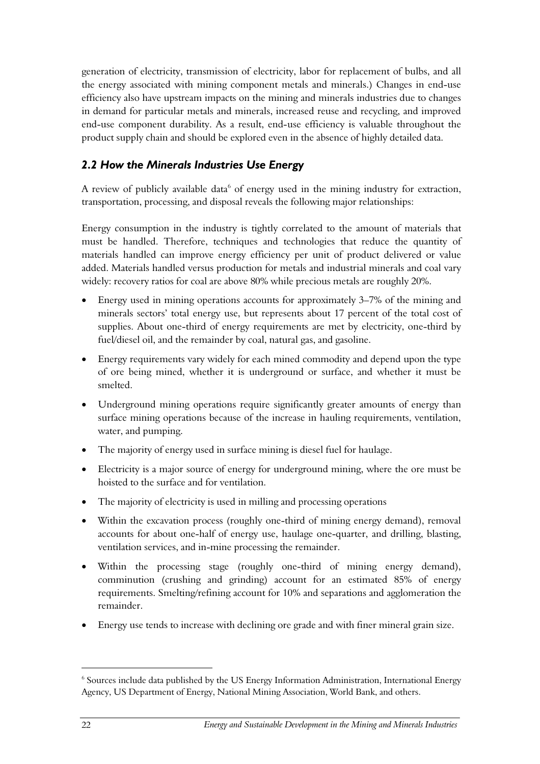generation of electricity, transmission of electricity, labor for replacement of bulbs, and all the energy associated with mining component metals and minerals.) Changes in end-use efficiency also have upstream impacts on the mining and minerals industries due to changes in demand for particular metals and minerals, increased reuse and recycling, and improved end-use component durability. As a result, end-use efficiency is valuable throughout the product supply chain and should be explored even in the absence of highly detailed data.

# <span id="page-21-0"></span>*2.2 How the Minerals Industries Use Energy*

A review of publicly available data<sup>6</sup> of energy used in the mining industry for extraction, transportation, processing, and disposal reveals the following major relationships:

Energy consumption in the industry is tightly correlated to the amount of materials that must be handled. Therefore, techniques and technologies that reduce the quantity of materials handled can improve energy efficiency per unit of product delivered or value added. Materials handled versus production for metals and industrial minerals and coal vary widely: recovery ratios for coal are above 80% while precious metals are roughly 20%.

- Energy used in mining operations accounts for approximately 3–7% of the mining and minerals sectors' total energy use, but represents about 17 percent of the total cost of supplies. About one-third of energy requirements are met by electricity, one-third by fuel/diesel oil, and the remainder by coal, natural gas, and gasoline.
- Energy requirements vary widely for each mined commodity and depend upon the type of ore being mined, whether it is underground or surface, and whether it must be smelted.
- Underground mining operations require significantly greater amounts of energy than surface mining operations because of the increase in hauling requirements, ventilation, water, and pumping.
- The majority of energy used in surface mining is diesel fuel for haulage.
- Electricity is a major source of energy for underground mining, where the ore must be hoisted to the surface and for ventilation.
- The majority of electricity is used in milling and processing operations
- Within the excavation process (roughly one-third of mining energy demand), removal accounts for about one-half of energy use, haulage one-quarter, and drilling, blasting, ventilation services, and in-mine processing the remainder.
- Within the processing stage (roughly one-third of mining energy demand), comminution (crushing and grinding) account for an estimated 85% of energy requirements. Smelting/refining account for 10% and separations and agglomeration the remainder.
- Energy use tends to increase with declining ore grade and with finer mineral grain size.

1

 $^6$  Sources include data published by the US Energy Information Administration, International Energy Agency, US Department of Energy, National Mining Association, World Bank, and others.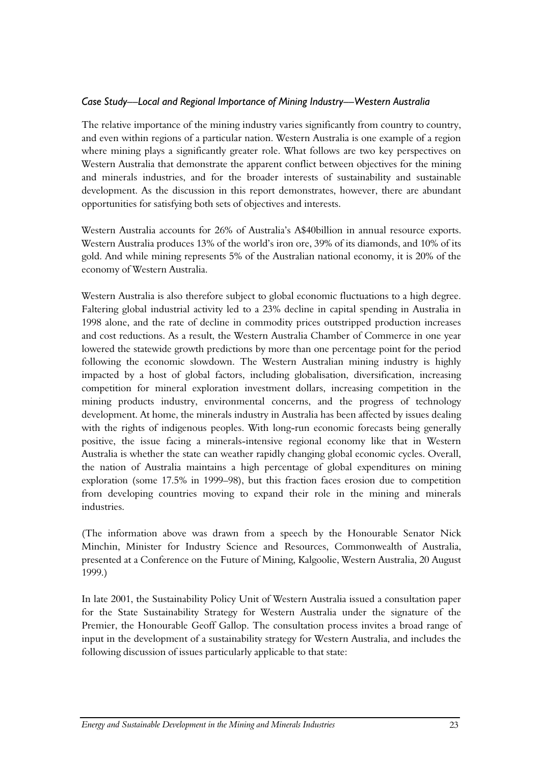#### *Case Study––Local and Regional Importance of Mining Industry––Western Australia*

The relative importance of the mining industry varies significantly from country to country, and even within regions of a particular nation. Western Australia is one example of a region where mining plays a significantly greater role. What follows are two key perspectives on Western Australia that demonstrate the apparent conflict between objectives for the mining and minerals industries, and for the broader interests of sustainability and sustainable development. As the discussion in this report demonstrates, however, there are abundant opportunities for satisfying both sets of objectives and interests.

Western Australia accounts for 26% of Australia's A\$40billion in annual resource exports. Western Australia produces 13% of the world's iron ore, 39% of its diamonds, and 10% of its gold. And while mining represents 5% of the Australian national economy, it is 20% of the economy of Western Australia.

Western Australia is also therefore subject to global economic fluctuations to a high degree. Faltering global industrial activity led to a 23% decline in capital spending in Australia in 1998 alone, and the rate of decline in commodity prices outstripped production increases and cost reductions. As a result, the Western Australia Chamber of Commerce in one year lowered the statewide growth predictions by more than one percentage point for the period following the economic slowdown. The Western Australian mining industry is highly impacted by a host of global factors, including globalisation, diversification, increasing competition for mineral exploration investment dollars, increasing competition in the mining products industry, environmental concerns, and the progress of technology development. At home, the minerals industry in Australia has been affected by issues dealing with the rights of indigenous peoples. With long-run economic forecasts being generally positive, the issue facing a minerals-intensive regional economy like that in Western Australia is whether the state can weather rapidly changing global economic cycles. Overall, the nation of Australia maintains a high percentage of global expenditures on mining exploration (some 17.5% in 1999–98), but this fraction faces erosion due to competition from developing countries moving to expand their role in the mining and minerals industries.

(The information above was drawn from a speech by the Honourable Senator Nick Minchin, Minister for Industry Science and Resources, Commonwealth of Australia, presented at a Conference on the Future of Mining, Kalgoolie, Western Australia, 20 August 1999.)

In late 2001, the Sustainability Policy Unit of Western Australia issued a consultation paper for the State Sustainability Strategy for Western Australia under the signature of the Premier, the Honourable Geoff Gallop. The consultation process invites a broad range of input in the development of a sustainability strategy for Western Australia, and includes the following discussion of issues particularly applicable to that state: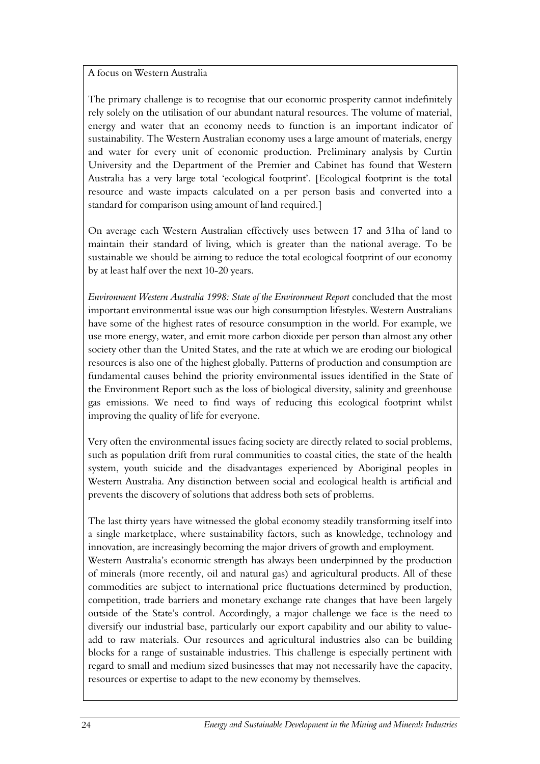#### A focus on Western Australia

The primary challenge is to recognise that our economic prosperity cannot indefinitely rely solely on the utilisation of our abundant natural resources. The volume of material, energy and water that an economy needs to function is an important indicator of sustainability. The Western Australian economy uses a large amount of materials, energy and water for every unit of economic production. Preliminary analysis by Curtin University and the Department of the Premier and Cabinet has found that Western Australia has a very large total 'ecological footprint'. [Ecological footprint is the total resource and waste impacts calculated on a per person basis and converted into a standard for comparison using amount of land required.]

On average each Western Australian effectively uses between 17 and 31ha of land to maintain their standard of living, which is greater than the national average. To be sustainable we should be aiming to reduce the total ecological footprint of our economy by at least half over the next 10-20 years.

*Environment Western Australia 1998: State of the Environment Report* concluded that the most important environmental issue was our high consumption lifestyles. Western Australians have some of the highest rates of resource consumption in the world. For example, we use more energy, water, and emit more carbon dioxide per person than almost any other society other than the United States, and the rate at which we are eroding our biological resources is also one of the highest globally. Patterns of production and consumption are fundamental causes behind the priority environmental issues identified in the State of the Environment Report such as the loss of biological diversity, salinity and greenhouse gas emissions. We need to find ways of reducing this ecological footprint whilst improving the quality of life for everyone.

Very often the environmental issues facing society are directly related to social problems, such as population drift from rural communities to coastal cities, the state of the health system, youth suicide and the disadvantages experienced by Aboriginal peoples in Western Australia. Any distinction between social and ecological health is artificial and prevents the discovery of solutions that address both sets of problems.

The last thirty years have witnessed the global economy steadily transforming itself into a single marketplace, where sustainability factors, such as knowledge, technology and innovation, are increasingly becoming the major drivers of growth and employment. Western Australia's economic strength has always been underpinned by the production of minerals (more recently, oil and natural gas) and agricultural products. All of these commodities are subject to international price fluctuations determined by production, competition, trade barriers and monetary exchange rate changes that have been largely outside of the State's control. Accordingly, a major challenge we face is the need to diversify our industrial base, particularly our export capability and our ability to valueadd to raw materials. Our resources and agricultural industries also can be building blocks for a range of sustainable industries. This challenge is especially pertinent with regard to small and medium sized businesses that may not necessarily have the capacity, resources or expertise to adapt to the new economy by themselves.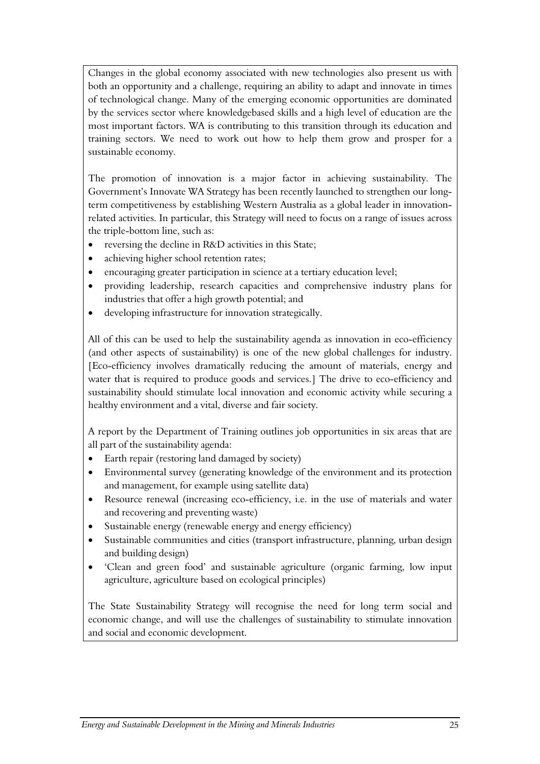Changes in the global economy associated with new technologies also present us with both an opportunity and a challenge, requiring an ability to adapt and innovate in times of technological change. Many of the emerging economic opportunities are dominated by the services sector where knowledgebased skills and a high level of education are the most important factors. WA is contributing to this transition through its education and training sectors. We need to work out how to help them grow and prosper for a sustainable economy.

The promotion of innovation is a major factor in achieving sustainability. The Government's Innovate WA Strategy has been recently launched to strengthen our longterm competitiveness by establishing Western Australia as a global leader in innovationrelated activities. In particular, this Strategy will need to focus on a range of issues across the triple-bottom line, such as:

- reversing the decline in R&D activities in this State;
- achieving higher school retention rates;
- encouraging greater participation in science at a tertiary education level;
- providing leadership, research capacities and comprehensive industry plans for industries that offer a high growth potential; and
- developing infrastructure for innovation strategically.

All of this can be used to help the sustainability agenda as innovation in eco-efficiency (and other aspects of sustainability) is one of the new global challenges for industry. [Eco-efficiency involves dramatically reducing the amount of materials, energy and water that is required to produce goods and services.] The drive to eco-efficiency and sustainability should stimulate local innovation and economic activity while securing a healthy environment and a vital, diverse and fair society.

A report by the Department of Training outlines job opportunities in six areas that are all part of the sustainability agenda:

- Earth repair (restoring land damaged by society)
- Environmental survey (generating knowledge of the environment and its protection and management, for example using satellite data)
- Resource renewal (increasing eco-efficiency, i.e. in the use of materials and water and recovering and preventing waste)
- Sustainable energy (renewable energy and energy efficiency)
- Sustainable communities and cities (transport infrastructure, planning, urban design and building design)
- 'Clean and green food' and sustainable agriculture (organic farming, low input agriculture, agriculture based on ecological principles)

The State Sustainability Strategy will recognise the need for long term social and economic change, and will use the challenges of sustainability to stimulate innovation and social and economic development.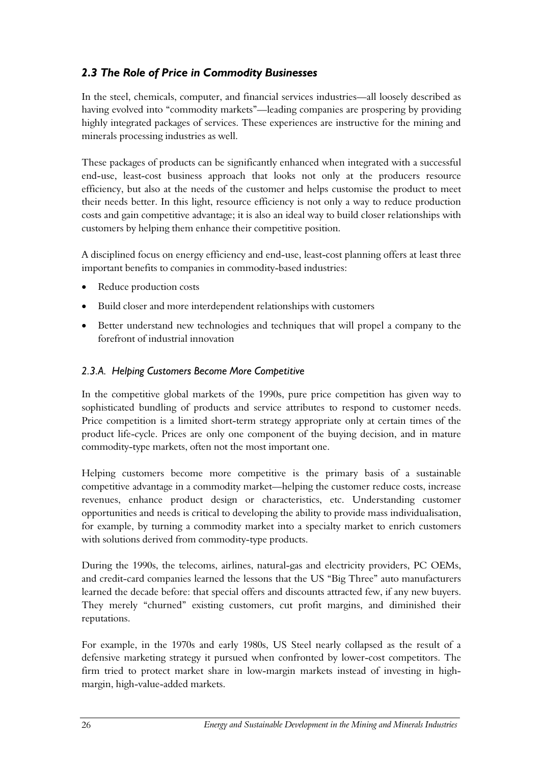# <span id="page-25-0"></span>*2.3 The Role of Price in Commodity Businesses*

In the steel, chemicals, computer, and financial services industries––all loosely described as having evolved into "commodity markets"––leading companies are prospering by providing highly integrated packages of services. These experiences are instructive for the mining and minerals processing industries as well.

These packages of products can be significantly enhanced when integrated with a successful end-use, least-cost business approach that looks not only at the producers resource efficiency, but also at the needs of the customer and helps customise the product to meet their needs better. In this light, resource efficiency is not only a way to reduce production costs and gain competitive advantage; it is also an ideal way to build closer relationships with customers by helping them enhance their competitive position.

A disciplined focus on energy efficiency and end-use, least-cost planning offers at least three important benefits to companies in commodity-based industries:

- Reduce production costs
- Build closer and more interdependent relationships with customers
- Better understand new technologies and techniques that will propel a company to the forefront of industrial innovation

## *2.3.A. Helping Customers Become More Competitive*

In the competitive global markets of the 1990s, pure price competition has given way to sophisticated bundling of products and service attributes to respond to customer needs. Price competition is a limited short-term strategy appropriate only at certain times of the product life-cycle. Prices are only one component of the buying decision, and in mature commodity-type markets, often not the most important one.

Helping customers become more competitive is the primary basis of a sustainable competitive advantage in a commodity market––helping the customer reduce costs, increase revenues, enhance product design or characteristics, etc. Understanding customer opportunities and needs is critical to developing the ability to provide mass individualisation, for example, by turning a commodity market into a specialty market to enrich customers with solutions derived from commodity-type products.

During the 1990s, the telecoms, airlines, natural-gas and electricity providers, PC OEMs, and credit-card companies learned the lessons that the US "Big Three" auto manufacturers learned the decade before: that special offers and discounts attracted few, if any new buyers. They merely "churned" existing customers, cut profit margins, and diminished their reputations.

For example, in the 1970s and early 1980s, US Steel nearly collapsed as the result of a defensive marketing strategy it pursued when confronted by lower-cost competitors. The firm tried to protect market share in low-margin markets instead of investing in highmargin, high-value-added markets.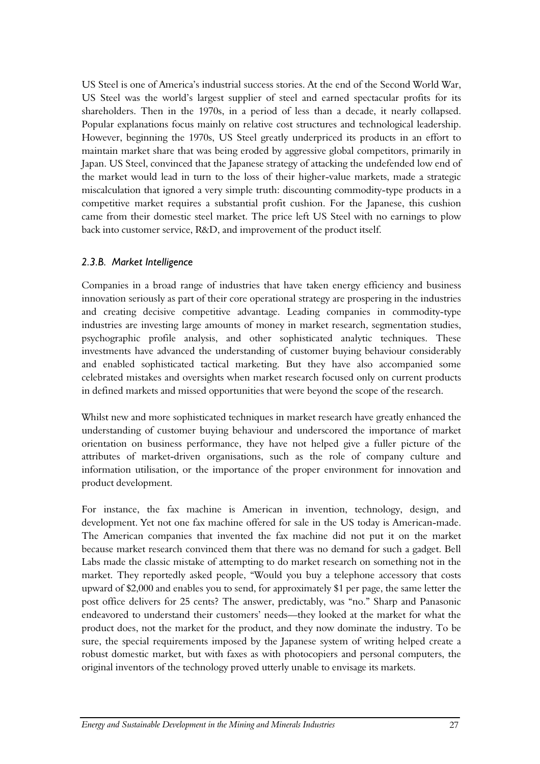US Steel is one of America's industrial success stories. At the end of the Second World War, US Steel was the world's largest supplier of steel and earned spectacular profits for its shareholders. Then in the 1970s, in a period of less than a decade, it nearly collapsed. Popular explanations focus mainly on relative cost structures and technological leadership. However, beginning the 1970s, US Steel greatly underpriced its products in an effort to maintain market share that was being eroded by aggressive global competitors, primarily in Japan. US Steel, convinced that the Japanese strategy of attacking the undefended low end of the market would lead in turn to the loss of their higher-value markets, made a strategic miscalculation that ignored a very simple truth: discounting commodity-type products in a competitive market requires a substantial profit cushion. For the Japanese, this cushion came from their domestic steel market. The price left US Steel with no earnings to plow back into customer service, R&D, and improvement of the product itself.

#### *2.3.B. Market Intelligence*

Companies in a broad range of industries that have taken energy efficiency and business innovation seriously as part of their core operational strategy are prospering in the industries and creating decisive competitive advantage. Leading companies in commodity-type industries are investing large amounts of money in market research, segmentation studies, psychographic profile analysis, and other sophisticated analytic techniques. These investments have advanced the understanding of customer buying behaviour considerably and enabled sophisticated tactical marketing. But they have also accompanied some celebrated mistakes and oversights when market research focused only on current products in defined markets and missed opportunities that were beyond the scope of the research.

Whilst new and more sophisticated techniques in market research have greatly enhanced the understanding of customer buying behaviour and underscored the importance of market orientation on business performance, they have not helped give a fuller picture of the attributes of market-driven organisations, such as the role of company culture and information utilisation, or the importance of the proper environment for innovation and product development.

For instance, the fax machine is American in invention, technology, design, and development. Yet not one fax machine offered for sale in the US today is American-made. The American companies that invented the fax machine did not put it on the market because market research convinced them that there was no demand for such a gadget. Bell Labs made the classic mistake of attempting to do market research on something not in the market. They reportedly asked people, "Would you buy a telephone accessory that costs upward of \$2,000 and enables you to send, for approximately \$1 per page, the same letter the post office delivers for 25 cents? The answer, predictably, was "no." Sharp and Panasonic endeavored to understand their customers' needs––they looked at the market for what the product does, not the market for the product, and they now dominate the industry. To be sure, the special requirements imposed by the Japanese system of writing helped create a robust domestic market, but with faxes as with photocopiers and personal computers, the original inventors of the technology proved utterly unable to envisage its markets.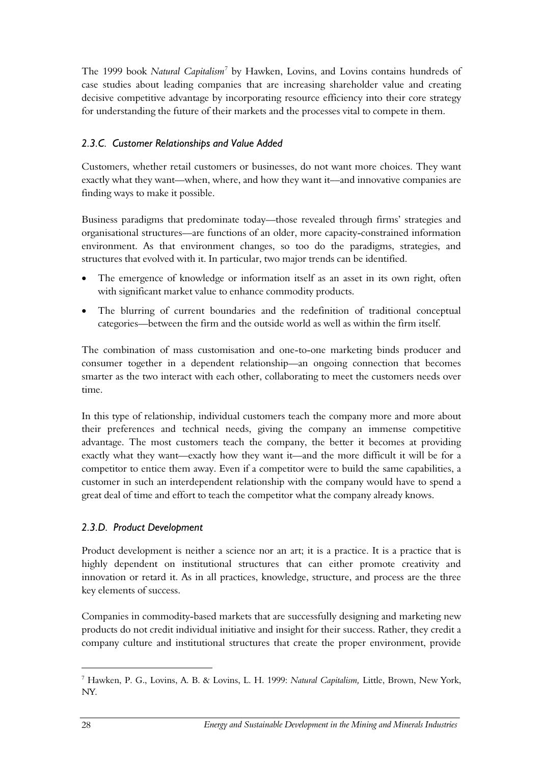The 1999 book *Natural Capitalism<sup>7</sup>* by Hawken, Lovins, and Lovins contains hundreds of case studies about leading companies that are increasing shareholder value and creating decisive competitive advantage by incorporating resource efficiency into their core strategy for understanding the future of their markets and the processes vital to compete in them.

# *2.3.C. Customer Relationships and Value Added*

Customers, whether retail customers or businesses, do not want more choices. They want exactly what they want––when, where, and how they want it––and innovative companies are finding ways to make it possible.

Business paradigms that predominate today––those revealed through firms' strategies and organisational structures––are functions of an older, more capacity-constrained information environment. As that environment changes, so too do the paradigms, strategies, and structures that evolved with it. In particular, two major trends can be identified.

- The emergence of knowledge or information itself as an asset in its own right, often with significant market value to enhance commodity products.
- The blurring of current boundaries and the redefinition of traditional conceptual categories––between the firm and the outside world as well as within the firm itself.

The combination of mass customisation and one-to-one marketing binds producer and consumer together in a dependent relationship––an ongoing connection that becomes smarter as the two interact with each other, collaborating to meet the customers needs over time.

In this type of relationship, individual customers teach the company more and more about their preferences and technical needs, giving the company an immense competitive advantage. The most customers teach the company, the better it becomes at providing exactly what they want––exactly how they want it––and the more difficult it will be for a competitor to entice them away. Even if a competitor were to build the same capabilities, a customer in such an interdependent relationship with the company would have to spend a great deal of time and effort to teach the competitor what the company already knows.

# *2.3.D. Product Development*

Product development is neither a science nor an art; it is a practice. It is a practice that is highly dependent on institutional structures that can either promote creativity and innovation or retard it. As in all practices, knowledge, structure, and process are the three key elements of success.

Companies in commodity-based markets that are successfully designing and marketing new products do not credit individual initiative and insight for their success. Rather, they credit a company culture and institutional structures that create the proper environment, provide

1

<sup>7</sup> Hawken, P. G., Lovins, A. B. & Lovins, L. H. 1999: *Natural Capitalism,* Little, Brown, New York, NY.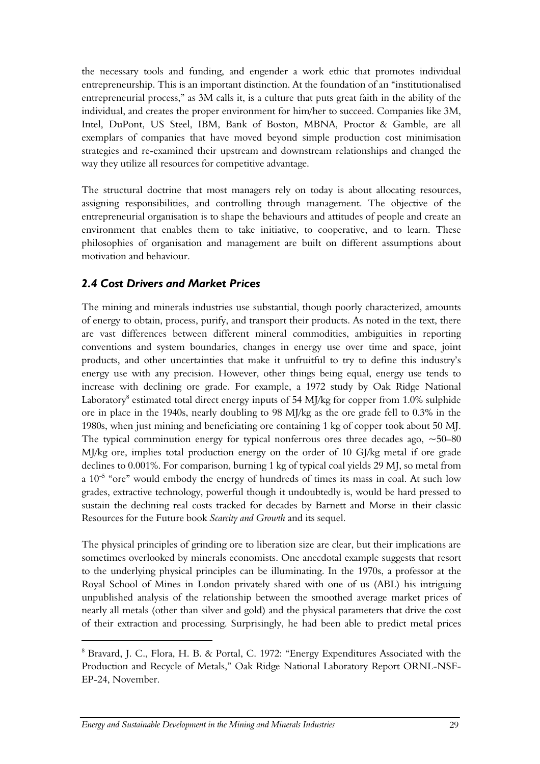the necessary tools and funding, and engender a work ethic that promotes individual entrepreneurship. This is an important distinction. At the foundation of an "institutionalised entrepreneurial process," as 3M calls it, is a culture that puts great faith in the ability of the individual, and creates the proper environment for him/her to succeed. Companies like 3M, Intel, DuPont, US Steel, IBM, Bank of Boston, MBNA, Proctor & Gamble, are all exemplars of companies that have moved beyond simple production cost minimisation strategies and re-examined their upstream and downstream relationships and changed the way they utilize all resources for competitive advantage.

The structural doctrine that most managers rely on today is about allocating resources, assigning responsibilities, and controlling through management. The objective of the entrepreneurial organisation is to shape the behaviours and attitudes of people and create an environment that enables them to take initiative, to cooperative, and to learn. These philosophies of organisation and management are built on different assumptions about motivation and behaviour.

# <span id="page-28-0"></span>*2.4 Cost Drivers and Market Prices*

The mining and minerals industries use substantial, though poorly characterized, amounts of energy to obtain, process, purify, and transport their products. As noted in the text, there are vast differences between different mineral commodities, ambiguities in reporting conventions and system boundaries, changes in energy use over time and space, joint products, and other uncertainties that make it unfruitful to try to define this industry's energy use with any precision. However, other things being equal, energy use tends to increase with declining ore grade. For example, a 1972 study by Oak Ridge National Laboratory<sup>8</sup> estimated total direct energy inputs of 54 MJ/kg for copper from 1.0% sulphide ore in place in the 1940s, nearly doubling to 98 MJ/kg as the ore grade fell to 0.3% in the 1980s, when just mining and beneficiating ore containing 1 kg of copper took about 50 MJ. The typical comminution energy for typical nonferrous ores three decades ago,  $\sim$  50–80 MJ/kg ore, implies total production energy on the order of 10 GJ/kg metal if ore grade declines to 0.001%. For comparison, burning 1 kg of typical coal yields 29 MJ, so metal from a  $10^{-5}$  "ore" would embody the energy of hundreds of times its mass in coal. At such low grades, extractive technology, powerful though it undoubtedly is, would be hard pressed to sustain the declining real costs tracked for decades by Barnett and Morse in their classic Resources for the Future book *Scarcity and Growth* and its sequel.

The physical principles of grinding ore to liberation size are clear, but their implications are sometimes overlooked by minerals economists. One anecdotal example suggests that resort to the underlying physical principles can be illuminating. In the 1970s, a professor at the Royal School of Mines in London privately shared with one of us (ABL) his intriguing unpublished analysis of the relationship between the smoothed average market prices of nearly all metals (other than silver and gold) and the physical parameters that drive the cost of their extraction and processing. Surprisingly, he had been able to predict metal prices

1

<sup>&</sup>lt;sup>8</sup> Bravard, J. C., Flora, H. B. & Portal, C. 1972: "Energy Expenditures Associated with the Production and Recycle of Metals," Oak Ridge National Laboratory Report ORNL-NSF-EP-24, November.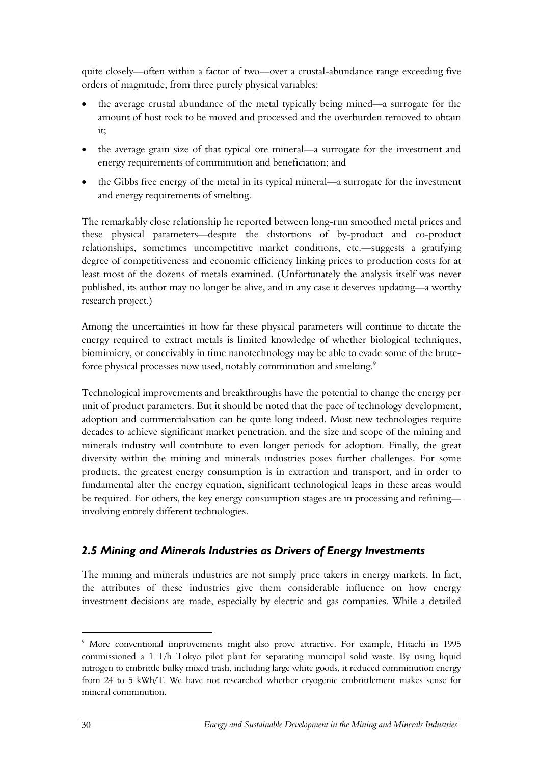quite closely––often within a factor of two––over a crustal-abundance range exceeding five orders of magnitude, from three purely physical variables:

- the average crustal abundance of the metal typically being mined—a surrogate for the amount of host rock to be moved and processed and the overburden removed to obtain it;
- the average grain size of that typical ore mineral—a surrogate for the investment and energy requirements of comminution and beneficiation; and
- the Gibbs free energy of the metal in its typical mineral—a surrogate for the investment and energy requirements of smelting.

The remarkably close relationship he reported between long-run smoothed metal prices and these physical parameters—despite the distortions of by-product and co-product relationships, sometimes uncompetitive market conditions, etc.—suggests a gratifying degree of competitiveness and economic efficiency linking prices to production costs for at least most of the dozens of metals examined. (Unfortunately the analysis itself was never published, its author may no longer be alive, and in any case it deserves updating—a worthy research project.)

Among the uncertainties in how far these physical parameters will continue to dictate the energy required to extract metals is limited knowledge of whether biological techniques, biomimicry, or conceivably in time nanotechnology may be able to evade some of the bruteforce physical processes now used, notably comminution and smelting.<sup>9</sup>

Technological improvements and breakthroughs have the potential to change the energy per unit of product parameters. But it should be noted that the pace of technology development, adoption and commercialisation can be quite long indeed. Most new technologies require decades to achieve significant market penetration, and the size and scope of the mining and minerals industry will contribute to even longer periods for adoption. Finally, the great diversity within the mining and minerals industries poses further challenges. For some products, the greatest energy consumption is in extraction and transport, and in order to fundamental alter the energy equation, significant technological leaps in these areas would be required. For others, the key energy consumption stages are in processing and refining–– involving entirely different technologies.

# <span id="page-29-0"></span>*2.5 Mining and Minerals Industries as Drivers of Energy Investments*

The mining and minerals industries are not simply price takers in energy markets. In fact, the attributes of these industries give them considerable influence on how energy investment decisions are made, especially by electric and gas companies. While a detailed

 $\overline{a}$ 

<sup>9</sup> More conventional improvements might also prove attractive. For example, Hitachi in 1995 commissioned a 1 T/h Tokyo pilot plant for separating municipal solid waste. By using liquid nitrogen to embrittle bulky mixed trash, including large white goods, it reduced comminution energy from 24 to 5 kWh/T. We have not researched whether cryogenic embrittlement makes sense for mineral comminution.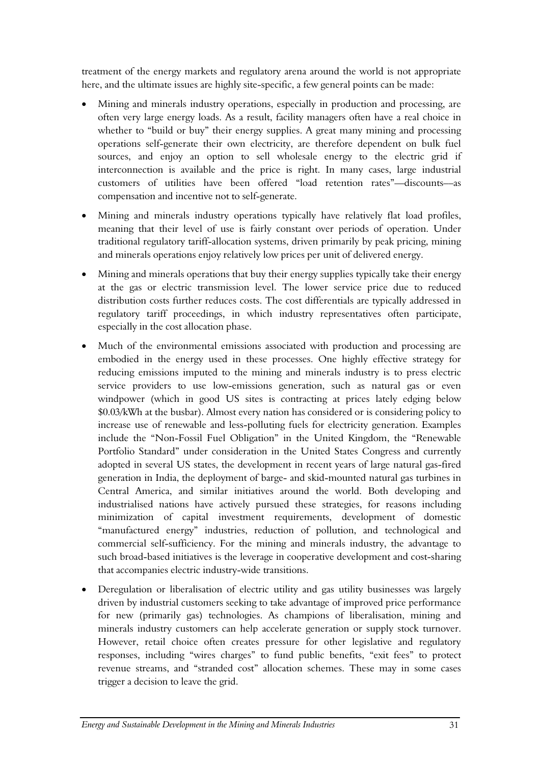treatment of the energy markets and regulatory arena around the world is not appropriate here, and the ultimate issues are highly site-specific, a few general points can be made:

- Mining and minerals industry operations, especially in production and processing, are often very large energy loads. As a result, facility managers often have a real choice in whether to "build or buy" their energy supplies. A great many mining and processing operations self-generate their own electricity, are therefore dependent on bulk fuel sources, and enjoy an option to sell wholesale energy to the electric grid if interconnection is available and the price is right. In many cases, large industrial customers of utilities have been offered "load retention rates"––discounts––as compensation and incentive not to self-generate.
- Mining and minerals industry operations typically have relatively flat load profiles, meaning that their level of use is fairly constant over periods of operation. Under traditional regulatory tariff-allocation systems, driven primarily by peak pricing, mining and minerals operations enjoy relatively low prices per unit of delivered energy.
- Mining and minerals operations that buy their energy supplies typically take their energy at the gas or electric transmission level. The lower service price due to reduced distribution costs further reduces costs. The cost differentials are typically addressed in regulatory tariff proceedings, in which industry representatives often participate, especially in the cost allocation phase.
- Much of the environmental emissions associated with production and processing are embodied in the energy used in these processes. One highly effective strategy for reducing emissions imputed to the mining and minerals industry is to press electric service providers to use low-emissions generation, such as natural gas or even windpower (which in good US sites is contracting at prices lately edging below \$0.03/kWh at the busbar). Almost every nation has considered or is considering policy to increase use of renewable and less-polluting fuels for electricity generation. Examples include the "Non-Fossil Fuel Obligation" in the United Kingdom, the "Renewable Portfolio Standard" under consideration in the United States Congress and currently adopted in several US states, the development in recent years of large natural gas-fired generation in India, the deployment of barge- and skid-mounted natural gas turbines in Central America, and similar initiatives around the world. Both developing and industrialised nations have actively pursued these strategies, for reasons including minimization of capital investment requirements, development of domestic "manufactured energy" industries, reduction of pollution, and technological and commercial self-sufficiency. For the mining and minerals industry, the advantage to such broad-based initiatives is the leverage in cooperative development and cost-sharing that accompanies electric industry-wide transitions.
- Deregulation or liberalisation of electric utility and gas utility businesses was largely driven by industrial customers seeking to take advantage of improved price performance for new (primarily gas) technologies. As champions of liberalisation, mining and minerals industry customers can help accelerate generation or supply stock turnover. However, retail choice often creates pressure for other legislative and regulatory responses, including "wires charges" to fund public benefits, "exit fees" to protect revenue streams, and "stranded cost" allocation schemes. These may in some cases trigger a decision to leave the grid.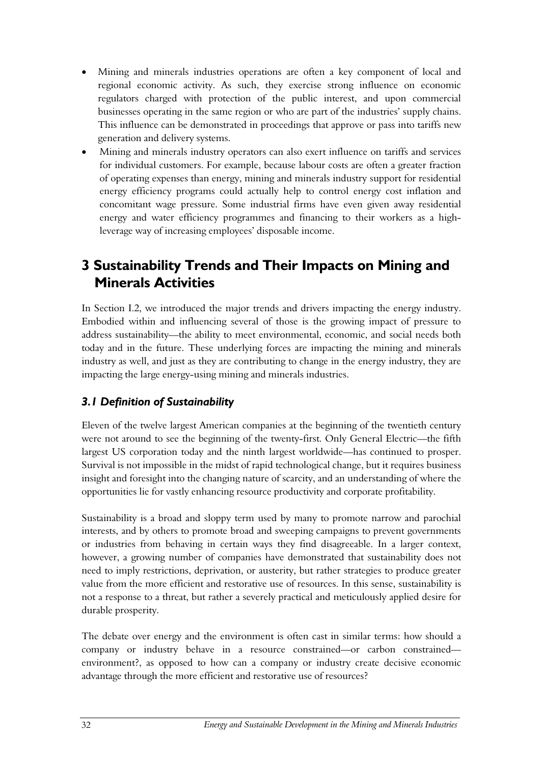- Mining and minerals industries operations are often a key component of local and regional economic activity. As such, they exercise strong influence on economic regulators charged with protection of the public interest, and upon commercial businesses operating in the same region or who are part of the industries' supply chains. This influence can be demonstrated in proceedings that approve or pass into tariffs new generation and delivery systems.
- Mining and minerals industry operators can also exert influence on tariffs and services for individual customers. For example, because labour costs are often a greater fraction of operating expenses than energy, mining and minerals industry support for residential energy efficiency programs could actually help to control energy cost inflation and concomitant wage pressure. Some industrial firms have even given away residential energy and water efficiency programmes and financing to their workers as a highleverage way of increasing employees' disposable income.

# <span id="page-31-0"></span>**3 Sustainability Trends and Their Impacts on Mining and Minerals Activities**

In Section I.2, we introduced the major trends and drivers impacting the energy industry. Embodied within and influencing several of those is the growing impact of pressure to address sustainability––the ability to meet environmental, economic, and social needs both today and in the future. These underlying forces are impacting the mining and minerals industry as well, and just as they are contributing to change in the energy industry, they are impacting the large energy-using mining and minerals industries.

# <span id="page-31-1"></span>*3.1 Definition of Sustainability*

Eleven of the twelve largest American companies at the beginning of the twentieth century were not around to see the beginning of the twenty-first. Only General Electric—the fifth largest US corporation today and the ninth largest worldwide—has continued to prosper. Survival is not impossible in the midst of rapid technological change, but it requires business insight and foresight into the changing nature of scarcity, and an understanding of where the opportunities lie for vastly enhancing resource productivity and corporate profitability.

Sustainability is a broad and sloppy term used by many to promote narrow and parochial interests, and by others to promote broad and sweeping campaigns to prevent governments or industries from behaving in certain ways they find disagreeable. In a larger context, however, a growing number of companies have demonstrated that sustainability does not need to imply restrictions, deprivation, or austerity, but rather strategies to produce greater value from the more efficient and restorative use of resources. In this sense, sustainability is not a response to a threat, but rather a severely practical and meticulously applied desire for durable prosperity.

The debate over energy and the environment is often cast in similar terms: how should a company or industry behave in a resource constrained––or carbon constrained–– environment?, as opposed to how can a company or industry create decisive economic advantage through the more efficient and restorative use of resources?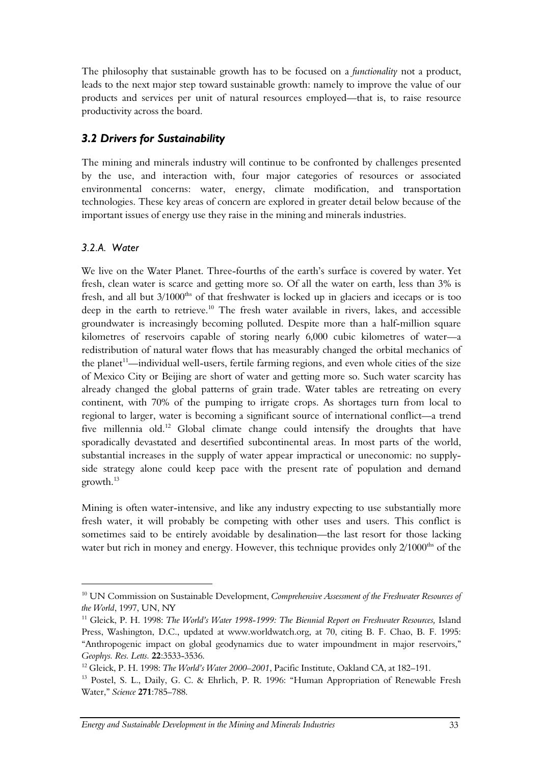The philosophy that sustainable growth has to be focused on a *functionality* not a product, leads to the next major step toward sustainable growth: namely to improve the value of our products and services per unit of natural resources employed—that is, to raise resource productivity across the board.

# <span id="page-32-0"></span>*3.2 Drivers for Sustainability*

The mining and minerals industry will continue to be confronted by challenges presented by the use, and interaction with, four major categories of resources or associated environmental concerns: water, energy, climate modification, and transportation technologies. These key areas of concern are explored in greater detail below because of the important issues of energy use they raise in the mining and minerals industries.

#### *3.2.A. Water*

 $\ddot{\phantom{a}}$ 

We live on the Water Planet. Three-fourths of the earth's surface is covered by water. Yet fresh, clean water is scarce and getting more so. Of all the water on earth, less than 3% is fresh, and all but  $3/1000$ <sup>ths</sup> of that freshwater is locked up in glaciers and icecaps or is too deep in the earth to retrieve.<sup>10</sup> The fresh water available in rivers, lakes, and accessible groundwater is increasingly becoming polluted. Despite more than a half-million square kilometres of reservoirs capable of storing nearly 6,000 cubic kilometres of water—a redistribution of natural water flows that has measurably changed the orbital mechanics of the planet<sup>11</sup>—individual well-users, fertile farming regions, and even whole cities of the size of Mexico City or Beijing are short of water and getting more so. Such water scarcity has already changed the global patterns of grain trade. Water tables are retreating on every continent, with 70% of the pumping to irrigate crops. As shortages turn from local to regional to larger, water is becoming a significant source of international conflict—a trend five millennia old.12 Global climate change could intensify the droughts that have sporadically devastated and desertified subcontinental areas. In most parts of the world, substantial increases in the supply of water appear impractical or uneconomic: no supplyside strategy alone could keep pace with the present rate of population and demand growth.<sup>13</sup>

Mining is often water-intensive, and like any industry expecting to use substantially more fresh water, it will probably be competing with other uses and users. This conflict is sometimes said to be entirely avoidable by desalination—the last resort for those lacking water but rich in money and energy. However, this technique provides only  $2/1000<sup>ths</sup>$  of the

<sup>10</sup> UN Commission on Sustainable Development, *Comprehensive Assessment of the Freshwater Resources of the World*, 1997, UN, NY<br><sup>11</sup> Gleick, P. H. 1998: *The World's Water 1998-1999: The Biennial Report on Freshwater Resources*, Island

Press, Washington, D.C., updated at www.worldwatch.org, at 70, citing B. F. Chao, B. F. 1995: "Anthropogenic impact on global geodynamics due to water impoundment in major reservoirs,"

Geophys. Res. Letts. 22:3533-3536.<br><sup>12</sup> Gleick, P. H. 1998: *The World's Water 2000–2001*, Pacific Institute, Oakland CA, at 182–191.<br><sup>13</sup> Postel, S. L., Daily, G. C. & Ehrlich, P. R. 1996: "Human Appropriation of Renewabl Water," *Science* **271**:785–788.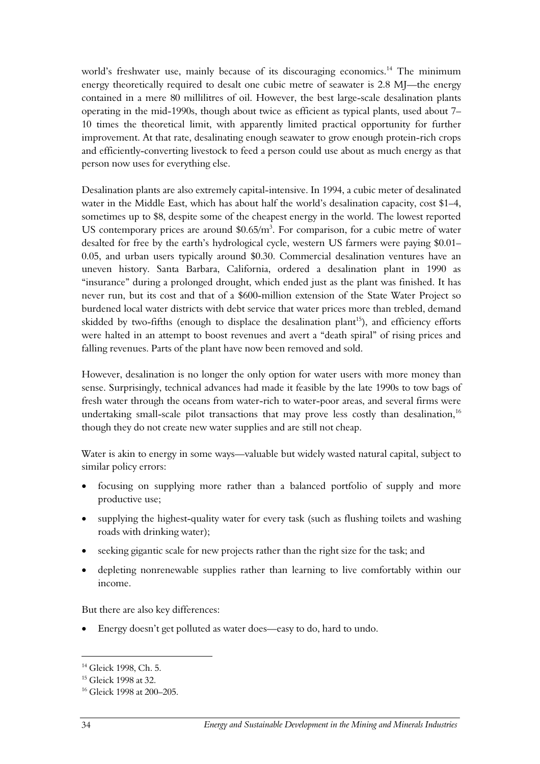world's freshwater use, mainly because of its discouraging economics.<sup>14</sup> The minimum energy theoretically required to desalt one cubic metre of seawater is 2.8 MJ—the energy contained in a mere 80 millilitres of oil. However, the best large-scale desalination plants operating in the mid-1990s, though about twice as efficient as typical plants, used about 7– 10 times the theoretical limit, with apparently limited practical opportunity for further improvement. At that rate, desalinating enough seawater to grow enough protein-rich crops and efficiently-converting livestock to feed a person could use about as much energy as that person now uses for everything else.

Desalination plants are also extremely capital-intensive. In 1994, a cubic meter of desalinated water in the Middle East, which has about half the world's desalination capacity, cost \$1–4, sometimes up to \$8, despite some of the cheapest energy in the world. The lowest reported US contemporary prices are around  $$0.65/m<sup>3</sup>$ . For comparison, for a cubic metre of water desalted for free by the earth's hydrological cycle, western US farmers were paying \$0.01– 0.05, and urban users typically around \$0.30. Commercial desalination ventures have an uneven history. Santa Barbara, California, ordered a desalination plant in 1990 as "insurance" during a prolonged drought, which ended just as the plant was finished. It has never run, but its cost and that of a \$600-million extension of the State Water Project so burdened local water districts with debt service that water prices more than trebled, demand skidded by two-fifths (enough to displace the desalination plant<sup>15</sup>), and efficiency efforts were halted in an attempt to boost revenues and avert a "death spiral" of rising prices and falling revenues. Parts of the plant have now been removed and sold.

However, desalination is no longer the only option for water users with more money than sense. Surprisingly, technical advances had made it feasible by the late 1990s to tow bags of fresh water through the oceans from water-rich to water-poor areas, and several firms were undertaking small-scale pilot transactions that may prove less costly than desalination,  $16$ though they do not create new water supplies and are still not cheap.

Water is akin to energy in some ways—valuable but widely wasted natural capital, subject to similar policy errors:

- focusing on supplying more rather than a balanced portfolio of supply and more productive use;
- supplying the highest-quality water for every task (such as flushing toilets and washing roads with drinking water);
- seeking gigantic scale for new projects rather than the right size for the task; and
- depleting nonrenewable supplies rather than learning to live comfortably within our income.

But there are also key differences:

Energy doesn't get polluted as water does—easy to do, hard to undo.

1

<sup>&</sup>lt;sup>14</sup> Gleick 1998, Ch. 5.

<sup>&</sup>lt;sup>15</sup> Gleick 1998 at 32.

<sup>16</sup> Gleick 1998 at 200–205.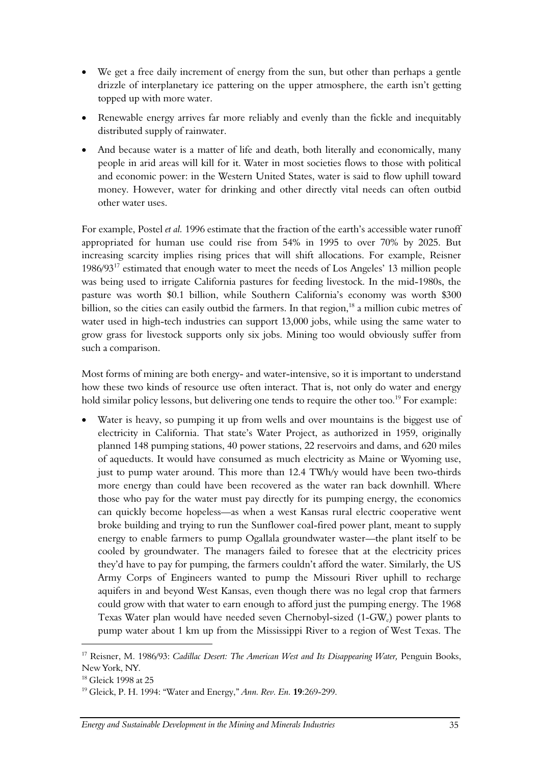- We get a free daily increment of energy from the sun, but other than perhaps a gentle drizzle of interplanetary ice pattering on the upper atmosphere, the earth isn't getting topped up with more water.
- Renewable energy arrives far more reliably and evenly than the fickle and inequitably distributed supply of rainwater.
- And because water is a matter of life and death, both literally and economically, many people in arid areas will kill for it. Water in most societies flows to those with political and economic power: in the Western United States, water is said to flow uphill toward money. However, water for drinking and other directly vital needs can often outbid other water uses.

For example, Postel *et al.* 1996 estimate that the fraction of the earth's accessible water runoff appropriated for human use could rise from 54% in 1995 to over 70% by 2025. But increasing scarcity implies rising prices that will shift allocations. For example, Reisner  $1986/93^{17}$  estimated that enough water to meet the needs of Los Angeles' 13 million people was being used to irrigate California pastures for feeding livestock. In the mid-1980s, the pasture was worth \$0.1 billion, while Southern California's economy was worth \$300 billion, so the cities can easily outbid the farmers. In that region,<sup>18</sup> a million cubic metres of water used in high-tech industries can support 13,000 jobs, while using the same water to grow grass for livestock supports only six jobs. Mining too would obviously suffer from such a comparison.

Most forms of mining are both energy- and water-intensive, so it is important to understand how these two kinds of resource use often interact. That is, not only do water and energy hold similar policy lessons, but delivering one tends to require the other too.<sup>19</sup> For example:

Water is heavy, so pumping it up from wells and over mountains is the biggest use of electricity in California. That state's Water Project, as authorized in 1959, originally planned 148 pumping stations, 40 power stations, 22 reservoirs and dams, and 620 miles of aqueducts. It would have consumed as much electricity as Maine or Wyoming use, just to pump water around. This more than 12.4 TWh/y would have been two-thirds more energy than could have been recovered as the water ran back downhill. Where those who pay for the water must pay directly for its pumping energy, the economics can quickly become hopeless—as when a west Kansas rural electric cooperative went broke building and trying to run the Sunflower coal-fired power plant, meant to supply energy to enable farmers to pump Ogallala groundwater waster—the plant itself to be cooled by groundwater. The managers failed to foresee that at the electricity prices they'd have to pay for pumping, the farmers couldn't afford the water. Similarly, the US Army Corps of Engineers wanted to pump the Missouri River uphill to recharge aquifers in and beyond West Kansas, even though there was no legal crop that farmers could grow with that water to earn enough to afford just the pumping energy. The 1968 Texas Water plan would have needed seven Chernobyl-sized (1-GW) power plants to pump water about 1 km up from the Mississippi River to a region of West Texas. The

 $\overline{a}$ 

<sup>17</sup> Reisner, M. 1986/93: *Cadillac Desert: The American West and Its Disappearing Water,* Penguin Books, New York, NY.

<sup>&</sup>lt;sup>18</sup> Gleick 1998 at 25

<sup>19</sup> Gleick, P. H. 1994: "Water and Energy," *Ann. Rev. En.* **19**:269-299.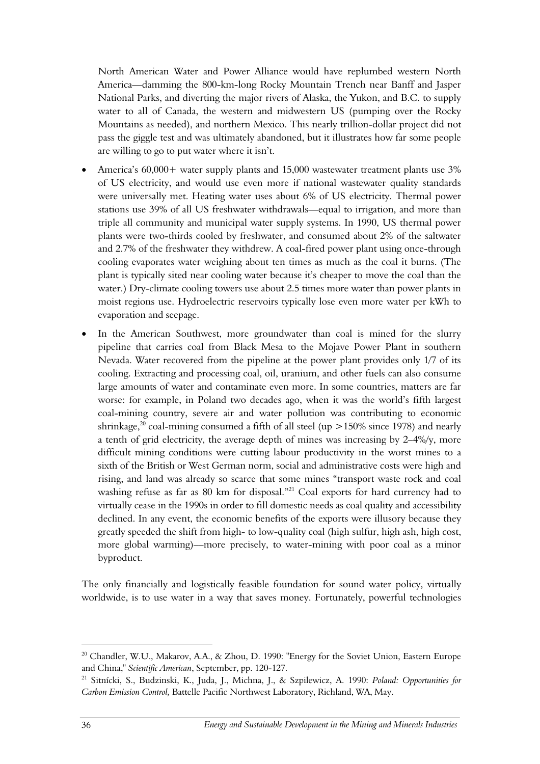North American Water and Power Alliance would have replumbed western North America—damming the 800-km-long Rocky Mountain Trench near Banff and Jasper National Parks, and diverting the major rivers of Alaska, the Yukon, and B.C. to supply water to all of Canada, the western and midwestern US (pumping over the Rocky Mountains as needed), and northern Mexico. This nearly trillion-dollar project did not pass the giggle test and was ultimately abandoned, but it illustrates how far some people are willing to go to put water where it isn't.

- America's 60,000+ water supply plants and 15,000 wastewater treatment plants use 3% of US electricity, and would use even more if national wastewater quality standards were universally met. Heating water uses about 6% of US electricity. Thermal power stations use 39% of all US freshwater withdrawals—equal to irrigation, and more than triple all community and municipal water supply systems. In 1990, US thermal power plants were two-thirds cooled by freshwater, and consumed about 2% of the saltwater and 2.7% of the freshwater they withdrew. A coal-fired power plant using once-through cooling evaporates water weighing about ten times as much as the coal it burns. (The plant is typically sited near cooling water because it's cheaper to move the coal than the water.) Dry-climate cooling towers use about 2.5 times more water than power plants in moist regions use. Hydroelectric reservoirs typically lose even more water per kWh to evaporation and seepage.
- In the American Southwest, more groundwater than coal is mined for the slurry pipeline that carries coal from Black Mesa to the Mojave Power Plant in southern Nevada. Water recovered from the pipeline at the power plant provides only 1/7 of its cooling. Extracting and processing coal, oil, uranium, and other fuels can also consume large amounts of water and contaminate even more. In some countries, matters are far worse: for example, in Poland two decades ago, when it was the world's fifth largest coal-mining country, severe air and water pollution was contributing to economic shrinkage,<sup>20</sup> coal-mining consumed a fifth of all steel (up  $>150\%$  since 1978) and nearly a tenth of grid electricity, the average depth of mines was increasing by 2–4%/y, more difficult mining conditions were cutting labour productivity in the worst mines to a sixth of the British or West German norm, social and administrative costs were high and rising, and land was already so scarce that some mines "transport waste rock and coal washing refuse as far as 80 km for disposal."<sup>21</sup> Coal exports for hard currency had to virtually cease in the 1990s in order to fill domestic needs as coal quality and accessibility declined. In any event, the economic benefits of the exports were illusory because they greatly speeded the shift from high- to low-quality coal (high sulfur, high ash, high cost, more global warming)––more precisely, to water-mining with poor coal as a minor byproduct.

The only financially and logistically feasible foundation for sound water policy, virtually worldwide, is to use water in a way that saves money. Fortunately, powerful technologies

 $\overline{a}$ 

<sup>&</sup>lt;sup>20</sup> Chandler, W.U., Makarov, A.A., & Zhou, D. 1990: "Energy for the Soviet Union, Eastern Europe and China," *Scientific American*, September, pp. 120-127.<br><sup>21</sup> Sitnícki, S., Budzinski, K., Juda, J., Michna, J., & Szpilewicz, A. 1990: *Poland: Opportunities for* 

*Carbon Emission Control,* Battelle Pacific Northwest Laboratory, Richland, WA, May.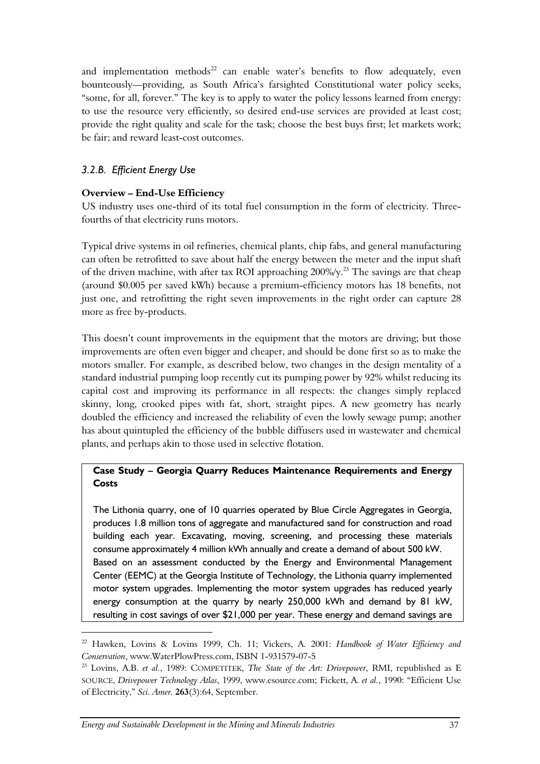and implementation methods<sup>22</sup> can enable water's benefits to flow adequately, even bounteously—providing, as South Africa's farsighted Constitutional water policy seeks, "some, for all, forever." The key is to apply to water the policy lessons learned from energy: to use the resource very efficiently, so desired end-use services are provided at least cost; provide the right quality and scale for the task; choose the best buys first; let markets work; be fair; and reward least-cost outcomes.

## *3.2.B. Efficient Energy Use*

## **Overview – End-Use Efficiency**

US industry uses one-third of its total fuel consumption in the form of electricity. Threefourths of that electricity runs motors.

Typical drive systems in oil refineries, chemical plants, chip fabs, and general manufacturing can often be retrofitted to save about half the energy between the meter and the input shaft of the driven machine, with after tax ROI approaching  $200\%$ /y.<sup>23</sup> The savings are that cheap (around \$0.005 per saved kWh) because a premium-efficiency motors has 18 benefits, not just one, and retrofitting the right seven improvements in the right order can capture 28 more as free by-products.

This doesn't count improvements in the equipment that the motors are driving; but those improvements are often even bigger and cheaper, and should be done first so as to make the motors smaller. For example, as described below, two changes in the design mentality of a standard industrial pumping loop recently cut its pumping power by 92% whilst reducing its capital cost and improving its performance in all respects: the changes simply replaced skinny, long, crooked pipes with fat, short, straight pipes. A new geometry has nearly doubled the efficiency and increased the reliability of even the lowly sewage pump; another has about quintupled the efficiency of the bubble diffusers used in wastewater and chemical plants, and perhaps akin to those used in selective flotation.

## **Case Study – Georgia Quarry Reduces Maintenance Requirements and Energy Costs**

The Lithonia quarry, one of 10 quarries operated by Blue Circle Aggregates in Georgia, produces 1.8 million tons of aggregate and manufactured sand for construction and road building each year. Excavating, moving, screening, and processing these materials consume approximately 4 million kWh annually and create a demand of about 500 kW. Based on an assessment conducted by the Energy and Environmental Management Center (EEMC) at the Georgia Institute of Technology, the Lithonia quarry implemented motor system upgrades. Implementing the motor system upgrades has reduced yearly energy consumption at the quarry by nearly 250,000 kWh and demand by 81 kW, resulting in cost savings of over \$21,000 per year. These energy and demand savings are

1

<sup>22</sup> Hawken, Lovins & Lovins 1999, Ch. 11; Vickers, A. 2001: *Handbook of Water Efficiency and Conservation*, www.WaterPlowPress.com, ISBN 1-931579-07-5<br><sup>23</sup> Lovins, A.B. *et al.*, 1989: COMPETITEK, *The State of the Art: Drivepower*, RMI, republished as E

SOURCE, *Drivepower Technology Atlas*, 1999, www.esource.com; Fickett, A. *et al.*, 1990: "Efficient Use of Electricity," *Sci. Amer.* **263**(3):64, September.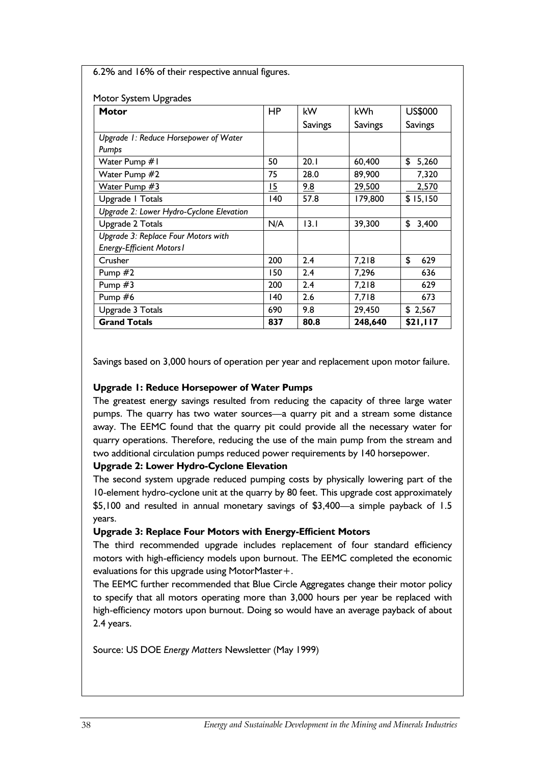6.2% and 16% of their respective annual figures.

| <b>Motor</b>                             | <b>HP</b> | kW      | kWh     | US\$000        |
|------------------------------------------|-----------|---------|---------|----------------|
|                                          |           | Savings | Savings | <b>Savings</b> |
| Upgrade 1: Reduce Horsepower of Water    |           |         |         |                |
| Pumps                                    |           |         |         |                |
| Water Pump #1                            | 50        | 20.1    | 60,400  | \$<br>5,260    |
| Water Pump #2                            | 75        | 28.0    | 89,900  | 7,320          |
| Water Pump #3                            | 15        | 9.8     | 29,500  | 2,570          |
| Upgrade   Totals                         | 140       | 57.8    | 179,800 | \$15,150       |
| Upgrade 2: Lower Hydro-Cyclone Elevation |           |         |         |                |
| Upgrade 2 Totals                         | N/A       | 13.1    | 39,300  | \$<br>3,400    |
| Upgrade 3: Replace Four Motors with      |           |         |         |                |
| <b>Energy-Efficient Motors I</b>         |           |         |         |                |
| Crusher                                  | 200       | 2.4     | 7,218   | \$<br>629      |
| Pump #2                                  | 150       | 2.4     | 7,296   | 636            |
| Pump $#3$                                | 200       | 2.4     | 7,218   | 629            |
| Pump #6                                  | 140       | 2.6     | 7,718   | 673            |
| Upgrade 3 Totals                         | 690       | 9.8     | 29,450  | \$2,567        |
| <b>Grand Totals</b>                      | 837       | 80.8    | 248,640 | \$21,117       |

Motor System Upgrades

Savings based on 3,000 hours of operation per year and replacement upon motor failure.

#### **Upgrade 1: Reduce Horsepower of Water Pumps**

The greatest energy savings resulted from reducing the capacity of three large water pumps. The quarry has two water sources—a quarry pit and a stream some distance away. The EEMC found that the quarry pit could provide all the necessary water for quarry operations. Therefore, reducing the use of the main pump from the stream and two additional circulation pumps reduced power requirements by 140 horsepower.

#### **Upgrade 2: Lower Hydro-Cyclone Elevation**

The second system upgrade reduced pumping costs by physically lowering part of the 10-element hydro-cyclone unit at the quarry by 80 feet. This upgrade cost approximately \$5,100 and resulted in annual monetary savings of \$3,400—a simple payback of 1.5 years.

#### **Upgrade 3: Replace Four Motors with Energy-Efficient Motors**

The third recommended upgrade includes replacement of four standard efficiency motors with high-efficiency models upon burnout. The EEMC completed the economic evaluations for this upgrade using MotorMaster+.

The EEMC further recommended that Blue Circle Aggregates change their motor policy to specify that all motors operating more than 3,000 hours per year be replaced with high-efficiency motors upon burnout. Doing so would have an average payback of about 2.4 years.

Source: US DOE *Energy Matters* Newsletter (May 1999)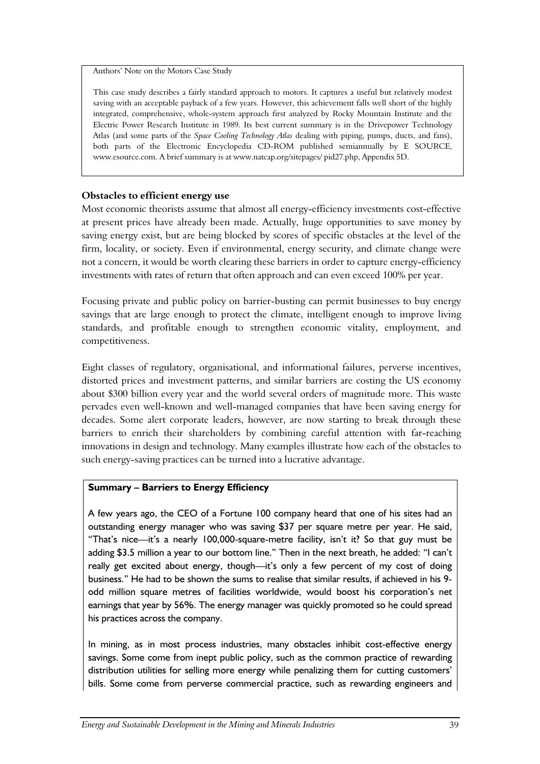Authors' Note on the Motors Case Study

This case study describes a fairly standard approach to motors. It captures a useful but relatively modest saving with an acceptable payback of a few years. However, this achievement falls well short of the highly integrated, comprehensive, whole-system approach first analyzed by Rocky Mountain Institute and the Electric Power Research Institute in 1989. Its best current summary is in the Drivepower Technology Atlas (and some parts of the *Space Cooling Technology Atlas* dealing with piping, pumps, ducts, and fans), both parts of the Electronic Encyclopedia CD-ROM published semiannually by E SOURCE, www.esource.com. A brief summary is at www.natcap.org/sitepages/ pid27.php, Appendix 5D.

## **Obstacles to efficient energy use**

Most economic theorists assume that almost all energy-efficiency investments cost-effective at present prices have already been made. Actually, huge opportunities to save money by saving energy exist, but are being blocked by scores of specific obstacles at the level of the firm, locality, or society. Even if environmental, energy security, and climate change were not a concern, it would be worth clearing these barriers in order to capture energy-efficiency investments with rates of return that often approach and can even exceed 100% per year.

Focusing private and public policy on barrier-busting can permit businesses to buy energy savings that are large enough to protect the climate, intelligent enough to improve living standards, and profitable enough to strengthen economic vitality, employment, and competitiveness.

Eight classes of regulatory, organisational, and informational failures, perverse incentives, distorted prices and investment patterns, and similar barriers are costing the US economy about \$300 billion every year and the world several orders of magnitude more. This waste pervades even well-known and well-managed companies that have been saving energy for decades. Some alert corporate leaders, however, are now starting to break through these barriers to enrich their shareholders by combining careful attention with far-reaching innovations in design and technology. Many examples illustrate how each of the obstacles to such energy-saving practices can be turned into a lucrative advantage.

#### **Summary – Barriers to Energy Efficiency**

A few years ago, the CEO of a Fortune 100 company heard that one of his sites had an outstanding energy manager who was saving \$37 per square metre per year. He said, "That's nice—it's a nearly 100,000-square-metre facility, isn't it? So that guy must be adding \$3.5 million a year to our bottom line." Then in the next breath, he added: "I can't really get excited about energy, though—it's only a few percent of my cost of doing business." He had to be shown the sums to realise that similar results, if achieved in his 9 odd million square metres of facilities worldwide, would boost his corporation's net earnings that year by 56%. The energy manager was quickly promoted so he could spread his practices across the company.

In mining, as in most process industries, many obstacles inhibit cost-effective energy savings. Some come from inept public policy, such as the common practice of rewarding distribution utilities for selling more energy while penalizing them for cutting customers' bills. Some come from perverse commercial practice, such as rewarding engineers and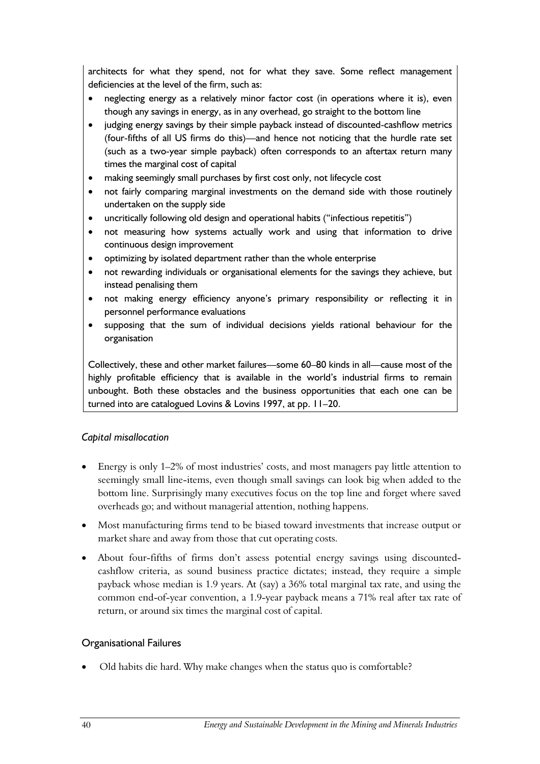architects for what they spend, not for what they save. Some reflect management deficiencies at the level of the firm, such as:

- neglecting energy as a relatively minor factor cost (in operations where it is), even though any savings in energy, as in any overhead, go straight to the bottom line
- iudging energy savings by their simple payback instead of discounted-cashflow metrics (four-fifths of all US firms do this)—and hence not noticing that the hurdle rate set (such as a two-year simple payback) often corresponds to an aftertax return many times the marginal cost of capital
- making seemingly small purchases by first cost only, not lifecycle cost
- not fairly comparing marginal investments on the demand side with those routinely undertaken on the supply side
- uncritically following old design and operational habits ("infectious repetitis")
- not measuring how systems actually work and using that information to drive continuous design improvement
- optimizing by isolated department rather than the whole enterprise
- not rewarding individuals or organisational elements for the savings they achieve, but instead penalising them
- not making energy efficiency anyone's primary responsibility or reflecting it in personnel performance evaluations
- supposing that the sum of individual decisions yields rational behaviour for the organisation

Collectively, these and other market failures—some 60–80 kinds in all—cause most of the highly profitable efficiency that is available in the world's industrial firms to remain unbought. Both these obstacles and the business opportunities that each one can be turned into are catalogued Lovins & Lovins 1997, at pp. 11–20.

## *Capital misallocation*

- Energy is only 1–2% of most industries' costs, and most managers pay little attention to seemingly small line-items, even though small savings can look big when added to the bottom line. Surprisingly many executives focus on the top line and forget where saved overheads go; and without managerial attention, nothing happens.
- Most manufacturing firms tend to be biased toward investments that increase output or market share and away from those that cut operating costs.
- About four-fifths of firms don't assess potential energy savings using discountedcashflow criteria, as sound business practice dictates; instead, they require a simple payback whose median is 1.9 years. At (say) a 36% total marginal tax rate, and using the common end-of-year convention, a 1.9-year payback means a 71% real after tax rate of return, or around six times the marginal cost of capital.

## Organisational Failures

• Old habits die hard. Why make changes when the status quo is comfortable?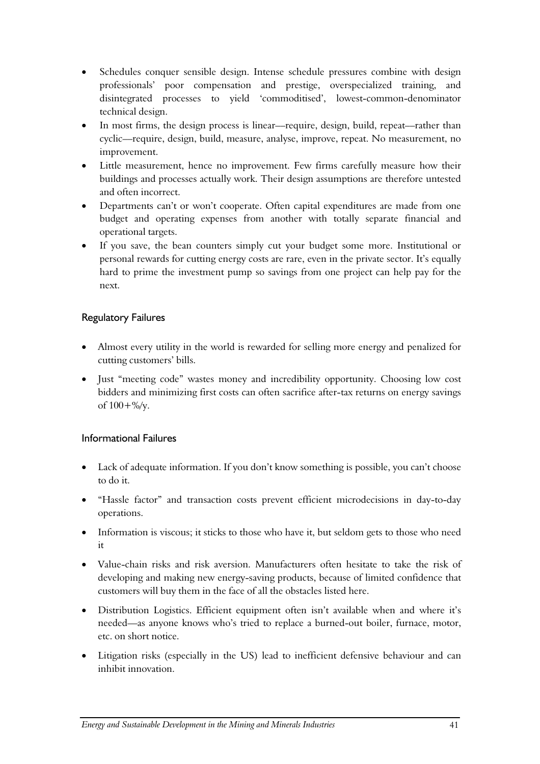- Schedules conquer sensible design. Intense schedule pressures combine with design professionals' poor compensation and prestige, overspecialized training, and disintegrated processes to yield 'commoditised', lowest-common-denominator technical design.
- In most firms, the design process is linear—require, design, build, repeat—rather than cyclic––require, design, build, measure, analyse, improve, repeat. No measurement, no improvement.
- Little measurement, hence no improvement. Few firms carefully measure how their buildings and processes actually work. Their design assumptions are therefore untested and often incorrect.
- Departments can't or won't cooperate. Often capital expenditures are made from one budget and operating expenses from another with totally separate financial and operational targets.
- If you save, the bean counters simply cut your budget some more. Institutional or personal rewards for cutting energy costs are rare, even in the private sector. It's equally hard to prime the investment pump so savings from one project can help pay for the next.

## Regulatory Failures

- Almost every utility in the world is rewarded for selling more energy and penalized for cutting customers' bills.
- Just "meeting code" wastes money and incredibility opportunity. Choosing low cost bidders and minimizing first costs can often sacrifice after-tax returns on energy savings of  $100 + \frac{9}{9}$ /y.

## Informational Failures

- Lack of adequate information. If you don't know something is possible, you can't choose to do it.
- "Hassle factor" and transaction costs prevent efficient microdecisions in day-to-day operations.
- Information is viscous; it sticks to those who have it, but seldom gets to those who need it
- Value-chain risks and risk aversion. Manufacturers often hesitate to take the risk of developing and making new energy-saving products, because of limited confidence that customers will buy them in the face of all the obstacles listed here.
- Distribution Logistics. Efficient equipment often isn't available when and where it's needed—as anyone knows who's tried to replace a burned-out boiler, furnace, motor, etc. on short notice.
- Litigation risks (especially in the US) lead to inefficient defensive behaviour and can inhibit innovation.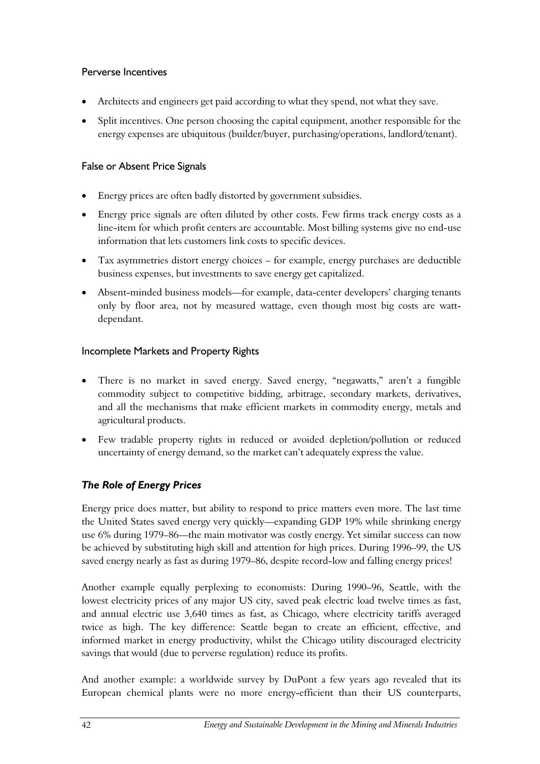## Perverse Incentives

- Architects and engineers get paid according to what they spend, not what they save.
- Split incentives. One person choosing the capital equipment, another responsible for the energy expenses are ubiquitous (builder/buyer, purchasing/operations, landlord/tenant).

# False or Absent Price Signals

- Energy prices are often badly distorted by government subsidies.
- Energy price signals are often diluted by other costs. Few firms track energy costs as a line-item for which profit centers are accountable. Most billing systems give no end-use information that lets customers link costs to specific devices.
- Tax asymmetries distort energy choices for example, energy purchases are deductible business expenses, but investments to save energy get capitalized.
- Absent-minded business models—for example, data-center developers' charging tenants only by floor area, not by measured wattage, even though most big costs are wattdependant.

## Incomplete Markets and Property Rights

- There is no market in saved energy. Saved energy, "negawatts," aren't a fungible commodity subject to competitive bidding, arbitrage, secondary markets, derivatives, and all the mechanisms that make efficient markets in commodity energy, metals and agricultural products.
- Few tradable property rights in reduced or avoided depletion/pollution or reduced uncertainty of energy demand, so the market can't adequately express the value.

# *The Role of Energy Prices*

Energy price does matter, but ability to respond to price matters even more. The last time the United States saved energy very quickly—expanding GDP 19% while shrinking energy use 6% during 1979–86—the main motivator was costly energy. Yet similar success can now be achieved by substituting high skill and attention for high prices. During 1996–99, the US saved energy nearly as fast as during 1979–86, despite record-low and falling energy prices!

Another example equally perplexing to economists: During 1990–96, Seattle, with the lowest electricity prices of any major US city, saved peak electric load twelve times as fast, and annual electric use 3,640 times as fast, as Chicago, where electricity tariffs averaged twice as high. The key difference: Seattle began to create an efficient, effective, and informed market in energy productivity, whilst the Chicago utility discouraged electricity savings that would (due to perverse regulation) reduce its profits.

And another example: a worldwide survey by DuPont a few years ago revealed that its European chemical plants were no more energy-efficient than their US counterparts,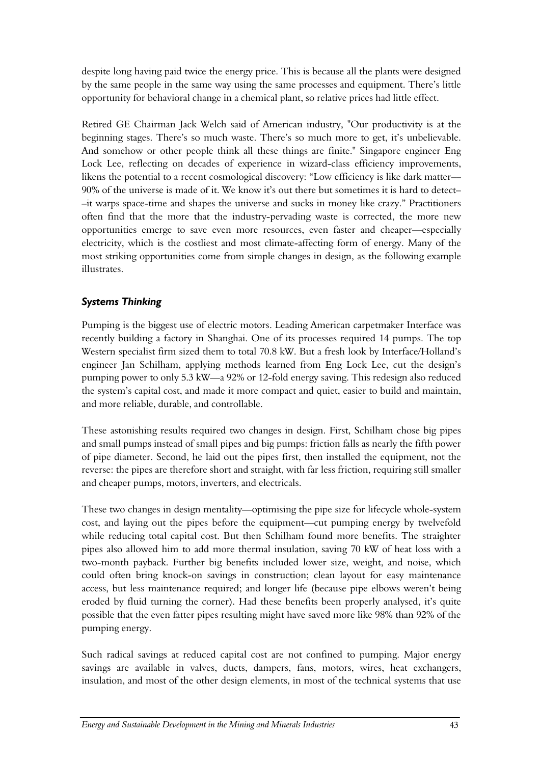despite long having paid twice the energy price. This is because all the plants were designed by the same people in the same way using the same processes and equipment. There's little opportunity for behavioral change in a chemical plant, so relative prices had little effect.

Retired GE Chairman Jack Welch said of American industry, "Our productivity is at the beginning stages. There's so much waste. There's so much more to get, it's unbelievable. And somehow or other people think all these things are finite." Singapore engineer Eng Lock Lee, reflecting on decades of experience in wizard-class efficiency improvements, likens the potential to a recent cosmological discovery: "Low efficiency is like dark matter–– 90% of the universe is made of it. We know it's out there but sometimes it is hard to detect– –it warps space-time and shapes the universe and sucks in money like crazy." Practitioners often find that the more that the industry-pervading waste is corrected, the more new opportunities emerge to save even more resources, even faster and cheaper—especially electricity, which is the costliest and most climate-affecting form of energy. Many of the most striking opportunities come from simple changes in design, as the following example illustrates.

# *Systems Thinking*

Pumping is the biggest use of electric motors. Leading American carpetmaker Interface was recently building a factory in Shanghai. One of its processes required 14 pumps. The top Western specialist firm sized them to total 70.8 kW. But a fresh look by Interface/Holland's engineer Jan Schilham, applying methods learned from Eng Lock Lee, cut the design's pumping power to only 5.3 kW—a 92% or 12-fold energy saving. This redesign also reduced the system's capital cost, and made it more compact and quiet, easier to build and maintain, and more reliable, durable, and controllable.

These astonishing results required two changes in design. First, Schilham chose big pipes and small pumps instead of small pipes and big pumps: friction falls as nearly the fifth power of pipe diameter. Second, he laid out the pipes first, then installed the equipment, not the reverse: the pipes are therefore short and straight, with far less friction, requiring still smaller and cheaper pumps, motors, inverters, and electricals.

These two changes in design mentality—optimising the pipe size for lifecycle whole-system cost, and laying out the pipes before the equipment—cut pumping energy by twelvefold while reducing total capital cost. But then Schilham found more benefits. The straighter pipes also allowed him to add more thermal insulation, saving 70 kW of heat loss with a two-month payback. Further big benefits included lower size, weight, and noise, which could often bring knock-on savings in construction; clean layout for easy maintenance access, but less maintenance required; and longer life (because pipe elbows weren't being eroded by fluid turning the corner). Had these benefits been properly analysed, it's quite possible that the even fatter pipes resulting might have saved more like 98% than 92% of the pumping energy.

Such radical savings at reduced capital cost are not confined to pumping. Major energy savings are available in valves, ducts, dampers, fans, motors, wires, heat exchangers, insulation, and most of the other design elements, in most of the technical systems that use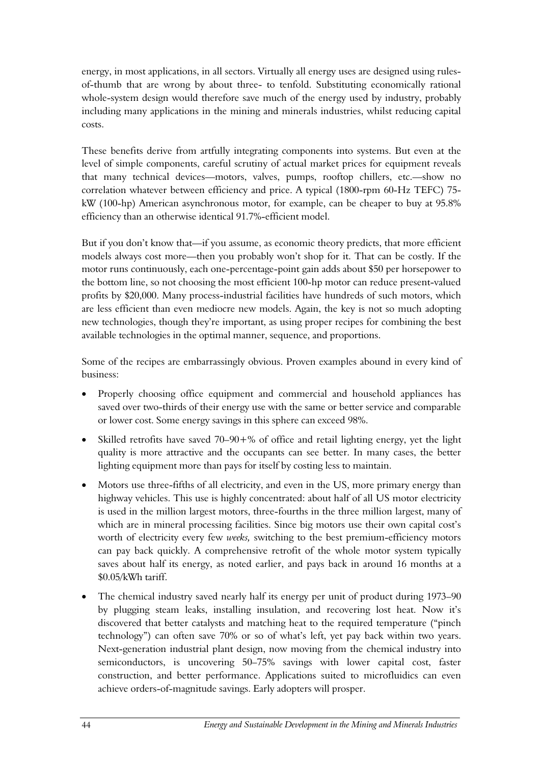energy, in most applications, in all sectors. Virtually all energy uses are designed using rulesof-thumb that are wrong by about three- to tenfold. Substituting economically rational whole-system design would therefore save much of the energy used by industry, probably including many applications in the mining and minerals industries, whilst reducing capital costs.

These benefits derive from artfully integrating components into systems. But even at the level of simple components, careful scrutiny of actual market prices for equipment reveals that many technical devices—motors, valves, pumps, rooftop chillers, etc.—show no correlation whatever between efficiency and price. A typical (1800-rpm 60-Hz TEFC) 75 kW (100-hp) American asynchronous motor, for example, can be cheaper to buy at 95.8% efficiency than an otherwise identical 91.7%-efficient model.

But if you don't know that—if you assume, as economic theory predicts, that more efficient models always cost more—then you probably won't shop for it. That can be costly. If the motor runs continuously, each one-percentage-point gain adds about \$50 per horsepower to the bottom line, so not choosing the most efficient 100-hp motor can reduce present-valued profits by \$20,000. Many process-industrial facilities have hundreds of such motors, which are less efficient than even mediocre new models. Again, the key is not so much adopting new technologies, though they're important, as using proper recipes for combining the best available technologies in the optimal manner, sequence, and proportions.

Some of the recipes are embarrassingly obvious. Proven examples abound in every kind of business:

- Properly choosing office equipment and commercial and household appliances has saved over two-thirds of their energy use with the same or better service and comparable or lower cost. Some energy savings in this sphere can exceed 98%.
- Skilled retrofits have saved 70–90+% of office and retail lighting energy, yet the light quality is more attractive and the occupants can see better. In many cases, the better lighting equipment more than pays for itself by costing less to maintain.
- Motors use three-fifths of all electricity, and even in the US, more primary energy than highway vehicles. This use is highly concentrated: about half of all US motor electricity is used in the million largest motors, three-fourths in the three million largest, many of which are in mineral processing facilities. Since big motors use their own capital cost's worth of electricity every few *weeks,* switching to the best premium-efficiency motors can pay back quickly. A comprehensive retrofit of the whole motor system typically saves about half its energy, as noted earlier, and pays back in around 16 months at a \$0.05/kWh tariff.
- The chemical industry saved nearly half its energy per unit of product during 1973–90 by plugging steam leaks, installing insulation, and recovering lost heat. Now it's discovered that better catalysts and matching heat to the required temperature ("pinch technology") can often save 70% or so of what's left, yet pay back within two years. Next-generation industrial plant design, now moving from the chemical industry into semiconductors, is uncovering 50–75% savings with lower capital cost, faster construction, and better performance. Applications suited to microfluidics can even achieve orders-of-magnitude savings. Early adopters will prosper.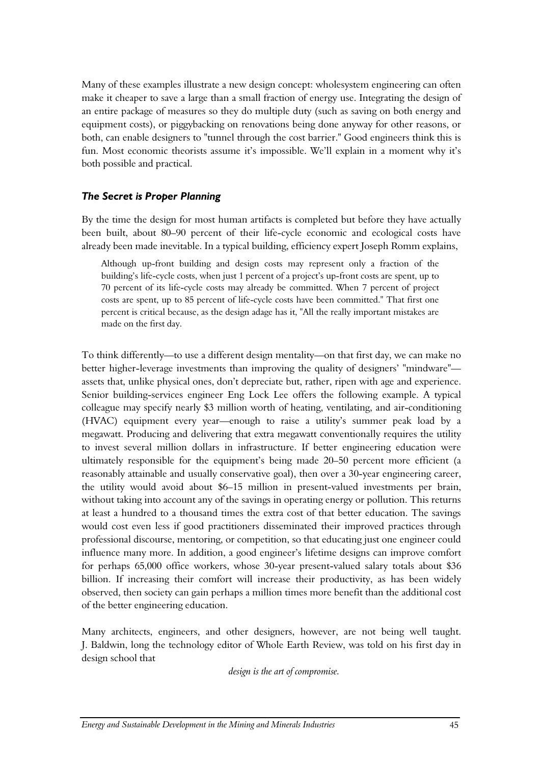Many of these examples illustrate a new design concept: wholesystem engineering can often make it cheaper to save a large than a small fraction of energy use. Integrating the design of an entire package of measures so they do multiple duty (such as saving on both energy and equipment costs), or piggybacking on renovations being done anyway for other reasons, or both, can enable designers to "tunnel through the cost barrier." Good engineers think this is fun. Most economic theorists assume it's impossible. We'll explain in a moment why it's both possible and practical.

## *The Secret is Proper Planning*

By the time the design for most human artifacts is completed but before they have actually been built, about 80–90 percent of their life-cycle economic and ecological costs have already been made inevitable. In a typical building, efficiency expert Joseph Romm explains,

Although up-front building and design costs may represent only a fraction of the building's life-cycle costs, when just 1 percent of a project's up-front costs are spent, up to 70 percent of its life-cycle costs may already be committed. When 7 percent of project costs are spent, up to 85 percent of life-cycle costs have been committed." That first one percent is critical because, as the design adage has it, "All the really important mistakes are made on the first day.

To think differently—to use a different design mentality—on that first day, we can make no better higher-leverage investments than improving the quality of designers' "mindware" assets that, unlike physical ones, don't depreciate but, rather, ripen with age and experience. Senior building-services engineer Eng Lock Lee offers the following example. A typical colleague may specify nearly \$3 million worth of heating, ventilating, and air-conditioning (HVAC) equipment every year—enough to raise a utility's summer peak load by a megawatt. Producing and delivering that extra megawatt conventionally requires the utility to invest several million dollars in infrastructure. If better engineering education were ultimately responsible for the equipment's being made 20–50 percent more efficient (a reasonably attainable and usually conservative goal), then over a 30-year engineering career, the utility would avoid about \$6–15 million in present-valued investments per brain, without taking into account any of the savings in operating energy or pollution. This returns at least a hundred to a thousand times the extra cost of that better education. The savings would cost even less if good practitioners disseminated their improved practices through professional discourse, mentoring, or competition, so that educating just one engineer could influence many more. In addition, a good engineer's lifetime designs can improve comfort for perhaps 65,000 office workers, whose 30-year present-valued salary totals about \$36 billion. If increasing their comfort will increase their productivity, as has been widely observed, then society can gain perhaps a million times more benefit than the additional cost of the better engineering education.

Many architects, engineers, and other designers, however, are not being well taught. J. Baldwin, long the technology editor of Whole Earth Review, was told on his first day in design school that

*design is the art of compromise.*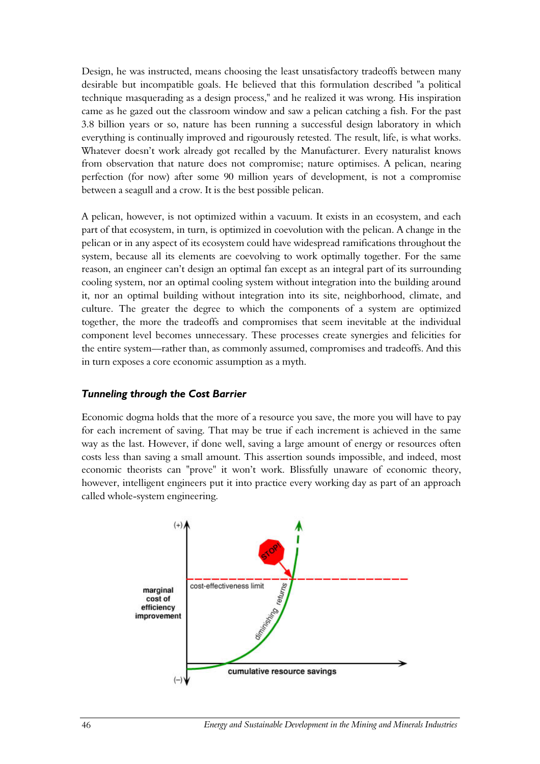Design, he was instructed, means choosing the least unsatisfactory tradeoffs between many desirable but incompatible goals. He believed that this formulation described "a political technique masquerading as a design process," and he realized it was wrong. His inspiration came as he gazed out the classroom window and saw a pelican catching a fish. For the past 3.8 billion years or so, nature has been running a successful design laboratory in which everything is continually improved and rigourously retested. The result, life, is what works. Whatever doesn't work already got recalled by the Manufacturer. Every naturalist knows from observation that nature does not compromise; nature optimises. A pelican, nearing perfection (for now) after some 90 million years of development, is not a compromise between a seagull and a crow. It is the best possible pelican.

A pelican, however, is not optimized within a vacuum. It exists in an ecosystem, and each part of that ecosystem, in turn, is optimized in coevolution with the pelican. A change in the pelican or in any aspect of its ecosystem could have widespread ramifications throughout the system, because all its elements are coevolving to work optimally together. For the same reason, an engineer can't design an optimal fan except as an integral part of its surrounding cooling system, nor an optimal cooling system without integration into the building around it, nor an optimal building without integration into its site, neighborhood, climate, and culture. The greater the degree to which the components of a system are optimized together, the more the tradeoffs and compromises that seem inevitable at the individual component level becomes unnecessary. These processes create synergies and felicities for the entire system––rather than, as commonly assumed, compromises and tradeoffs. And this in turn exposes a core economic assumption as a myth.

## *Tunneling through the Cost Barrier*

Economic dogma holds that the more of a resource you save, the more you will have to pay for each increment of saving. That may be true if each increment is achieved in the same way as the last. However, if done well, saving a large amount of energy or resources often costs less than saving a small amount. This assertion sounds impossible, and indeed, most economic theorists can "prove" it won't work. Blissfully unaware of economic theory, however, intelligent engineers put it into practice every working day as part of an approach called whole-system engineering.

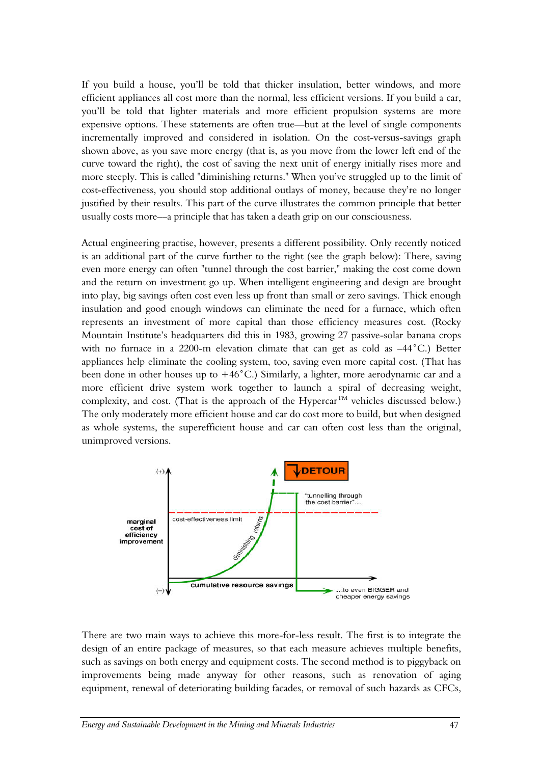If you build a house, you'll be told that thicker insulation, better windows, and more efficient appliances all cost more than the normal, less efficient versions. If you build a car, you'll be told that lighter materials and more efficient propulsion systems are more expensive options. These statements are often true—but at the level of single components incrementally improved and considered in isolation. On the cost-versus-savings graph shown above, as you save more energy (that is, as you move from the lower left end of the curve toward the right), the cost of saving the next unit of energy initially rises more and more steeply. This is called "diminishing returns." When you've struggled up to the limit of cost-effectiveness, you should stop additional outlays of money, because they're no longer justified by their results. This part of the curve illustrates the common principle that better usually costs more––a principle that has taken a death grip on our consciousness.

Actual engineering practise, however, presents a different possibility. Only recently noticed is an additional part of the curve further to the right (see the graph below): There, saving even more energy can often "tunnel through the cost barrier," making the cost come down and the return on investment go up. When intelligent engineering and design are brought into play, big savings often cost even less up front than small or zero savings. Thick enough insulation and good enough windows can eliminate the need for a furnace, which often represents an investment of more capital than those efficiency measures cost. (Rocky Mountain Institute's headquarters did this in 1983, growing 27 passive-solar banana crops with no furnace in a 2200-m elevation climate that can get as cold as –44˚C.) Better appliances help eliminate the cooling system, too, saving even more capital cost. (That has been done in other houses up to  $+46^{\circ}$ C.) Similarly, a lighter, more aerodynamic car and a more efficient drive system work together to launch a spiral of decreasing weight, complexity, and cost. (That is the approach of the Hypercar™ vehicles discussed below.) The only moderately more efficient house and car do cost more to build, but when designed as whole systems, the superefficient house and car can often cost less than the original, unimproved versions.



There are two main ways to achieve this more-for-less result. The first is to integrate the design of an entire package of measures, so that each measure achieves multiple benefits, such as savings on both energy and equipment costs. The second method is to piggyback on improvements being made anyway for other reasons, such as renovation of aging equipment, renewal of deteriorating building facades, or removal of such hazards as CFCs,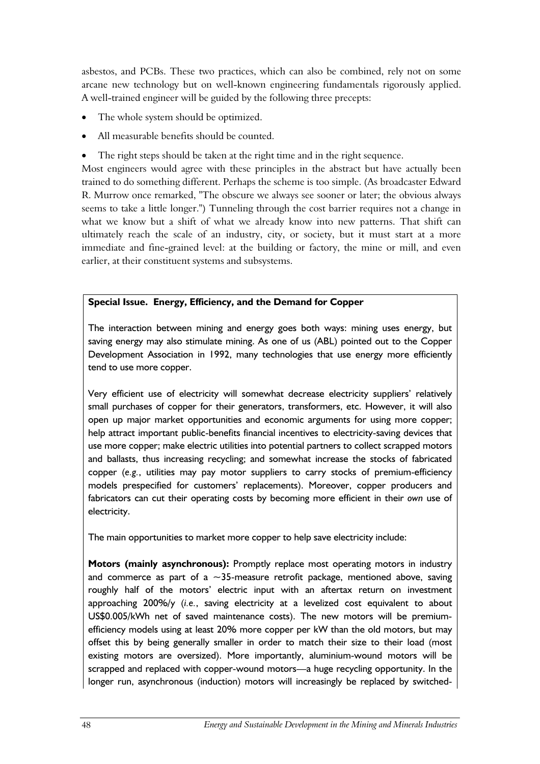asbestos, and PCBs. These two practices, which can also be combined, rely not on some arcane new technology but on well-known engineering fundamentals rigorously applied. A well-trained engineer will be guided by the following three precepts:

- The whole system should be optimized.
- All measurable benefits should be counted.
- The right steps should be taken at the right time and in the right sequence.

Most engineers would agree with these principles in the abstract but have actually been trained to do something different. Perhaps the scheme is too simple. (As broadcaster Edward R. Murrow once remarked, "The obscure we always see sooner or later; the obvious always seems to take a little longer.") Tunneling through the cost barrier requires not a change in what we know but a shift of what we already know into new patterns. That shift can ultimately reach the scale of an industry, city, or society, but it must start at a more immediate and fine-grained level: at the building or factory, the mine or mill, and even earlier, at their constituent systems and subsystems.

#### **Special Issue. Energy, Efficiency, and the Demand for Copper**

The interaction between mining and energy goes both ways: mining uses energy, but saving energy may also stimulate mining. As one of us (ABL) pointed out to the Copper Development Association in 1992, many technologies that use energy more efficiently tend to use more copper.

Very efficient use of electricity will somewhat decrease electricity suppliers' relatively small purchases of copper for their generators, transformers, etc. However, it will also open up major market opportunities and economic arguments for using more copper; help attract important public-benefits financial incentives to electricity-saving devices that use more copper; make electric utilities into potential partners to collect scrapped motors and ballasts, thus increasing recycling; and somewhat increase the stocks of fabricated copper (*e.g.*, utilities may pay motor suppliers to carry stocks of premium-efficiency models prespecified for customers' replacements). Moreover, copper producers and fabricators can cut their operating costs by becoming more efficient in their *own* use of electricity.

The main opportunities to market more copper to help save electricity include:

**Motors (mainly asynchronous):** Promptly replace most operating motors in industry and commerce as part of a  $\sim$ 35-measure retrofit package, mentioned above, saving roughly half of the motors' electric input with an aftertax return on investment approaching 200%/y (*i.e.*, saving electricity at a levelized cost equivalent to about US\$0.005/kWh net of saved maintenance costs). The new motors will be premiumefficiency models using at least 20% more copper per kW than the old motors, but may offset this by being generally smaller in order to match their size to their load (most existing motors are oversized). More importantly, aluminium-wound motors will be scrapped and replaced with copper-wound motors—a huge recycling opportunity. In the longer run, asynchronous (induction) motors will increasingly be replaced by switched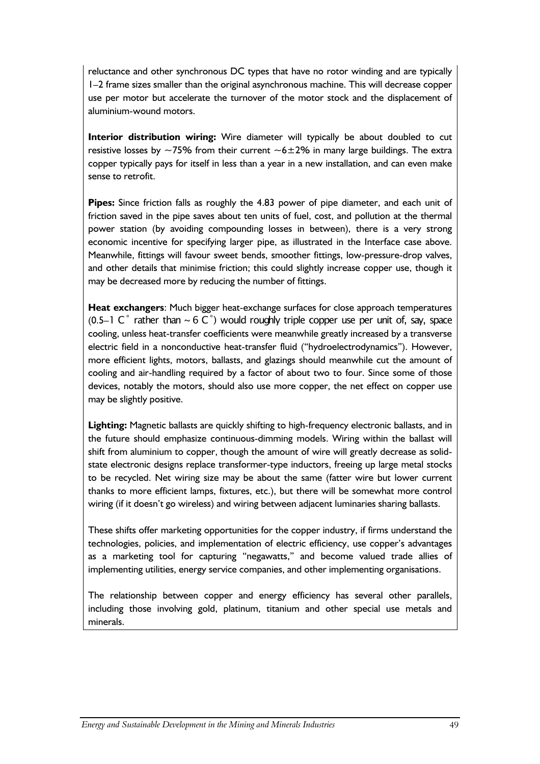reluctance and other synchronous DC types that have no rotor winding and are typically 1–2 frame sizes smaller than the original asynchronous machine. This will decrease copper use per motor but accelerate the turnover of the motor stock and the displacement of aluminium-wound motors.

**Interior distribution wiring:** Wire diameter will typically be about doubled to cut resistive losses by  $\sim$ 75% from their current  $\sim$ 6 $\pm$ 2% in many large buildings. The extra copper typically pays for itself in less than a year in a new installation, and can even make sense to retrofit.

**Pipes:** Since friction falls as roughly the 4.83 power of pipe diameter, and each unit of friction saved in the pipe saves about ten units of fuel, cost, and pollution at the thermal power station (by avoiding compounding losses in between), there is a very strong economic incentive for specifying larger pipe, as illustrated in the Interface case above. Meanwhile, fittings will favour sweet bends, smoother fittings, low-pressure-drop valves, and other details that minimise friction; this could slightly increase copper use, though it may be decreased more by reducing the number of fittings.

**Heat exchangers**: Much bigger heat-exchange surfaces for close approach temperatures  $(0.5-1)$  C $\degree$  rather than  $\sim$  6 C $\degree$ ) would roughly triple copper use per unit of, say, space cooling, unless heat-transfer coefficients were meanwhile greatly increased by a transverse electric field in a nonconductive heat-transfer fluid ("hydroelectrodynamics"). However, more efficient lights, motors, ballasts, and glazings should meanwhile cut the amount of cooling and air-handling required by a factor of about two to four. Since some of those devices, notably the motors, should also use more copper, the net effect on copper use may be slightly positive.

**Lighting:** Magnetic ballasts are quickly shifting to high-frequency electronic ballasts, and in the future should emphasize continuous-dimming models. Wiring within the ballast will shift from aluminium to copper, though the amount of wire will greatly decrease as solidstate electronic designs replace transformer-type inductors, freeing up large metal stocks to be recycled. Net wiring size may be about the same (fatter wire but lower current thanks to more efficient lamps, fixtures, etc.), but there will be somewhat more control wiring (if it doesn't go wireless) and wiring between adjacent luminaries sharing ballasts.

These shifts offer marketing opportunities for the copper industry, if firms understand the technologies, policies, and implementation of electric efficiency, use copper's advantages as a marketing tool for capturing "negawatts," and become valued trade allies of implementing utilities, energy service companies, and other implementing organisations.

The relationship between copper and energy efficiency has several other parallels, including those involving gold, platinum, titanium and other special use metals and minerals.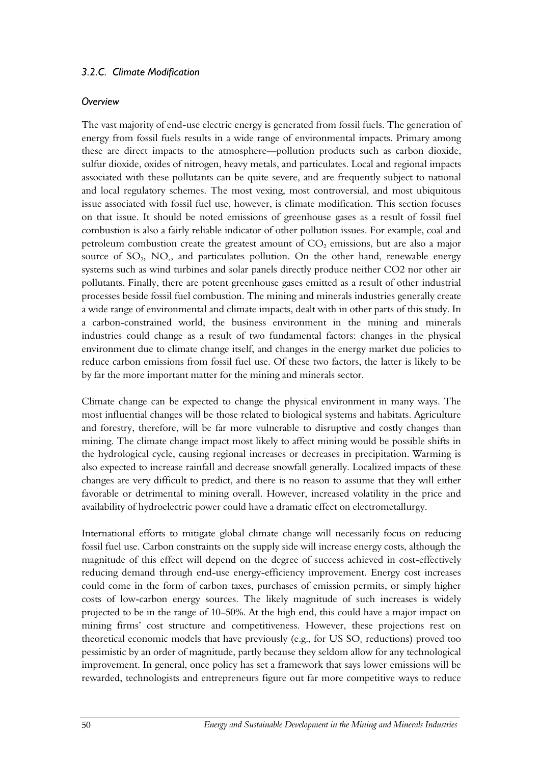### *3.2.C. Climate Modification*

#### *Overview*

The vast majority of end-use electric energy is generated from fossil fuels. The generation of energy from fossil fuels results in a wide range of environmental impacts. Primary among these are direct impacts to the atmosphere––pollution products such as carbon dioxide, sulfur dioxide, oxides of nitrogen, heavy metals, and particulates. Local and regional impacts associated with these pollutants can be quite severe, and are frequently subject to national and local regulatory schemes. The most vexing, most controversial, and most ubiquitous issue associated with fossil fuel use, however, is climate modification. This section focuses on that issue. It should be noted emissions of greenhouse gases as a result of fossil fuel combustion is also a fairly reliable indicator of other pollution issues. For example, coal and petroleum combustion create the greatest amount of  $CO<sub>2</sub>$  emissions, but are also a major source of  $SO_2$ ,  $NO_x$ , and particulates pollution. On the other hand, renewable energy systems such as wind turbines and solar panels directly produce neither CO2 nor other air pollutants. Finally, there are potent greenhouse gases emitted as a result of other industrial processes beside fossil fuel combustion. The mining and minerals industries generally create a wide range of environmental and climate impacts, dealt with in other parts of this study. In a carbon-constrained world, the business environment in the mining and minerals industries could change as a result of two fundamental factors: changes in the physical environment due to climate change itself, and changes in the energy market due policies to reduce carbon emissions from fossil fuel use. Of these two factors, the latter is likely to be by far the more important matter for the mining and minerals sector.

Climate change can be expected to change the physical environment in many ways. The most influential changes will be those related to biological systems and habitats. Agriculture and forestry, therefore, will be far more vulnerable to disruptive and costly changes than mining. The climate change impact most likely to affect mining would be possible shifts in the hydrological cycle, causing regional increases or decreases in precipitation. Warming is also expected to increase rainfall and decrease snowfall generally. Localized impacts of these changes are very difficult to predict, and there is no reason to assume that they will either favorable or detrimental to mining overall. However, increased volatility in the price and availability of hydroelectric power could have a dramatic effect on electrometallurgy.

International efforts to mitigate global climate change will necessarily focus on reducing fossil fuel use. Carbon constraints on the supply side will increase energy costs, although the magnitude of this effect will depend on the degree of success achieved in cost-effectively reducing demand through end-use energy-efficiency improvement. Energy cost increases could come in the form of carbon taxes, purchases of emission permits, or simply higher costs of low-carbon energy sources. The likely magnitude of such increases is widely projected to be in the range of 10–50%. At the high end, this could have a major impact on mining firms' cost structure and competitiveness. However, these projections rest on theoretical economic models that have previously (e.g., for US  $SO<sub>x</sub>$  reductions) proved too pessimistic by an order of magnitude, partly because they seldom allow for any technological improvement. In general, once policy has set a framework that says lower emissions will be rewarded, technologists and entrepreneurs figure out far more competitive ways to reduce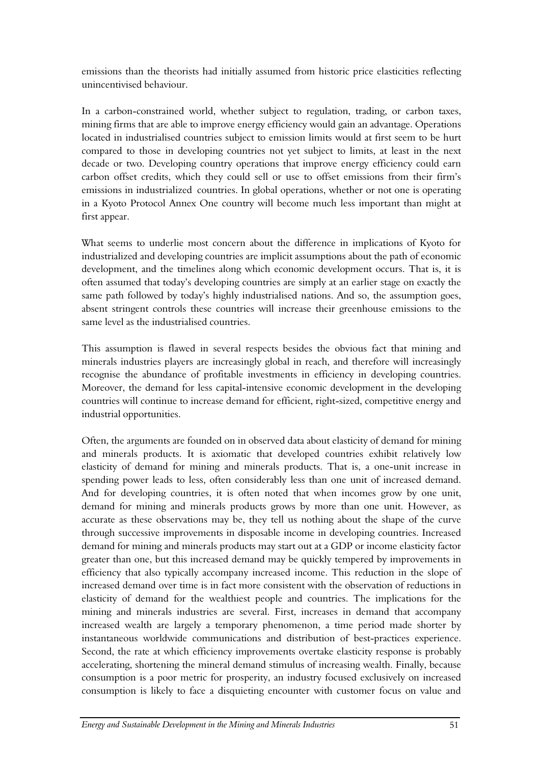emissions than the theorists had initially assumed from historic price elasticities reflecting unincentivised behaviour.

In a carbon-constrained world, whether subject to regulation, trading, or carbon taxes, mining firms that are able to improve energy efficiency would gain an advantage. Operations located in industrialised countries subject to emission limits would at first seem to be hurt compared to those in developing countries not yet subject to limits, at least in the next decade or two. Developing country operations that improve energy efficiency could earn carbon offset credits, which they could sell or use to offset emissions from their firm's emissions in industrialized countries. In global operations, whether or not one is operating in a Kyoto Protocol Annex One country will become much less important than might at first appear.

What seems to underlie most concern about the difference in implications of Kyoto for industrialized and developing countries are implicit assumptions about the path of economic development, and the timelines along which economic development occurs. That is, it is often assumed that today's developing countries are simply at an earlier stage on exactly the same path followed by today's highly industrialised nations. And so, the assumption goes, absent stringent controls these countries will increase their greenhouse emissions to the same level as the industrialised countries.

This assumption is flawed in several respects besides the obvious fact that mining and minerals industries players are increasingly global in reach, and therefore will increasingly recognise the abundance of profitable investments in efficiency in developing countries. Moreover, the demand for less capital-intensive economic development in the developing countries will continue to increase demand for efficient, right-sized, competitive energy and industrial opportunities.

Often, the arguments are founded on in observed data about elasticity of demand for mining and minerals products. It is axiomatic that developed countries exhibit relatively low elasticity of demand for mining and minerals products. That is, a one-unit increase in spending power leads to less, often considerably less than one unit of increased demand. And for developing countries, it is often noted that when incomes grow by one unit, demand for mining and minerals products grows by more than one unit. However, as accurate as these observations may be, they tell us nothing about the shape of the curve through successive improvements in disposable income in developing countries. Increased demand for mining and minerals products may start out at a GDP or income elasticity factor greater than one, but this increased demand may be quickly tempered by improvements in efficiency that also typically accompany increased income. This reduction in the slope of increased demand over time is in fact more consistent with the observation of reductions in elasticity of demand for the wealthiest people and countries. The implications for the mining and minerals industries are several. First, increases in demand that accompany increased wealth are largely a temporary phenomenon, a time period made shorter by instantaneous worldwide communications and distribution of best-practices experience. Second, the rate at which efficiency improvements overtake elasticity response is probably accelerating, shortening the mineral demand stimulus of increasing wealth. Finally, because consumption is a poor metric for prosperity, an industry focused exclusively on increased consumption is likely to face a disquieting encounter with customer focus on value and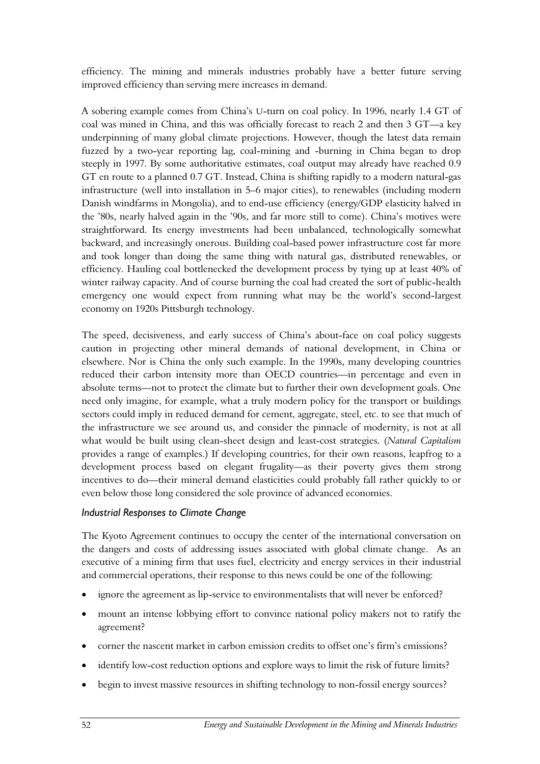efficiency. The mining and minerals industries probably have a better future serving improved efficiency than serving mere increases in demand.

A sobering example comes from China's U-turn on coal policy. In 1996, nearly 1.4 GT of coal was mined in China, and this was officially forecast to reach 2 and then 3 GT—a key underpinning of many global climate projections. However, though the latest data remain fuzzed by a two-year reporting lag, coal-mining and -burning in China began to drop steeply in 1997. By some authoritative estimates, coal output may already have reached 0.9 GT en route to a planned 0.7 GT. Instead, China is shifting rapidly to a modern natural-gas infrastructure (well into installation in 5–6 major cities), to renewables (including modern Danish windfarms in Mongolia), and to end-use efficiency (energy/GDP elasticity halved in the '80s, nearly halved again in the '90s, and far more still to come). China's motives were straightforward. Its energy investments had been unbalanced, technologically somewhat backward, and increasingly onerous. Building coal-based power infrastructure cost far more and took longer than doing the same thing with natural gas, distributed renewables, or efficiency. Hauling coal bottlenecked the development process by tying up at least 40% of winter railway capacity. And of course burning the coal had created the sort of public-health emergency one would expect from running what may be the world's second-largest economy on 1920s Pittsburgh technology.

The speed, decisiveness, and early success of China's about-face on coal policy suggests caution in projecting other mineral demands of national development, in China or elsewhere. Nor is China the only such example. In the 1990s, many developing countries reduced their carbon intensity more than OECD countries—in percentage and even in absolute terms—not to protect the climate but to further their own development goals. One need only imagine, for example, what a truly modern policy for the transport or buildings sectors could imply in reduced demand for cement, aggregate, steel, etc. to see that much of the infrastructure we see around us, and consider the pinnacle of modernity, is not at all what would be built using clean-sheet design and least-cost strategies. (*Natural Capitalism* provides a range of examples.) If developing countries, for their own reasons, leapfrog to a development process based on elegant frugality—as their poverty gives them strong incentives to do—their mineral demand elasticities could probably fall rather quickly to or even below those long considered the sole province of advanced economies.

#### *Industrial Responses to Climate Change*

The Kyoto Agreement continues to occupy the center of the international conversation on the dangers and costs of addressing issues associated with global climate change. As an executive of a mining firm that uses fuel, electricity and energy services in their industrial and commercial operations, their response to this news could be one of the following:

- ignore the agreement as lip-service to environmentalists that will never be enforced?
- mount an intense lobbying effort to convince national policy makers not to ratify the agreement?
- corner the nascent market in carbon emission credits to offset one's firm's emissions?
- identify low-cost reduction options and explore ways to limit the risk of future limits?
- begin to invest massive resources in shifting technology to non-fossil energy sources?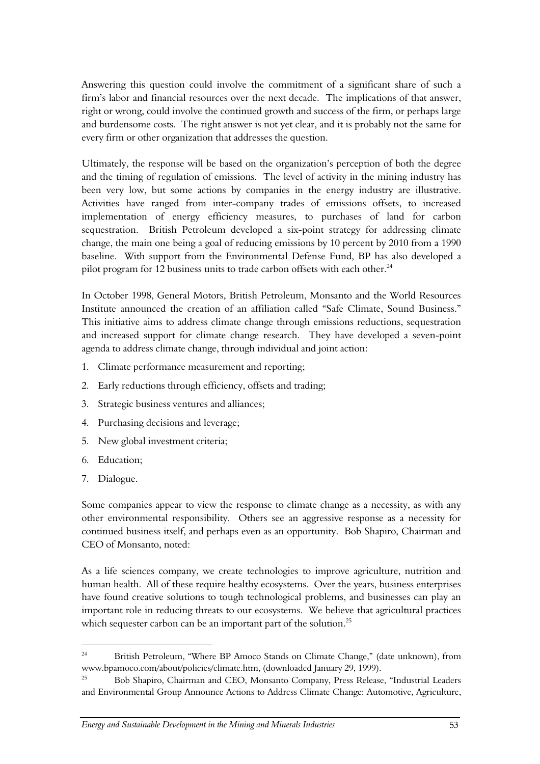Answering this question could involve the commitment of a significant share of such a firm's labor and financial resources over the next decade. The implications of that answer, right or wrong, could involve the continued growth and success of the firm, or perhaps large and burdensome costs. The right answer is not yet clear, and it is probably not the same for every firm or other organization that addresses the question.

Ultimately, the response will be based on the organization's perception of both the degree and the timing of regulation of emissions. The level of activity in the mining industry has been very low, but some actions by companies in the energy industry are illustrative. Activities have ranged from inter-company trades of emissions offsets, to increased implementation of energy efficiency measures, to purchases of land for carbon sequestration. British Petroleum developed a six-point strategy for addressing climate change, the main one being a goal of reducing emissions by 10 percent by 2010 from a 1990 baseline. With support from the Environmental Defense Fund, BP has also developed a pilot program for 12 business units to trade carbon offsets with each other. $^{24}$ 

In October 1998, General Motors, British Petroleum, Monsanto and the World Resources Institute announced the creation of an affiliation called "Safe Climate, Sound Business." This initiative aims to address climate change through emissions reductions, sequestration and increased support for climate change research. They have developed a seven-point agenda to address climate change, through individual and joint action:

- 1. Climate performance measurement and reporting;
- 2. Early reductions through efficiency, offsets and trading;
- 3. Strategic business ventures and alliances;
- 4. Purchasing decisions and leverage;
- 5. New global investment criteria;
- 6. Education;
- 7. Dialogue.

 $\overline{a}$ 

Some companies appear to view the response to climate change as a necessity, as with any other environmental responsibility. Others see an aggressive response as a necessity for continued business itself, and perhaps even as an opportunity. Bob Shapiro, Chairman and CEO of Monsanto, noted:

As a life sciences company, we create technologies to improve agriculture, nutrition and human health. All of these require healthy ecosystems. Over the years, business enterprises have found creative solutions to tough technological problems, and businesses can play an important role in reducing threats to our ecosystems. We believe that agricultural practices which sequester carbon can be an important part of the solution.<sup>25</sup>

<sup>&</sup>lt;sup>24</sup> British Petroleum, "Where BP Amoco Stands on Climate Change," (date unknown), from www.bpamoco.com/about/policies/climate.htm, (downloaded January 29, 1999).<br><sup>25</sup> Bob Shapiro, Chairman and CEO, Monsanto Company, Press Release, "Industrial Leaders

and Environmental Group Announce Actions to Address Climate Change: Automotive, Agriculture,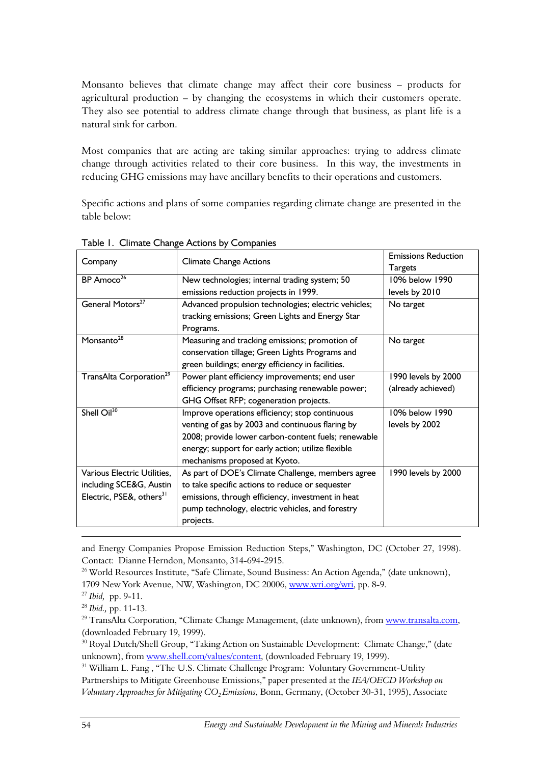Monsanto believes that climate change may affect their core business – products for agricultural production – by changing the ecosystems in which their customers operate. They also see potential to address climate change through that business, as plant life is a natural sink for carbon.

Most companies that are acting are taking similar approaches: trying to address climate change through activities related to their core business. In this way, the investments in reducing GHG emissions may have ancillary benefits to their operations and customers.

Specific actions and plans of some companies regarding climate change are presented in the table below:

|                                      |                                                      | <b>Emissions Reduction</b> |
|--------------------------------------|------------------------------------------------------|----------------------------|
| Company                              | <b>Climate Change Actions</b>                        | <b>Targets</b>             |
| BP Amoco <sup>26</sup>               | New technologies; internal trading system; 50        | 10% below 1990             |
|                                      | emissions reduction projects in 1999.                | levels by 2010             |
| General Motors <sup>27</sup>         | Advanced propulsion technologies; electric vehicles; | No target                  |
|                                      | tracking emissions; Green Lights and Energy Star     |                            |
|                                      | Programs.                                            |                            |
| Monsanto <sup>28</sup>               | Measuring and tracking emissions; promotion of       | No target                  |
|                                      | conservation tillage; Green Lights Programs and      |                            |
|                                      | green buildings; energy efficiency in facilities.    |                            |
| TransAlta Corporation <sup>29</sup>  | Power plant efficiency improvements; end user        | 1990 levels by 2000        |
|                                      | efficiency programs; purchasing renewable power;     | (already achieved)         |
|                                      | GHG Offset RFP; cogeneration projects.               |                            |
| Shell Oil <sup>30</sup>              | Improve operations efficiency; stop continuous       | 10% below 1990             |
|                                      | venting of gas by 2003 and continuous flaring by     | levels by 2002             |
|                                      | 2008; provide lower carbon-content fuels; renewable  |                            |
|                                      | energy; support for early action; utilize flexible   |                            |
|                                      | mechanisms proposed at Kyoto.                        |                            |
| Various Electric Utilities,          | As part of DOE's Climate Challenge, members agree    | 1990 levels by 2000        |
| including SCE&G, Austin              | to take specific actions to reduce or sequester      |                            |
| Electric, PSE&, others <sup>31</sup> | emissions, through efficiency, investment in heat    |                            |
|                                      | pump technology, electric vehicles, and forestry     |                            |
|                                      | projects.                                            |                            |

Table 1. Climate Change Actions by Companies

and Energy Companies Propose Emission Reduction Steps," Washington, DC (October 27, 1998). Contact: Dianne Herndon, Monsanto, 314-694-2915.

<sup>26</sup> World Resources Institute, "Safe Climate, Sound Business: An Action Agenda," (date unknown), 1709 New York Avenue, NW, Washington, DC 20006, www.wri.org/wri, pp. 8-9.<br><sup>27</sup> *Ibid.*, pp. 9-11.<br><sup>28</sup> *Ibid.*, pp. 11-13. <sup>29</sup> TransAlta Corporation, "Climate Change Management, (date unknown), from www.transalta.com,

(downloaded February 19, 1999).

30 Royal Dutch/Shell Group, "Taking Action on Sustainable Development: Climate Change," (date unknown), from www.shell.com/values/content, (downloaded February 19, 1999).<br><sup>31</sup> William L. Fang , "The U.S. Climate Challenge Program: Voluntary Government-Utility

Partnerships to Mitigate Greenhouse Emissions," paper presented at the *IEA/OECD Workshop on Voluntary Approaches for Mitigating CO2 Emissions*, Bonn, Germany, (October 30-31, 1995), Associate

 $\ddot{\phantom{a}}$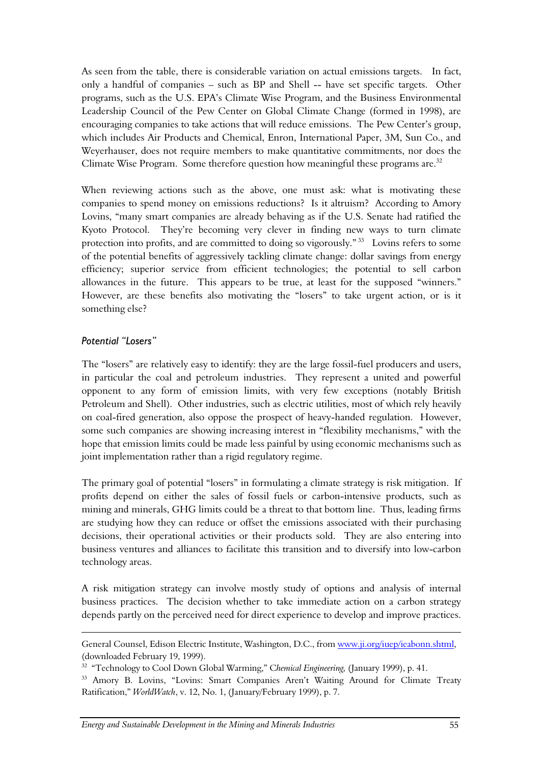As seen from the table, there is considerable variation on actual emissions targets. In fact, only a handful of companies – such as BP and Shell -- have set specific targets. Other programs, such as the U.S. EPA's Climate Wise Program, and the Business Environmental Leadership Council of the Pew Center on Global Climate Change (formed in 1998), are encouraging companies to take actions that will reduce emissions. The Pew Center's group, which includes Air Products and Chemical, Enron, International Paper, 3M, Sun Co., and Weyerhauser, does not require members to make quantitative commitments, nor does the Climate Wise Program. Some therefore question how meaningful these programs are.<sup>32</sup>

When reviewing actions such as the above, one must ask: what is motivating these companies to spend money on emissions reductions? Is it altruism? According to Amory Lovins, "many smart companies are already behaving as if the U.S. Senate had ratified the Kyoto Protocol. They're becoming very clever in finding new ways to turn climate protection into profits, and are committed to doing so vigorously."<sup>33</sup> Lovins refers to some of the potential benefits of aggressively tackling climate change: dollar savings from energy efficiency; superior service from efficient technologies; the potential to sell carbon allowances in the future. This appears to be true, at least for the supposed "winners." However, are these benefits also motivating the "losers" to take urgent action, or is it something else?

## *Potential "Losers"*

 $\overline{a}$ 

The "losers" are relatively easy to identify: they are the large fossil-fuel producers and users, in particular the coal and petroleum industries. They represent a united and powerful opponent to any form of emission limits, with very few exceptions (notably British Petroleum and Shell). Other industries, such as electric utilities, most of which rely heavily on coal-fired generation, also oppose the prospect of heavy-handed regulation. However, some such companies are showing increasing interest in "flexibility mechanisms," with the hope that emission limits could be made less painful by using economic mechanisms such as joint implementation rather than a rigid regulatory regime.

The primary goal of potential "losers" in formulating a climate strategy is risk mitigation. If profits depend on either the sales of fossil fuels or carbon-intensive products, such as mining and minerals, GHG limits could be a threat to that bottom line. Thus, leading firms are studying how they can reduce or offset the emissions associated with their purchasing decisions, their operational activities or their products sold. They are also entering into business ventures and alliances to facilitate this transition and to diversify into low-carbon technology areas.

A risk mitigation strategy can involve mostly study of options and analysis of internal business practices. The decision whether to take immediate action on a carbon strategy depends partly on the perceived need for direct experience to develop and improve practices.

General Counsel, Edison Electric Institute, Washington, D.C., from www.ji.org/iuep/ieabonn.shtml, (downloaded February 19, 1999).

<sup>&</sup>lt;sup>32</sup> "Technology to Cool Down Global Warming," Chemical Engineering, (January 1999), p. 41.<br><sup>33</sup> Amory B. Lovins, "Lovins: Smart Companies Aren't Waiting Around for Climate Treaty

Ratification," *WorldWatch*, v. 12, No. 1, (January/February 1999), p. 7.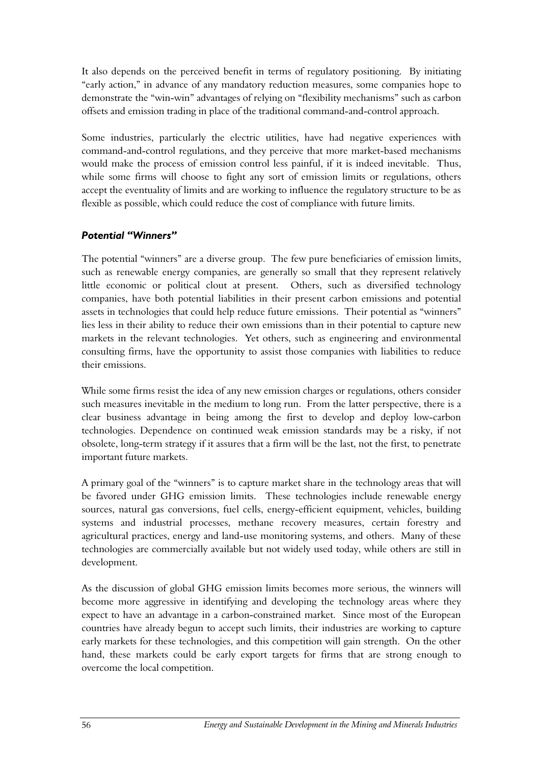It also depends on the perceived benefit in terms of regulatory positioning. By initiating "early action," in advance of any mandatory reduction measures, some companies hope to demonstrate the "win-win" advantages of relying on "flexibility mechanisms" such as carbon offsets and emission trading in place of the traditional command-and-control approach.

Some industries, particularly the electric utilities, have had negative experiences with command-and-control regulations, and they perceive that more market-based mechanisms would make the process of emission control less painful, if it is indeed inevitable. Thus, while some firms will choose to fight any sort of emission limits or regulations, others accept the eventuality of limits and are working to influence the regulatory structure to be as flexible as possible, which could reduce the cost of compliance with future limits.

## *Potential "Winners"*

The potential "winners" are a diverse group. The few pure beneficiaries of emission limits, such as renewable energy companies, are generally so small that they represent relatively little economic or political clout at present. Others, such as diversified technology companies, have both potential liabilities in their present carbon emissions and potential assets in technologies that could help reduce future emissions. Their potential as "winners" lies less in their ability to reduce their own emissions than in their potential to capture new markets in the relevant technologies. Yet others, such as engineering and environmental consulting firms, have the opportunity to assist those companies with liabilities to reduce their emissions.

While some firms resist the idea of any new emission charges or regulations, others consider such measures inevitable in the medium to long run. From the latter perspective, there is a clear business advantage in being among the first to develop and deploy low-carbon technologies. Dependence on continued weak emission standards may be a risky, if not obsolete, long-term strategy if it assures that a firm will be the last, not the first, to penetrate important future markets.

A primary goal of the "winners" is to capture market share in the technology areas that will be favored under GHG emission limits. These technologies include renewable energy sources, natural gas conversions, fuel cells, energy-efficient equipment, vehicles, building systems and industrial processes, methane recovery measures, certain forestry and agricultural practices, energy and land-use monitoring systems, and others. Many of these technologies are commercially available but not widely used today, while others are still in development.

As the discussion of global GHG emission limits becomes more serious, the winners will become more aggressive in identifying and developing the technology areas where they expect to have an advantage in a carbon-constrained market. Since most of the European countries have already begun to accept such limits, their industries are working to capture early markets for these technologies, and this competition will gain strength. On the other hand, these markets could be early export targets for firms that are strong enough to overcome the local competition.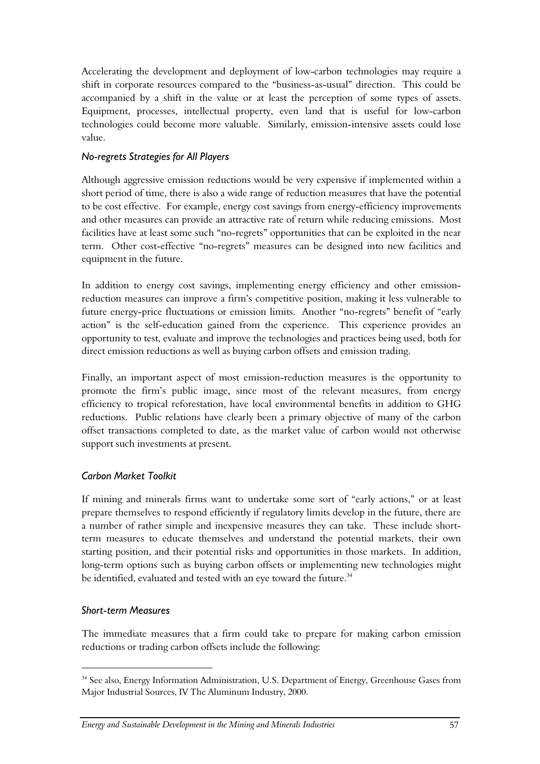Accelerating the development and deployment of low-carbon technologies may require a shift in corporate resources compared to the "business-as-usual" direction. This could be accompanied by a shift in the value or at least the perception of some types of assets. Equipment, processes, intellectual property, even land that is useful for low-carbon technologies could become more valuable. Similarly, emission-intensive assets could lose value.

## *No-regrets Strategies for All Players*

Although aggressive emission reductions would be very expensive if implemented within a short period of time, there is also a wide range of reduction measures that have the potential to be cost effective. For example, energy cost savings from energy-efficiency improvements and other measures can provide an attractive rate of return while reducing emissions. Most facilities have at least some such "no-regrets" opportunities that can be exploited in the near term. Other cost-effective "no-regrets" measures can be designed into new facilities and equipment in the future.

In addition to energy cost savings, implementing energy efficiency and other emissionreduction measures can improve a firm's competitive position, making it less vulnerable to future energy-price fluctuations or emission limits. Another "no-regrets" benefit of "early action" is the self-education gained from the experience. This experience provides an opportunity to test, evaluate and improve the technologies and practices being used, both for direct emission reductions as well as buying carbon offsets and emission trading.

Finally, an important aspect of most emission-reduction measures is the opportunity to promote the firm's public image, since most of the relevant measures, from energy efficiency to tropical reforestation, have local environmental benefits in addition to GHG reductions. Public relations have clearly been a primary objective of many of the carbon offset transactions completed to date, as the market value of carbon would not otherwise support such investments at present.

## *Carbon Market Toolkit*

If mining and minerals firms want to undertake some sort of "early actions," or at least prepare themselves to respond efficiently if regulatory limits develop in the future, there are a number of rather simple and inexpensive measures they can take. These include shortterm measures to educate themselves and understand the potential markets, their own starting position, and their potential risks and opportunities in those markets. In addition, long-term options such as buying carbon offsets or implementing new technologies might be identified, evaluated and tested with an eye toward the future.<sup>34</sup>

#### *Short-term Measures*

1

The immediate measures that a firm could take to prepare for making carbon emission reductions or trading carbon offsets include the following:

<sup>&</sup>lt;sup>34</sup> See also, Energy Information Administration, U.S. Department of Energy, Greenhouse Gases from Major Industrial Sources, IV The Aluminum Industry, 2000.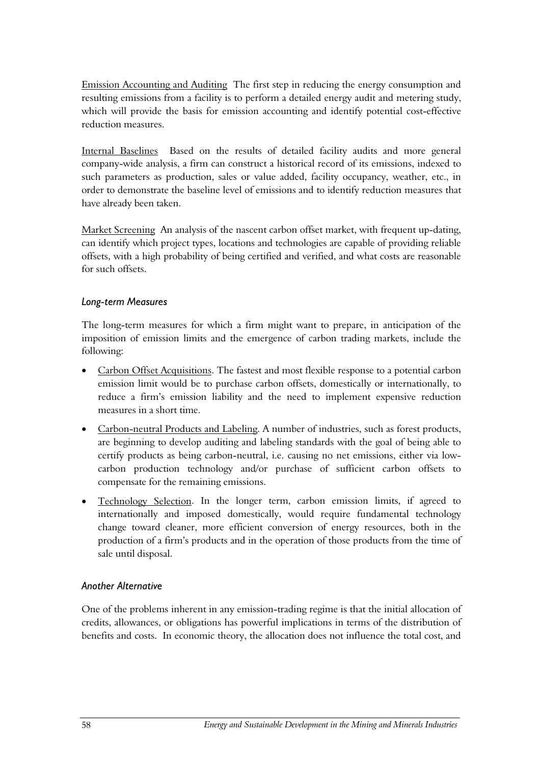Emission Accounting and Auditing The first step in reducing the energy consumption and resulting emissions from a facility is to perform a detailed energy audit and metering study, which will provide the basis for emission accounting and identify potential cost-effective reduction measures.

Internal Baselines Based on the results of detailed facility audits and more general company-wide analysis, a firm can construct a historical record of its emissions, indexed to such parameters as production, sales or value added, facility occupancy, weather, etc., in order to demonstrate the baseline level of emissions and to identify reduction measures that have already been taken.

Market Screening An analysis of the nascent carbon offset market, with frequent up-dating, can identify which project types, locations and technologies are capable of providing reliable offsets, with a high probability of being certified and verified, and what costs are reasonable for such offsets.

## *Long-term Measures*

The long-term measures for which a firm might want to prepare, in anticipation of the imposition of emission limits and the emergence of carbon trading markets, include the following:

- Carbon Offset Acquisitions. The fastest and most flexible response to a potential carbon emission limit would be to purchase carbon offsets, domestically or internationally, to reduce a firm's emission liability and the need to implement expensive reduction measures in a short time.
- Carbon-neutral Products and Labeling. A number of industries, such as forest products, are beginning to develop auditing and labeling standards with the goal of being able to certify products as being carbon-neutral, i.e. causing no net emissions, either via lowcarbon production technology and/or purchase of sufficient carbon offsets to compensate for the remaining emissions.
- Technology Selection. In the longer term, carbon emission limits, if agreed to internationally and imposed domestically, would require fundamental technology change toward cleaner, more efficient conversion of energy resources, both in the production of a firm's products and in the operation of those products from the time of sale until disposal.

## *Another Alternative*

One of the problems inherent in any emission-trading regime is that the initial allocation of credits, allowances, or obligations has powerful implications in terms of the distribution of benefits and costs. In economic theory, the allocation does not influence the total cost, and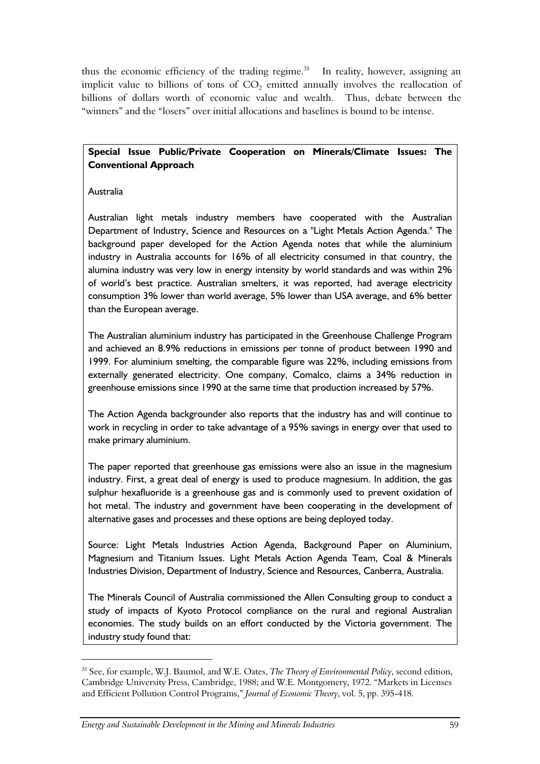thus the economic efficiency of the trading regime.<sup>35</sup> In reality, however, assigning an implicit value to billions of tons of  $CO<sub>2</sub>$  emitted annually involves the reallocation of billions of dollars worth of economic value and wealth. Thus, debate between the "winners" and the "losers" over initial allocations and baselines is bound to be intense.

## **Special Issue Public/Private Cooperation on Minerals/Climate Issues: The Conventional Approach**

#### Australia

 $\overline{a}$ 

Australian light metals industry members have cooperated with the Australian Department of Industry, Science and Resources on a "Light Metals Action Agenda." The background paper developed for the Action Agenda notes that while the aluminium industry in Australia accounts for 16% of all electricity consumed in that country, the alumina industry was very low in energy intensity by world standards and was within 2% of world's best practice. Australian smelters, it was reported, had average electricity consumption 3% lower than world average, 5% lower than USA average, and 6% better than the European average.

The Australian aluminium industry has participated in the Greenhouse Challenge Program and achieved an 8.9% reductions in emissions per tonne of product between 1990 and 1999. For aluminium smelting, the comparable figure was 22%, including emissions from externally generated electricity. One company, Comalco, claims a 34% reduction in greenhouse emissions since 1990 at the same time that production increased by 57%.

The Action Agenda backgrounder also reports that the industry has and will continue to work in recycling in order to take advantage of a 95% savings in energy over that used to make primary aluminium.

The paper reported that greenhouse gas emissions were also an issue in the magnesium industry. First, a great deal of energy is used to produce magnesium. In addition, the gas sulphur hexafluoride is a greenhouse gas and is commonly used to prevent oxidation of hot metal. The industry and government have been cooperating in the development of alternative gases and processes and these options are being deployed today.

Source: Light Metals Industries Action Agenda, Background Paper on Aluminium, Magnesium and Titanium Issues. Light Metals Action Agenda Team, Coal & Minerals Industries Division, Department of Industry, Science and Resources, Canberra, Australia.

The Minerals Council of Australia commissioned the Allen Consulting group to conduct a study of impacts of Kyoto Protocol compliance on the rural and regional Australian economies. The study builds on an effort conducted by the Victoria government. The industry study found that:

<sup>35</sup> See, for example, W.J. Baumol, and W.E. Oates, *The Theory of Environmental Policy*, second edition, Cambridge University Press, Cambridge, 1988; and W.E. Montgomery, 1972. "Markets in Licenses and Efficient Pollution Control Programs," *Journal of Economic Theory*, vol. 5, pp. 395-418.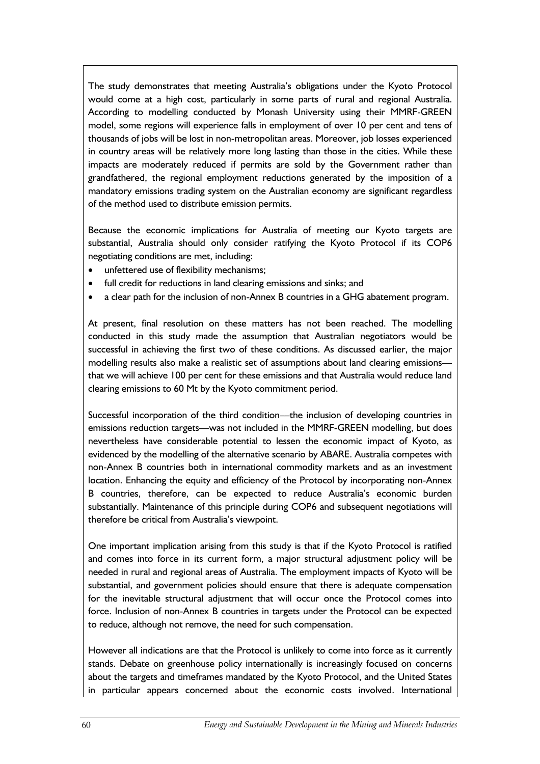The study demonstrates that meeting Australia's obligations under the Kyoto Protocol would come at a high cost, particularly in some parts of rural and regional Australia. According to modelling conducted by Monash University using their MMRF-GREEN model, some regions will experience falls in employment of over 10 per cent and tens of thousands of jobs will be lost in non-metropolitan areas. Moreover, job losses experienced in country areas will be relatively more long lasting than those in the cities. While these impacts are moderately reduced if permits are sold by the Government rather than grandfathered, the regional employment reductions generated by the imposition of a mandatory emissions trading system on the Australian economy are significant regardless of the method used to distribute emission permits.

Because the economic implications for Australia of meeting our Kyoto targets are substantial, Australia should only consider ratifying the Kyoto Protocol if its COP6 negotiating conditions are met, including:

- unfettered use of flexibility mechanisms;
- full credit for reductions in land clearing emissions and sinks; and
- a clear path for the inclusion of non-Annex B countries in a GHG abatement program.

At present, final resolution on these matters has not been reached. The modelling conducted in this study made the assumption that Australian negotiators would be successful in achieving the first two of these conditions. As discussed earlier, the major modelling results also make a realistic set of assumptions about land clearing emissions–– that we will achieve 100 per cent for these emissions and that Australia would reduce land clearing emissions to 60 Mt by the Kyoto commitment period.

Successful incorporation of the third condition––the inclusion of developing countries in emissions reduction targets––was not included in the MMRF-GREEN modelling, but does nevertheless have considerable potential to lessen the economic impact of Kyoto, as evidenced by the modelling of the alternative scenario by ABARE. Australia competes with non-Annex B countries both in international commodity markets and as an investment location. Enhancing the equity and efficiency of the Protocol by incorporating non-Annex B countries, therefore, can be expected to reduce Australia's economic burden substantially. Maintenance of this principle during COP6 and subsequent negotiations will therefore be critical from Australia's viewpoint.

One important implication arising from this study is that if the Kyoto Protocol is ratified and comes into force in its current form, a major structural adjustment policy will be needed in rural and regional areas of Australia. The employment impacts of Kyoto will be substantial, and government policies should ensure that there is adequate compensation for the inevitable structural adjustment that will occur once the Protocol comes into force. Inclusion of non-Annex B countries in targets under the Protocol can be expected to reduce, although not remove, the need for such compensation.

However all indications are that the Protocol is unlikely to come into force as it currently stands. Debate on greenhouse policy internationally is increasingly focused on concerns about the targets and timeframes mandated by the Kyoto Protocol, and the United States in particular appears concerned about the economic costs involved. International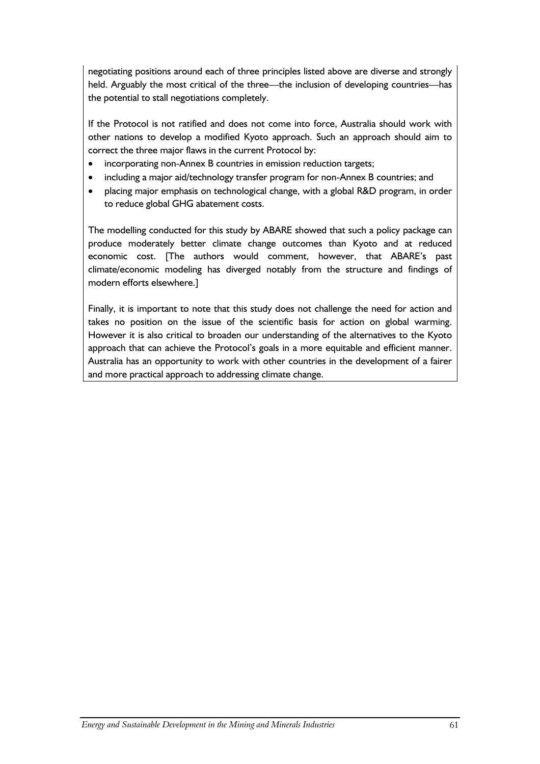negotiating positions around each of three principles listed above are diverse and strongly held. Arguably the most critical of the three—the inclusion of developing countries—has the potential to stall negotiations completely.

If the Protocol is not ratified and does not come into force, Australia should work with other nations to develop a modified Kyoto approach. Such an approach should aim to correct the three major flaws in the current Protocol by:

- incorporating non-Annex B countries in emission reduction targets;
- including a major aid/technology transfer program for non-Annex B countries; and
- placing major emphasis on technological change, with a global R&D program, in order to reduce global GHG abatement costs.

The modelling conducted for this study by ABARE showed that such a policy package can produce moderately better climate change outcomes than Kyoto and at reduced economic cost. [The authors would comment, however, that ABARE's past climate/economic modeling has diverged notably from the structure and findings of modern efforts elsewhere.]

Finally, it is important to note that this study does not challenge the need for action and takes no position on the issue of the scientific basis for action on global warming. However it is also critical to broaden our understanding of the alternatives to the Kyoto approach that can achieve the Protocol's goals in a more equitable and efficient manner. Australia has an opportunity to work with other countries in the development of a fairer and more practical approach to addressing climate change.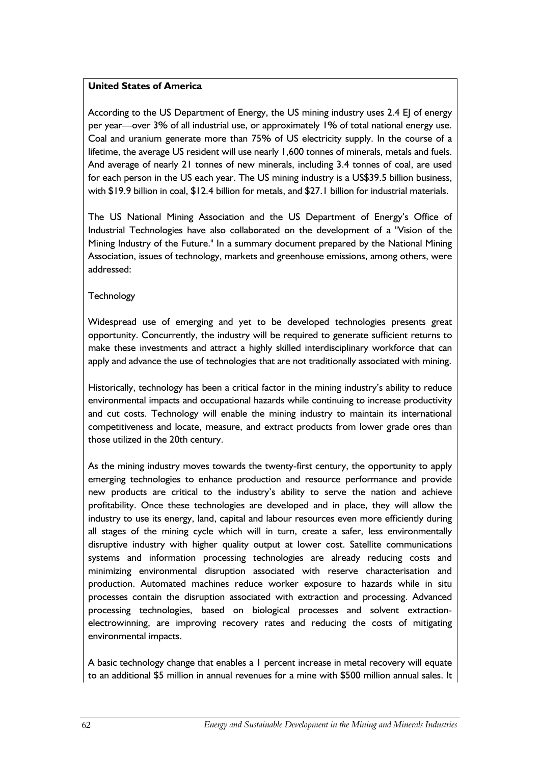### **United States of America**

According to the US Department of Energy, the US mining industry uses 2.4 EJ of energy per year––over 3% of all industrial use, or approximately 1% of total national energy use. Coal and uranium generate more than 75% of US electricity supply. In the course of a lifetime, the average US resident will use nearly 1,600 tonnes of minerals, metals and fuels. And average of nearly 21 tonnes of new minerals, including 3.4 tonnes of coal, are used for each person in the US each year. The US mining industry is a US\$39.5 billion business, with \$19.9 billion in coal, \$12.4 billion for metals, and \$27.1 billion for industrial materials.

The US National Mining Association and the US Department of Energy's Office of Industrial Technologies have also collaborated on the development of a "Vision of the Mining Industry of the Future." In a summary document prepared by the National Mining Association, issues of technology, markets and greenhouse emissions, among others, were addressed:

#### **Technology**

Widespread use of emerging and yet to be developed technologies presents great opportunity. Concurrently, the industry will be required to generate sufficient returns to make these investments and attract a highly skilled interdisciplinary workforce that can apply and advance the use of technologies that are not traditionally associated with mining.

Historically, technology has been a critical factor in the mining industry's ability to reduce environmental impacts and occupational hazards while continuing to increase productivity and cut costs. Technology will enable the mining industry to maintain its international competitiveness and locate, measure, and extract products from lower grade ores than those utilized in the 20th century.

As the mining industry moves towards the twenty-first century, the opportunity to apply emerging technologies to enhance production and resource performance and provide new products are critical to the industry's ability to serve the nation and achieve profitability. Once these technologies are developed and in place, they will allow the industry to use its energy, land, capital and labour resources even more efficiently during all stages of the mining cycle which will in turn, create a safer, less environmentally disruptive industry with higher quality output at lower cost. Satellite communications systems and information processing technologies are already reducing costs and minimizing environmental disruption associated with reserve characterisation and production. Automated machines reduce worker exposure to hazards while in situ processes contain the disruption associated with extraction and processing. Advanced processing technologies, based on biological processes and solvent extractionelectrowinning, are improving recovery rates and reducing the costs of mitigating environmental impacts.

A basic technology change that enables a 1 percent increase in metal recovery will equate to an additional \$5 million in annual revenues for a mine with \$500 million annual sales. It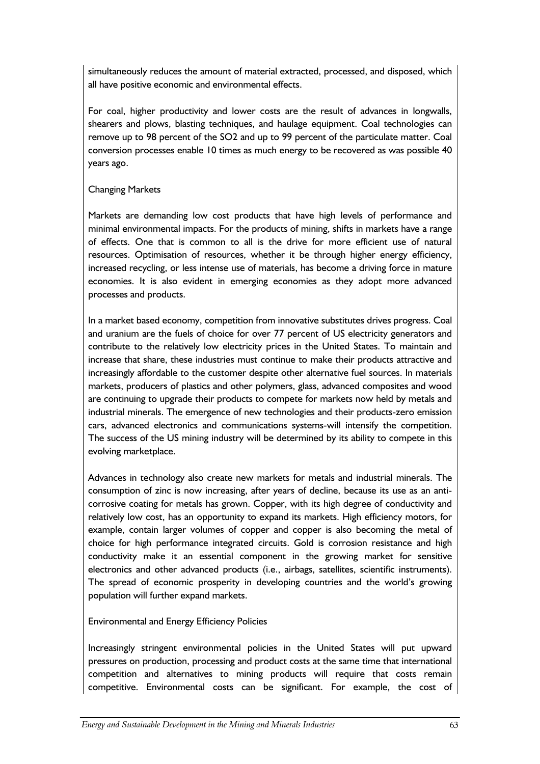simultaneously reduces the amount of material extracted, processed, and disposed, which all have positive economic and environmental effects.

For coal, higher productivity and lower costs are the result of advances in longwalls, shearers and plows, blasting techniques, and haulage equipment. Coal technologies can remove up to 98 percent of the SO2 and up to 99 percent of the particulate matter. Coal conversion processes enable 10 times as much energy to be recovered as was possible 40 years ago.

### Changing Markets

Markets are demanding low cost products that have high levels of performance and minimal environmental impacts. For the products of mining, shifts in markets have a range of effects. One that is common to all is the drive for more efficient use of natural resources. Optimisation of resources, whether it be through higher energy efficiency, increased recycling, or less intense use of materials, has become a driving force in mature economies. It is also evident in emerging economies as they adopt more advanced processes and products.

In a market based economy, competition from innovative substitutes drives progress. Coal and uranium are the fuels of choice for over 77 percent of US electricity generators and contribute to the relatively low electricity prices in the United States. To maintain and increase that share, these industries must continue to make their products attractive and increasingly affordable to the customer despite other alternative fuel sources. In materials markets, producers of plastics and other polymers, glass, advanced composites and wood are continuing to upgrade their products to compete for markets now held by metals and industrial minerals. The emergence of new technologies and their products-zero emission cars, advanced electronics and communications systems-will intensify the competition. The success of the US mining industry will be determined by its ability to compete in this evolving marketplace.

Advances in technology also create new markets for metals and industrial minerals. The consumption of zinc is now increasing, after years of decline, because its use as an anticorrosive coating for metals has grown. Copper, with its high degree of conductivity and relatively low cost, has an opportunity to expand its markets. High efficiency motors, for example, contain larger volumes of copper and copper is also becoming the metal of choice for high performance integrated circuits. Gold is corrosion resistance and high conductivity make it an essential component in the growing market for sensitive electronics and other advanced products (i.e., airbags, satellites, scientific instruments). The spread of economic prosperity in developing countries and the world's growing population will further expand markets.

#### Environmental and Energy Efficiency Policies

Increasingly stringent environmental policies in the United States will put upward pressures on production, processing and product costs at the same time that international competition and alternatives to mining products will require that costs remain competitive. Environmental costs can be significant. For example, the cost of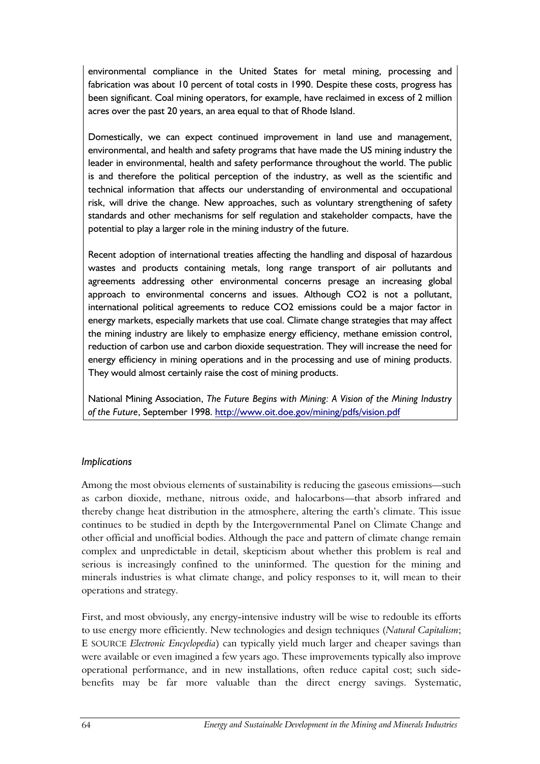environmental compliance in the United States for metal mining, processing and fabrication was about 10 percent of total costs in 1990. Despite these costs, progress has been significant. Coal mining operators, for example, have reclaimed in excess of 2 million acres over the past 20 years, an area equal to that of Rhode Island.

Domestically, we can expect continued improvement in land use and management, environmental, and health and safety programs that have made the US mining industry the leader in environmental, health and safety performance throughout the world. The public is and therefore the political perception of the industry, as well as the scientific and technical information that affects our understanding of environmental and occupational risk, will drive the change. New approaches, such as voluntary strengthening of safety standards and other mechanisms for self regulation and stakeholder compacts, have the potential to play a larger role in the mining industry of the future.

Recent adoption of international treaties affecting the handling and disposal of hazardous wastes and products containing metals, long range transport of air pollutants and agreements addressing other environmental concerns presage an increasing global approach to environmental concerns and issues. Although CO2 is not a pollutant, international political agreements to reduce CO2 emissions could be a major factor in energy markets, especially markets that use coal. Climate change strategies that may affect the mining industry are likely to emphasize energy efficiency, methane emission control, reduction of carbon use and carbon dioxide sequestration. They will increase the need for energy efficiency in mining operations and in the processing and use of mining products. They would almost certainly raise the cost of mining products.

National Mining Association, *The Future Begins with Mining: A Vision of the Mining Industry of the Future*, September 1998. <http://www.oit.doe.gov/mining/pdfs/vision.pdf>

## *Implications*

Among the most obvious elements of sustainability is reducing the gaseous emissions—such as carbon dioxide, methane, nitrous oxide, and halocarbons—that absorb infrared and thereby change heat distribution in the atmosphere, altering the earth's climate. This issue continues to be studied in depth by the Intergovernmental Panel on Climate Change and other official and unofficial bodies. Although the pace and pattern of climate change remain complex and unpredictable in detail, skepticism about whether this problem is real and serious is increasingly confined to the uninformed. The question for the mining and minerals industries is what climate change, and policy responses to it, will mean to their operations and strategy.

First, and most obviously, any energy-intensive industry will be wise to redouble its efforts to use energy more efficiently. New technologies and design techniques (*Natural Capitalism*; E SOURCE *Electronic Encyclopedia*) can typically yield much larger and cheaper savings than were available or even imagined a few years ago. These improvements typically also improve operational performance, and in new installations, often reduce capital cost; such sidebenefits may be far more valuable than the direct energy savings. Systematic,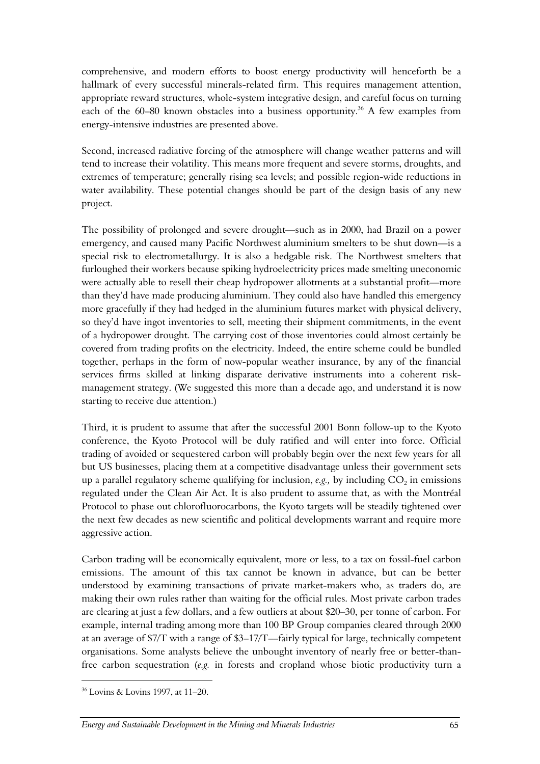comprehensive, and modern efforts to boost energy productivity will henceforth be a hallmark of every successful minerals-related firm. This requires management attention, appropriate reward structures, whole-system integrative design, and careful focus on turning each of the  $60-80$  known obstacles into a business opportunity.<sup>36</sup> A few examples from energy-intensive industries are presented above.

Second, increased radiative forcing of the atmosphere will change weather patterns and will tend to increase their volatility. This means more frequent and severe storms, droughts, and extremes of temperature; generally rising sea levels; and possible region-wide reductions in water availability. These potential changes should be part of the design basis of any new project.

The possibility of prolonged and severe drought—such as in 2000, had Brazil on a power emergency, and caused many Pacific Northwest aluminium smelters to be shut down—is a special risk to electrometallurgy. It is also a hedgable risk. The Northwest smelters that furloughed their workers because spiking hydroelectricity prices made smelting uneconomic were actually able to resell their cheap hydropower allotments at a substantial profit—more than they'd have made producing aluminium. They could also have handled this emergency more gracefully if they had hedged in the aluminium futures market with physical delivery, so they'd have ingot inventories to sell, meeting their shipment commitments, in the event of a hydropower drought. The carrying cost of those inventories could almost certainly be covered from trading profits on the electricity. Indeed, the entire scheme could be bundled together, perhaps in the form of now-popular weather insurance, by any of the financial services firms skilled at linking disparate derivative instruments into a coherent riskmanagement strategy. (We suggested this more than a decade ago, and understand it is now starting to receive due attention.)

Third, it is prudent to assume that after the successful 2001 Bonn follow-up to the Kyoto conference, the Kyoto Protocol will be duly ratified and will enter into force. Official trading of avoided or sequestered carbon will probably begin over the next few years for all but US businesses, placing them at a competitive disadvantage unless their government sets up a parallel regulatory scheme qualifying for inclusion,  $e.g.,$  by including  $CO<sub>2</sub>$  in emissions regulated under the Clean Air Act. It is also prudent to assume that, as with the Montréal Protocol to phase out chlorofluorocarbons, the Kyoto targets will be steadily tightened over the next few decades as new scientific and political developments warrant and require more aggressive action.

Carbon trading will be economically equivalent, more or less, to a tax on fossil-fuel carbon emissions. The amount of this tax cannot be known in advance, but can be better understood by examining transactions of private market-makers who, as traders do, are making their own rules rather than waiting for the official rules. Most private carbon trades are clearing at just a few dollars, and a few outliers at about \$20–30, per tonne of carbon. For example, internal trading among more than 100 BP Group companies cleared through 2000 at an average of \$7/T with a range of \$3–17/T––fairly typical for large, technically competent organisations. Some analysts believe the unbought inventory of nearly free or better-thanfree carbon sequestration (*e.g.* in forests and cropland whose biotic productivity turn a

 $\overline{a}$ 

<sup>36</sup> Lovins & Lovins 1997, at 11–20.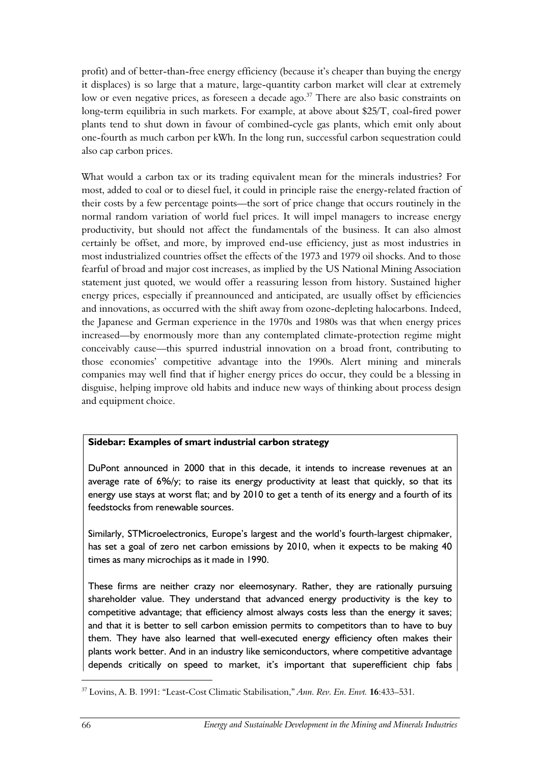profit) and of better-than-free energy efficiency (because it's cheaper than buying the energy it displaces) is so large that a mature, large-quantity carbon market will clear at extremely low or even negative prices, as foreseen a decade ago.<sup>37</sup> There are also basic constraints on long-term equilibria in such markets. For example, at above about \$25/T, coal-fired power plants tend to shut down in favour of combined-cycle gas plants, which emit only about one-fourth as much carbon per kWh. In the long run, successful carbon sequestration could also cap carbon prices.

What would a carbon tax or its trading equivalent mean for the minerals industries? For most, added to coal or to diesel fuel, it could in principle raise the energy-related fraction of their costs by a few percentage points—the sort of price change that occurs routinely in the normal random variation of world fuel prices. It will impel managers to increase energy productivity, but should not affect the fundamentals of the business. It can also almost certainly be offset, and more, by improved end-use efficiency, just as most industries in most industrialized countries offset the effects of the 1973 and 1979 oil shocks. And to those fearful of broad and major cost increases, as implied by the US National Mining Association statement just quoted, we would offer a reassuring lesson from history. Sustained higher energy prices, especially if preannounced and anticipated, are usually offset by efficiencies and innovations, as occurred with the shift away from ozone-depleting halocarbons. Indeed, the Japanese and German experience in the 1970s and 1980s was that when energy prices increased—by enormously more than any contemplated climate-protection regime might conceivably cause—this spurred industrial innovation on a broad front, contributing to those economies' competitive advantage into the 1990s. Alert mining and minerals companies may well find that if higher energy prices do occur, they could be a blessing in disguise, helping improve old habits and induce new ways of thinking about process design and equipment choice.

#### **Sidebar: Examples of smart industrial carbon strategy**

DuPont announced in 2000 that in this decade, it intends to increase revenues at an average rate of 6%/y; to raise its energy productivity at least that quickly, so that its energy use stays at worst flat; and by 2010 to get a tenth of its energy and a fourth of its feedstocks from renewable sources.

Similarly, STMicroelectronics, Europe's largest and the world's fourth-largest chipmaker, has set a goal of zero net carbon emissions by 2010, when it expects to be making 40 times as many microchips as it made in 1990.

These firms are neither crazy nor eleemosynary. Rather, they are rationally pursuing shareholder value. They understand that advanced energy productivity is the key to competitive advantage; that efficiency almost always costs less than the energy it saves; and that it is better to sell carbon emission permits to competitors than to have to buy them. They have also learned that well-executed energy efficiency often makes their plants work better. And in an industry like semiconductors, where competitive advantage depends critically on speed to market, it's important that superefficient chip fabs

 $\ddot{\phantom{a}}$ 

<sup>37</sup> Lovins, A. B. 1991: "Least-Cost Climatic Stabilisation," *Ann. Rev. En. Envt.* **16**:433–531.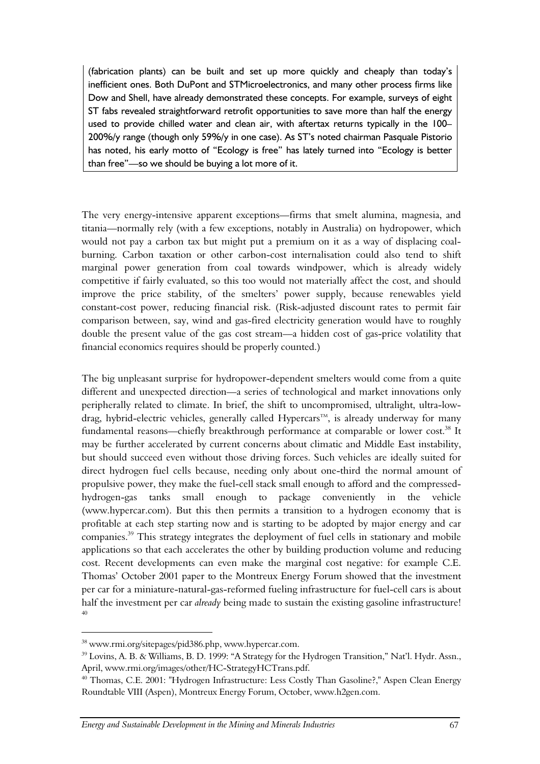(fabrication plants) can be built and set up more quickly and cheaply than today's inefficient ones. Both DuPont and STMicroelectronics, and many other process firms like Dow and Shell, have already demonstrated these concepts. For example, surveys of eight ST fabs revealed straightforward retrofit opportunities to save more than half the energy used to provide chilled water and clean air, with aftertax returns typically in the 100– 200%/y range (though only 59%/y in one case). As ST's noted chairman Pasquale Pistorio has noted, his early motto of "Ecology is free" has lately turned into "Ecology is better than free"—so we should be buying a lot more of it.

The very energy-intensive apparent exceptions—firms that smelt alumina, magnesia, and titania—normally rely (with a few exceptions, notably in Australia) on hydropower, which would not pay a carbon tax but might put a premium on it as a way of displacing coalburning. Carbon taxation or other carbon-cost internalisation could also tend to shift marginal power generation from coal towards windpower, which is already widely competitive if fairly evaluated, so this too would not materially affect the cost, and should improve the price stability, of the smelters' power supply, because renewables yield constant-cost power, reducing financial risk. (Risk-adjusted discount rates to permit fair comparison between, say, wind and gas-fired electricity generation would have to roughly double the present value of the gas cost stream––a hidden cost of gas-price volatility that financial economics requires should be properly counted.)

The big unpleasant surprise for hydropower-dependent smelters would come from a quite different and unexpected direction—a series of technological and market innovations only peripherally related to climate. In brief, the shift to uncompromised, ultralight, ultra-lowdrag, hybrid-electric vehicles, generally called Hypercars<sup>™</sup>, is already underway for many fundamental reasons—chiefly breakthrough performance at comparable or lower cost.<sup>38</sup> It may be further accelerated by current concerns about climatic and Middle East instability, but should succeed even without those driving forces. Such vehicles are ideally suited for direct hydrogen fuel cells because, needing only about one-third the normal amount of propulsive power, they make the fuel-cell stack small enough to afford and the compressedhydrogen-gas tanks small enough to package conveniently in the vehicle (www.hypercar.com). But this then permits a transition to a hydrogen economy that is profitable at each step starting now and is starting to be adopted by major energy and car companies.39 This strategy integrates the deployment of fuel cells in stationary and mobile applications so that each accelerates the other by building production volume and reducing cost. Recent developments can even make the marginal cost negative: for example C.E. Thomas' October 2001 paper to the Montreux Energy Forum showed that the investment per car for a miniature-natural-gas-reformed fueling infrastructure for fuel-cell cars is about half the investment per car *already* being made to sustain the existing gasoline infrastructure! 40

 $\overline{a}$ 

<sup>&</sup>lt;sup>38</sup> www.rmi.org/sitepages/pid386.php, www.hypercar.com.<br><sup>39</sup> Lovins, A. B. & Williams, B. D. 1999: "A Strategy for the Hydrogen Transition," Nat'l. Hydr. Assn., April, www.rmi.org/images/other/HC-StrategyHCTrans.pdf.<br><sup>40</sup> Thomas, C.E. 2001: "Hydrogen Infrastructure: Less Costly Than Gasoline?," Aspen Clean Energy

Roundtable VIII (Aspen), Montreux Energy Forum, October, www.h2gen.com.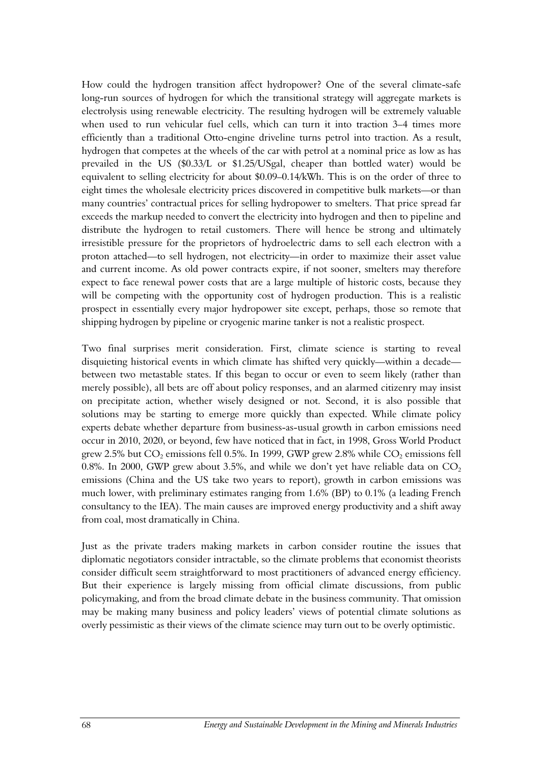How could the hydrogen transition affect hydropower? One of the several climate-safe long-run sources of hydrogen for which the transitional strategy will aggregate markets is electrolysis using renewable electricity. The resulting hydrogen will be extremely valuable when used to run vehicular fuel cells, which can turn it into traction 3–4 times more efficiently than a traditional Otto-engine driveline turns petrol into traction. As a result, hydrogen that competes at the wheels of the car with petrol at a nominal price as low as has prevailed in the US (\$0.33/L or \$1.25/USgal, cheaper than bottled water) would be equivalent to selling electricity for about \$0.09–0.14/kWh. This is on the order of three to eight times the wholesale electricity prices discovered in competitive bulk markets—or than many countries' contractual prices for selling hydropower to smelters. That price spread far exceeds the markup needed to convert the electricity into hydrogen and then to pipeline and distribute the hydrogen to retail customers. There will hence be strong and ultimately irresistible pressure for the proprietors of hydroelectric dams to sell each electron with a proton attached—to sell hydrogen, not electricity—in order to maximize their asset value and current income. As old power contracts expire, if not sooner, smelters may therefore expect to face renewal power costs that are a large multiple of historic costs, because they will be competing with the opportunity cost of hydrogen production. This is a realistic prospect in essentially every major hydropower site except, perhaps, those so remote that shipping hydrogen by pipeline or cryogenic marine tanker is not a realistic prospect.

Two final surprises merit consideration. First, climate science is starting to reveal disquieting historical events in which climate has shifted very quickly—within a decade between two metastable states. If this began to occur or even to seem likely (rather than merely possible), all bets are off about policy responses, and an alarmed citizenry may insist on precipitate action, whether wisely designed or not. Second, it is also possible that solutions may be starting to emerge more quickly than expected. While climate policy experts debate whether departure from business-as-usual growth in carbon emissions need occur in 2010, 2020, or beyond, few have noticed that in fact, in 1998, Gross World Product grew 2.5% but  $CO_2$  emissions fell 0.5%. In 1999, GWP grew 2.8% while  $CO_2$  emissions fell 0.8%. In 2000, GWP grew about 3.5%, and while we don't yet have reliable data on  $CO<sub>2</sub>$ emissions (China and the US take two years to report), growth in carbon emissions was much lower, with preliminary estimates ranging from 1.6% (BP) to 0.1% (a leading French consultancy to the IEA). The main causes are improved energy productivity and a shift away from coal, most dramatically in China.

Just as the private traders making markets in carbon consider routine the issues that diplomatic negotiators consider intractable, so the climate problems that economist theorists consider difficult seem straightforward to most practitioners of advanced energy efficiency. But their experience is largely missing from official climate discussions, from public policymaking, and from the broad climate debate in the business community. That omission may be making many business and policy leaders' views of potential climate solutions as overly pessimistic as their views of the climate science may turn out to be overly optimistic.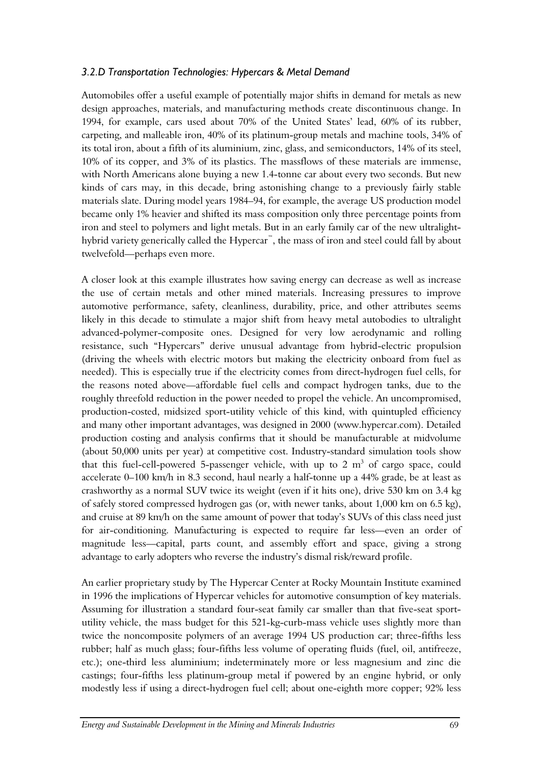## *3.2.D Transportation Technologies: Hypercars & Metal Demand*

Automobiles offer a useful example of potentially major shifts in demand for metals as new design approaches, materials, and manufacturing methods create discontinuous change. In 1994, for example, cars used about 70% of the United States' lead, 60% of its rubber, carpeting, and malleable iron, 40% of its platinum-group metals and machine tools, 34% of its total iron, about a fifth of its aluminium, zinc, glass, and semiconductors, 14% of its steel, 10% of its copper, and 3% of its plastics. The massflows of these materials are immense, with North Americans alone buying a new 1.4-tonne car about every two seconds. But new kinds of cars may, in this decade, bring astonishing change to a previously fairly stable materials slate. During model years 1984–94, for example, the average US production model became only 1% heavier and shifted its mass composition only three percentage points from iron and steel to polymers and light metals. But in an early family car of the new ultralighthybrid variety generically called the Hypercar™, the mass of iron and steel could fall by about twelvefold––perhaps even more.

A closer look at this example illustrates how saving energy can decrease as well as increase the use of certain metals and other mined materials. Increasing pressures to improve automotive performance, safety, cleanliness, durability, price, and other attributes seems likely in this decade to stimulate a major shift from heavy metal autobodies to ultralight advanced-polymer-composite ones. Designed for very low aerodynamic and rolling resistance, such "Hypercars" derive unusual advantage from hybrid-electric propulsion (driving the wheels with electric motors but making the electricity onboard from fuel as needed). This is especially true if the electricity comes from direct-hydrogen fuel cells, for the reasons noted above––affordable fuel cells and compact hydrogen tanks, due to the roughly threefold reduction in the power needed to propel the vehicle. An uncompromised, production-costed, midsized sport-utility vehicle of this kind, with quintupled efficiency and many other important advantages, was designed in 2000 (www.hypercar.com). Detailed production costing and analysis confirms that it should be manufacturable at midvolume (about 50,000 units per year) at competitive cost. Industry-standard simulation tools show that this fuel-cell-powered 5-passenger vehicle, with up to 2  $m<sup>3</sup>$  of cargo space, could accelerate 0–100 km/h in 8.3 second, haul nearly a half-tonne up a 44% grade, be at least as crashworthy as a normal SUV twice its weight (even if it hits one), drive 530 km on 3.4 kg of safely stored compressed hydrogen gas (or, with newer tanks, about 1,000 km on 6.5 kg), and cruise at 89 km/h on the same amount of power that today's SUVs of this class need just for air-conditioning. Manufacturing is expected to require far less––even an order of magnitude less––capital, parts count, and assembly effort and space, giving a strong advantage to early adopters who reverse the industry's dismal risk/reward profile.

An earlier proprietary study by The Hypercar Center at Rocky Mountain Institute examined in 1996 the implications of Hypercar vehicles for automotive consumption of key materials. Assuming for illustration a standard four-seat family car smaller than that five-seat sportutility vehicle, the mass budget for this 521-kg-curb-mass vehicle uses slightly more than twice the noncomposite polymers of an average 1994 US production car; three-fifths less rubber; half as much glass; four-fifths less volume of operating fluids (fuel, oil, antifreeze, etc.); one-third less aluminium; indeterminately more or less magnesium and zinc die castings; four-fifths less platinum-group metal if powered by an engine hybrid, or only modestly less if using a direct-hydrogen fuel cell; about one-eighth more copper; 92% less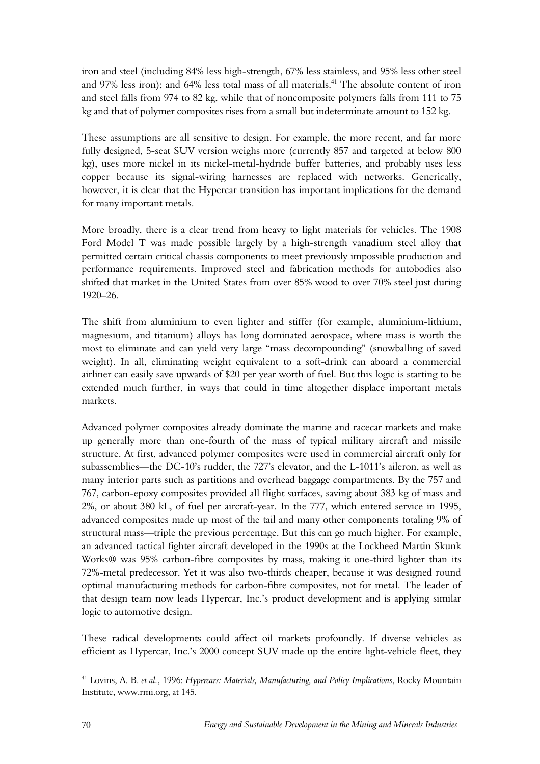iron and steel (including 84% less high-strength, 67% less stainless, and 95% less other steel and 97% less iron); and 64% less total mass of all materials.<sup>41</sup> The absolute content of iron and steel falls from 974 to 82 kg, while that of noncomposite polymers falls from 111 to 75 kg and that of polymer composites rises from a small but indeterminate amount to 152 kg.

These assumptions are all sensitive to design. For example, the more recent, and far more fully designed, 5-seat SUV version weighs more (currently 857 and targeted at below 800 kg), uses more nickel in its nickel-metal-hydride buffer batteries, and probably uses less copper because its signal-wiring harnesses are replaced with networks. Generically, however, it is clear that the Hypercar transition has important implications for the demand for many important metals.

More broadly, there is a clear trend from heavy to light materials for vehicles. The 1908 Ford Model T was made possible largely by a high-strength vanadium steel alloy that permitted certain critical chassis components to meet previously impossible production and performance requirements. Improved steel and fabrication methods for autobodies also shifted that market in the United States from over 85% wood to over 70% steel just during 1920–26.

The shift from aluminium to even lighter and stiffer (for example, aluminium-lithium, magnesium, and titanium) alloys has long dominated aerospace, where mass is worth the most to eliminate and can yield very large "mass decompounding" (snowballing of saved weight). In all, eliminating weight equivalent to a soft-drink can aboard a commercial airliner can easily save upwards of \$20 per year worth of fuel. But this logic is starting to be extended much further, in ways that could in time altogether displace important metals markets.

Advanced polymer composites already dominate the marine and racecar markets and make up generally more than one-fourth of the mass of typical military aircraft and missile structure. At first, advanced polymer composites were used in commercial aircraft only for subassemblies—the DC-10's rudder, the 727's elevator, and the L-1011's aileron, as well as many interior parts such as partitions and overhead baggage compartments. By the 757 and 767, carbon-epoxy composites provided all flight surfaces, saving about 383 kg of mass and 2%, or about 380 kL, of fuel per aircraft-year. In the 777, which entered service in 1995, advanced composites made up most of the tail and many other components totaling 9% of structural mass—triple the previous percentage. But this can go much higher. For example, an advanced tactical fighter aircraft developed in the 1990s at the Lockheed Martin Skunk Works® was 95% carbon-fibre composites by mass, making it one-third lighter than its 72%-metal predecessor. Yet it was also two-thirds cheaper, because it was designed round optimal manufacturing methods for carbon-fibre composites, not for metal. The leader of that design team now leads Hypercar, Inc.'s product development and is applying similar logic to automotive design.

These radical developments could affect oil markets profoundly. If diverse vehicles as efficient as Hypercar, Inc.'s 2000 concept SUV made up the entire light-vehicle fleet, they

1

<sup>41</sup> Lovins, A. B. *et al.*, 1996: *Hypercars: Materials, Manufacturing, and Policy Implications*, Rocky Mountain Institute, www.rmi.org, at 145.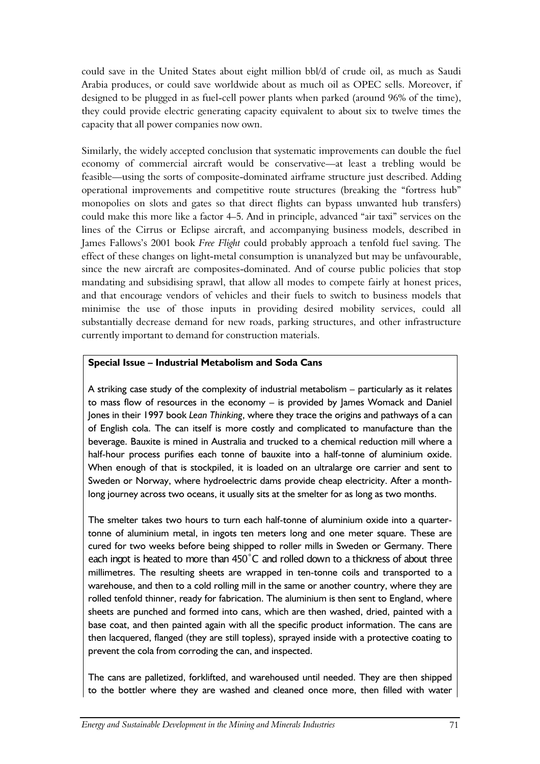could save in the United States about eight million bbl/d of crude oil, as much as Saudi Arabia produces, or could save worldwide about as much oil as OPEC sells. Moreover, if designed to be plugged in as fuel-cell power plants when parked (around 96% of the time), they could provide electric generating capacity equivalent to about six to twelve times the capacity that all power companies now own.

Similarly, the widely accepted conclusion that systematic improvements can double the fuel economy of commercial aircraft would be conservative—at least a trebling would be feasible—using the sorts of composite-dominated airframe structure just described. Adding operational improvements and competitive route structures (breaking the "fortress hub" monopolies on slots and gates so that direct flights can bypass unwanted hub transfers) could make this more like a factor 4–5. And in principle, advanced "air taxi" services on the lines of the Cirrus or Eclipse aircraft, and accompanying business models, described in James Fallows's 2001 book *Free Flight* could probably approach a tenfold fuel saving. The effect of these changes on light-metal consumption is unanalyzed but may be unfavourable, since the new aircraft are composites-dominated. And of course public policies that stop mandating and subsidising sprawl, that allow all modes to compete fairly at honest prices, and that encourage vendors of vehicles and their fuels to switch to business models that minimise the use of those inputs in providing desired mobility services, could all substantially decrease demand for new roads, parking structures, and other infrastructure currently important to demand for construction materials.

#### **Special Issue – Industrial Metabolism and Soda Cans**

A striking case study of the complexity of industrial metabolism – particularly as it relates to mass flow of resources in the economy – is provided by James Womack and Daniel Jones in their 1997 book *Lean Thinking*, where they trace the origins and pathways of a can of English cola. The can itself is more costly and complicated to manufacture than the beverage. Bauxite is mined in Australia and trucked to a chemical reduction mill where a half-hour process purifies each tonne of bauxite into a half-tonne of aluminium oxide. When enough of that is stockpiled, it is loaded on an ultralarge ore carrier and sent to Sweden or Norway, where hydroelectric dams provide cheap electricity. After a monthlong journey across two oceans, it usually sits at the smelter for as long as two months.

The smelter takes two hours to turn each half-tonne of aluminium oxide into a quartertonne of aluminium metal, in ingots ten meters long and one meter square. These are cured for two weeks before being shipped to roller mills in Sweden or Germany. There each ingot is heated to more than 450˚C and rolled down to a thickness of about three millimetres. The resulting sheets are wrapped in ten-tonne coils and transported to a warehouse, and then to a cold rolling mill in the same or another country, where they are rolled tenfold thinner, ready for fabrication. The aluminium is then sent to England, where sheets are punched and formed into cans, which are then washed, dried, painted with a base coat, and then painted again with all the specific product information. The cans are then lacquered, flanged (they are still topless), sprayed inside with a protective coating to prevent the cola from corroding the can, and inspected.

The cans are palletized, forklifted, and warehoused until needed. They are then shipped to the bottler where they are washed and cleaned once more, then filled with water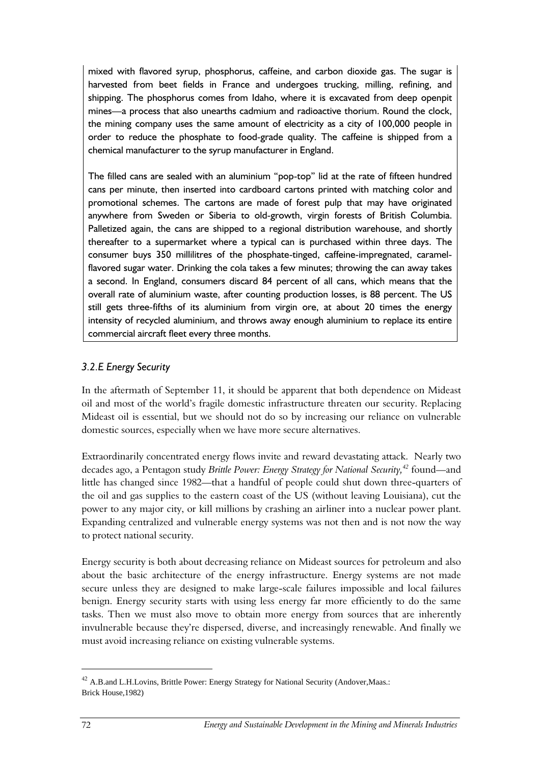mixed with flavored syrup, phosphorus, caffeine, and carbon dioxide gas. The sugar is harvested from beet fields in France and undergoes trucking, milling, refining, and shipping. The phosphorus comes from Idaho, where it is excavated from deep openpit mines—a process that also unearths cadmium and radioactive thorium. Round the clock, the mining company uses the same amount of electricity as a city of 100,000 people in order to reduce the phosphate to food-grade quality. The caffeine is shipped from a chemical manufacturer to the syrup manufacturer in England.

The filled cans are sealed with an aluminium "pop-top" lid at the rate of fifteen hundred cans per minute, then inserted into cardboard cartons printed with matching color and promotional schemes. The cartons are made of forest pulp that may have originated anywhere from Sweden or Siberia to old-growth, virgin forests of British Columbia. Palletized again, the cans are shipped to a regional distribution warehouse, and shortly thereafter to a supermarket where a typical can is purchased within three days. The consumer buys 350 millilitres of the phosphate-tinged, caffeine-impregnated, caramelflavored sugar water. Drinking the cola takes a few minutes; throwing the can away takes a second. In England, consumers discard 84 percent of all cans, which means that the overall rate of aluminium waste, after counting production losses, is 88 percent. The US still gets three-fifths of its aluminium from virgin ore, at about 20 times the energy intensity of recycled aluminium, and throws away enough aluminium to replace its entire commercial aircraft fleet every three months.

## *3.2.E Energy Security*

In the aftermath of September 11, it should be apparent that both dependence on Mideast oil and most of the world's fragile domestic infrastructure threaten our security. Replacing Mideast oil is essential, but we should not do so by increasing our reliance on vulnerable domestic sources, especially when we have more secure alternatives.

Extraordinarily concentrated energy flows invite and reward devastating attack. Nearly two decades ago, a Pentagon study *Brittle Power: Energy Strategy for National Security*,<sup>42</sup> found—and little has changed since 1982—that a handful of people could shut down three-quarters of the oil and gas supplies to the eastern coast of the US (without leaving Louisiana), cut the power to any major city, or kill millions by crashing an airliner into a nuclear power plant. Expanding centralized and vulnerable energy systems was not then and is not now the way to protect national security.

Energy security is both about decreasing reliance on Mideast sources for petroleum and also about the basic architecture of the energy infrastructure. Energy systems are not made secure unless they are designed to make large-scale failures impossible and local failures benign. Energy security starts with using less energy far more efficiently to do the same tasks. Then we must also move to obtain more energy from sources that are inherently invulnerable because they're dispersed, diverse, and increasingly renewable. And finally we must avoid increasing reliance on existing vulnerable systems.

1

<sup>&</sup>lt;sup>42</sup> A.B.and L.H.Lovins, Brittle Power: Energy Strategy for National Security (Andover, Maas.: Brick House,1982)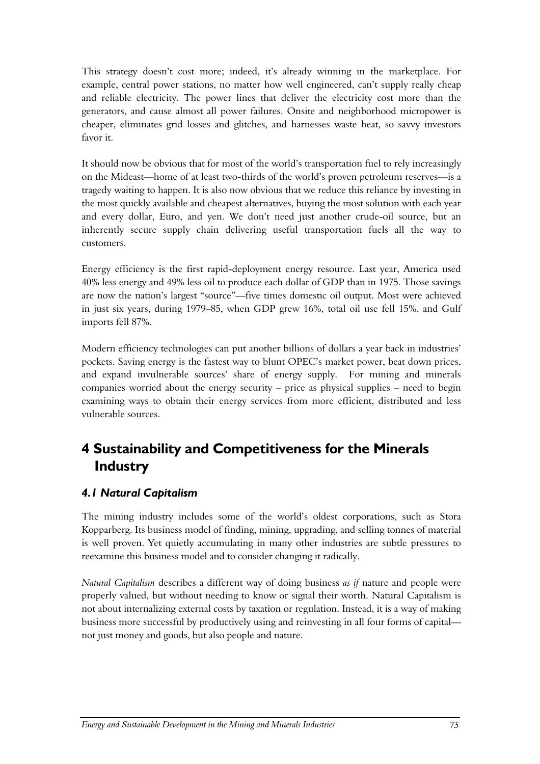This strategy doesn't cost more; indeed, it's already winning in the marketplace. For example, central power stations, no matter how well engineered, can't supply really cheap and reliable electricity. The power lines that deliver the electricity cost more than the generators, and cause almost all power failures. Onsite and neighborhood micropower is cheaper, eliminates grid losses and glitches, and harnesses waste heat, so savvy investors favor it.

It should now be obvious that for most of the world's transportation fuel to rely increasingly on the Mideast—home of at least two-thirds of the world's proven petroleum reserves—is a tragedy waiting to happen. It is also now obvious that we reduce this reliance by investing in the most quickly available and cheapest alternatives, buying the most solution with each year and every dollar, Euro, and yen. We don't need just another crude-oil source, but an inherently secure supply chain delivering useful transportation fuels all the way to customers.

Energy efficiency is the first rapid-deployment energy resource. Last year, America used 40% less energy and 49% less oil to produce each dollar of GDP than in 1975. Those savings are now the nation's largest "source"—five times domestic oil output. Most were achieved in just six years, during 1979–85, when GDP grew 16%, total oil use fell 15%, and Gulf imports fell 87%.

Modern efficiency technologies can put another billions of dollars a year back in industries' pockets. Saving energy is the fastest way to blunt OPEC's market power, beat down prices, and expand invulnerable sources' share of energy supply. For mining and minerals companies worried about the energy security – price as physical supplies – need to begin examining ways to obtain their energy services from more efficient, distributed and less vulnerable sources.

# **4 Sustainability and Competitiveness for the Minerals Industry**

## *4.1 Natural Capitalism*

The mining industry includes some of the world's oldest corporations, such as Stora Kopparberg. Its business model of finding, mining, upgrading, and selling tonnes of material is well proven. Yet quietly accumulating in many other industries are subtle pressures to reexamine this business model and to consider changing it radically.

*Natural Capitalism* describes a different way of doing business *as if* nature and people were properly valued, but without needing to know or signal their worth. Natural Capitalism is not about internalizing external costs by taxation or regulation. Instead, it is a way of making business more successful by productively using and reinvesting in all four forms of capital not just money and goods, but also people and nature.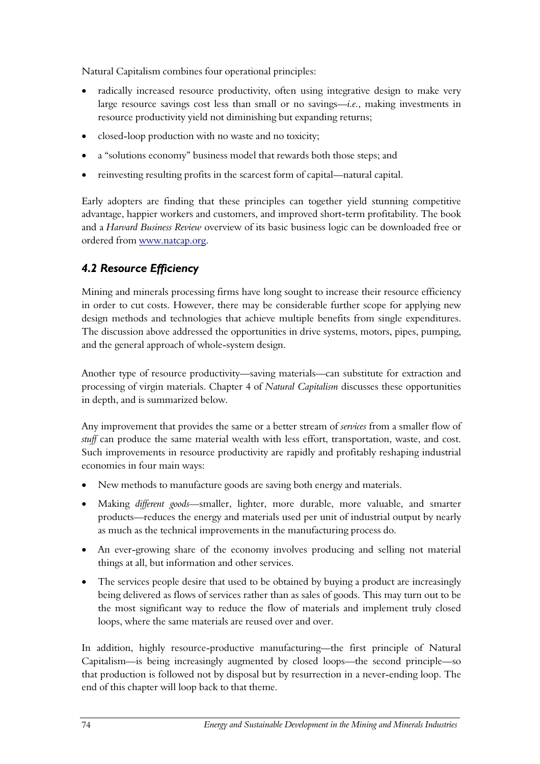Natural Capitalism combines four operational principles:

- radically increased resource productivity, often using integrative design to make very large resource savings cost less than small or no savings—*i.e.*, making investments in resource productivity yield not diminishing but expanding returns;
- closed-loop production with no waste and no toxicity;
- a "solutions economy" business model that rewards both those steps; and
- reinvesting resulting profits in the scarcest form of capital—natural capital.

Early adopters are finding that these principles can together yield stunning competitive advantage, happier workers and customers, and improved short-term profitability. The book and a *Harvard Business Review* overview of its basic business logic can be downloaded free or ordered from [www.natcap.org.](http://www.natcap.org/) 

## *4.2 Resource Efficiency*

Mining and minerals processing firms have long sought to increase their resource efficiency in order to cut costs. However, there may be considerable further scope for applying new design methods and technologies that achieve multiple benefits from single expenditures. The discussion above addressed the opportunities in drive systems, motors, pipes, pumping, and the general approach of whole-system design.

Another type of resource productivity—saving materials—can substitute for extraction and processing of virgin materials. Chapter 4 of *Natural Capitalism* discusses these opportunities in depth, and is summarized below.

Any improvement that provides the same or a better stream of *services* from a smaller flow of *stuff* can produce the same material wealth with less effort, transportation, waste, and cost. Such improvements in resource productivity are rapidly and profitably reshaping industrial economies in four main ways:

- New methods to manufacture goods are saving both energy and materials.
- Making *different goods—*smaller, lighter, more durable, more valuable, and smarter products—reduces the energy and materials used per unit of industrial output by nearly as much as the technical improvements in the manufacturing process do.
- An ever-growing share of the economy involves producing and selling not material things at all, but information and other services.
- The services people desire that used to be obtained by buying a product are increasingly being delivered as flows of services rather than as sales of goods. This may turn out to be the most significant way to reduce the flow of materials and implement truly closed loops, where the same materials are reused over and over.

In addition, highly resource-productive manufacturing—the first principle of Natural Capitalism—is being increasingly augmented by closed loops—the second principle—so that production is followed not by disposal but by resurrection in a never-ending loop. The end of this chapter will loop back to that theme.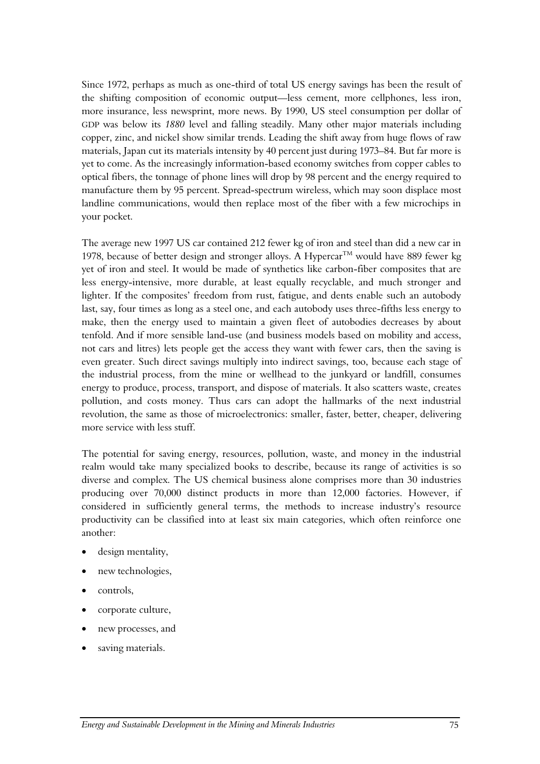Since 1972, perhaps as much as one-third of total US energy savings has been the result of the shifting composition of economic output—less cement, more cellphones, less iron, more insurance, less newsprint, more news. By 1990, US steel consumption per dollar of GDP was below its *1880* level and falling steadily. Many other major materials including copper, zinc, and nickel show similar trends. Leading the shift away from huge flows of raw materials, Japan cut its materials intensity by 40 percent just during 1973–84. But far more is yet to come. As the increasingly information-based economy switches from copper cables to optical fibers, the tonnage of phone lines will drop by 98 percent and the energy required to manufacture them by 95 percent. Spread-spectrum wireless, which may soon displace most landline communications, would then replace most of the fiber with a few microchips in your pocket.

The average new 1997 US car contained 212 fewer kg of iron and steel than did a new car in 1978, because of better design and stronger alloys. A Hypercar<sup>TM</sup> would have 889 fewer kg yet of iron and steel. It would be made of synthetics like carbon-fiber composites that are less energy-intensive, more durable, at least equally recyclable, and much stronger and lighter. If the composites' freedom from rust, fatigue, and dents enable such an autobody last, say, four times as long as a steel one, and each autobody uses three-fifths less energy to make, then the energy used to maintain a given fleet of autobodies decreases by about tenfold. And if more sensible land-use (and business models based on mobility and access, not cars and litres) lets people get the access they want with fewer cars, then the saving is even greater. Such direct savings multiply into indirect savings, too, because each stage of the industrial process, from the mine or wellhead to the junkyard or landfill, consumes energy to produce, process, transport, and dispose of materials. It also scatters waste, creates pollution, and costs money. Thus cars can adopt the hallmarks of the next industrial revolution, the same as those of microelectronics: smaller, faster, better, cheaper, delivering more service with less stuff.

The potential for saving energy, resources, pollution, waste, and money in the industrial realm would take many specialized books to describe, because its range of activities is so diverse and complex. The US chemical business alone comprises more than 30 industries producing over 70,000 distinct products in more than 12,000 factories. However, if considered in sufficiently general terms, the methods to increase industry's resource productivity can be classified into at least six main categories, which often reinforce one another:

- design mentality,
- new technologies.
- controls,
- corporate culture,
- new processes, and
- saving materials.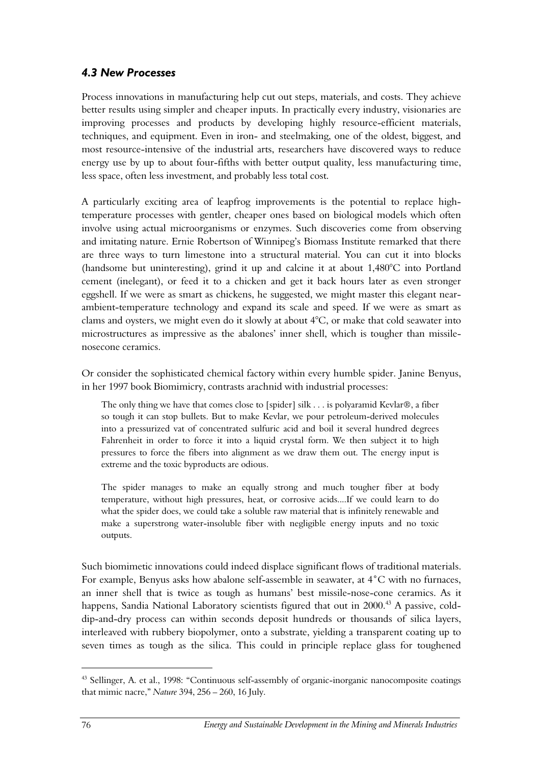## *4.3 New Processes*

Process innovations in manufacturing help cut out steps, materials, and costs. They achieve better results using simpler and cheaper inputs. In practically every industry, visionaries are improving processes and products by developing highly resource-efficient materials, techniques, and equipment. Even in iron- and steelmaking, one of the oldest, biggest, and most resource-intensive of the industrial arts, researchers have discovered ways to reduce energy use by up to about four-fifths with better output quality, less manufacturing time, less space, often less investment, and probably less total cost.

A particularly exciting area of leapfrog improvements is the potential to replace hightemperature processes with gentler, cheaper ones based on biological models which often involve using actual microorganisms or enzymes. Such discoveries come from observing and imitating nature. Ernie Robertson of Winnipeg's Biomass Institute remarked that there are three ways to turn limestone into a structural material. You can cut it into blocks (handsome but uninteresting), grind it up and calcine it at about 1,480°C into Portland cement (inelegant), or feed it to a chicken and get it back hours later as even stronger eggshell. If we were as smart as chickens, he suggested, we might master this elegant nearambient-temperature technology and expand its scale and speed. If we were as smart as clams and oysters, we might even do it slowly at about 4°C, or make that cold seawater into microstructures as impressive as the abalones' inner shell, which is tougher than missilenosecone ceramics.

Or consider the sophisticated chemical factory within every humble spider. Janine Benyus, in her 1997 book Biomimicry, contrasts arachnid with industrial processes:

The only thing we have that comes close to [spider] silk . . . is polyaramid Kevlar®, a fiber so tough it can stop bullets. But to make Kevlar, we pour petroleum-derived molecules into a pressurized vat of concentrated sulfuric acid and boil it several hundred degrees Fahrenheit in order to force it into a liquid crystal form. We then subject it to high pressures to force the fibers into alignment as we draw them out. The energy input is extreme and the toxic byproducts are odious.

The spider manages to make an equally strong and much tougher fiber at body temperature, without high pressures, heat, or corrosive acids....If we could learn to do what the spider does, we could take a soluble raw material that is infinitely renewable and make a superstrong water-insoluble fiber with negligible energy inputs and no toxic outputs.

Such biomimetic innovations could indeed displace significant flows of traditional materials. For example, Benyus asks how abalone self-assemble in seawater, at 4˚C with no furnaces, an inner shell that is twice as tough as humans' best missile-nose-cone ceramics. As it happens, Sandia National Laboratory scientists figured that out in 2000.<sup>43</sup> A passive, colddip-and-dry process can within seconds deposit hundreds or thousands of silica layers, interleaved with rubbery biopolymer, onto a substrate, yielding a transparent coating up to seven times as tough as the silica. This could in principle replace glass for toughened

1

<sup>43</sup> Sellinger, A. et al., 1998: "Continuous self-assembly of organic-inorganic nanocomposite coatings that mimic nacre," *Nature* 394, 256 – 260, 16 July.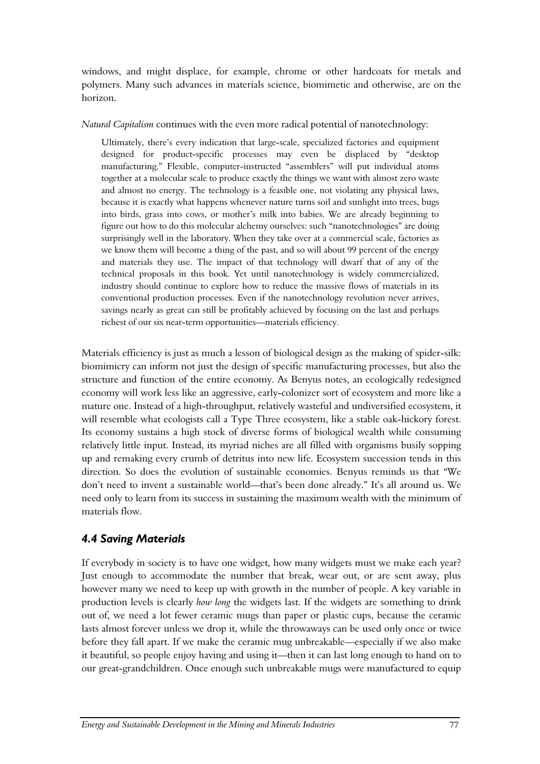windows, and might displace, for example, chrome or other hardcoats for metals and polymers. Many such advances in materials science, biomimetic and otherwise, are on the horizon.

*Natural Capitalism* continues with the even more radical potential of nanotechnology:

Ultimately, there's every indication that large-scale, specialized factories and equipment designed for product-specific processes may even be displaced by "desktop manufacturing." Flexible, computer-instructed "assemblers" will put individual atoms together at a molecular scale to produce exactly the things we want with almost zero waste and almost no energy. The technology is a feasible one, not violating any physical laws, because it is exactly what happens whenever nature turns soil and sunlight into trees, bugs into birds, grass into cows, or mother's milk into babies. We are already beginning to figure out how to do this molecular alchemy ourselves: such "nanotechnologies" are doing surprisingly well in the laboratory. When they take over at a commercial scale, factories as we know them will become a thing of the past, and so will about 99 percent of the energy and materials they use. The impact of that technology will dwarf that of any of the technical proposals in this book. Yet until nanotechnology is widely commercialized, industry should continue to explore how to reduce the massive flows of materials in its conventional production processes. Even if the nanotechnology revolution never arrives, savings nearly as great can still be profitably achieved by focusing on the last and perhaps richest of our six near-term opportunities—materials efficiency.

Materials efficiency is just as much a lesson of biological design as the making of spider-silk: biomimicry can inform not just the design of specific manufacturing processes, but also the structure and function of the entire economy. As Benyus notes, an ecologically redesigned economy will work less like an aggressive, early-colonizer sort of ecosystem and more like a mature one. Instead of a high-throughput, relatively wasteful and undiversified ecosystem, it will resemble what ecologists call a Type Three ecosystem, like a stable oak-hickory forest. Its economy sustains a high stock of diverse forms of biological wealth while consuming relatively little input. Instead, its myriad niches are all filled with organisms busily sopping up and remaking every crumb of detritus into new life. Ecosystem succession tends in this direction. So does the evolution of sustainable economies. Benyus reminds us that "We don't need to invent a sustainable world—that's been done already." It's all around us. We need only to learn from its success in sustaining the maximum wealth with the minimum of materials flow.

## *4.4 Saving Materials*

If everybody in society is to have one widget, how many widgets must we make each year? Just enough to accommodate the number that break, wear out, or are sent away, plus however many we need to keep up with growth in the number of people. A key variable in production levels is clearly *how long* the widgets last. If the widgets are something to drink out of, we need a lot fewer ceramic mugs than paper or plastic cups, because the ceramic lasts almost forever unless we drop it, while the throwaways can be used only once or twice before they fall apart. If we make the ceramic mug unbreakable—especially if we also make it beautiful, so people enjoy having and using it—then it can last long enough to hand on to our great-grandchildren. Once enough such unbreakable mugs were manufactured to equip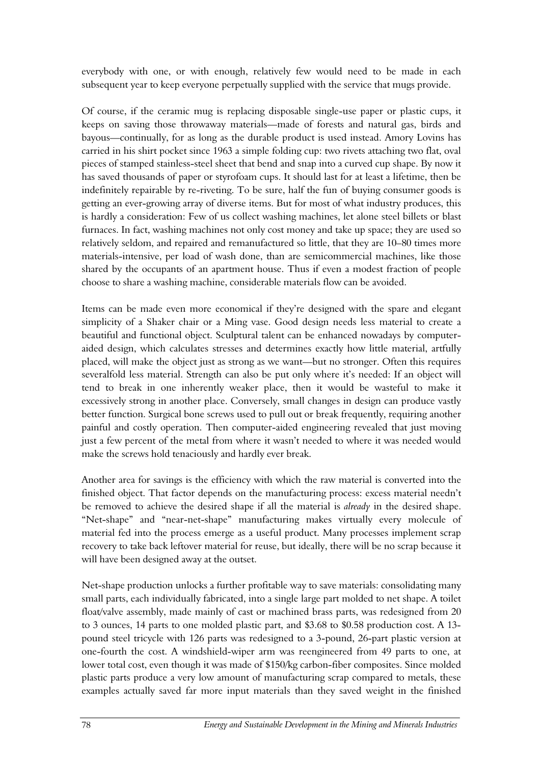everybody with one, or with enough, relatively few would need to be made in each subsequent year to keep everyone perpetually supplied with the service that mugs provide.

Of course, if the ceramic mug is replacing disposable single-use paper or plastic cups, it keeps on saving those throwaway materials—made of forests and natural gas, birds and bayous—continually, for as long as the durable product is used instead. Amory Lovins has carried in his shirt pocket since 1963 a simple folding cup: two rivets attaching two flat, oval pieces of stamped stainless-steel sheet that bend and snap into a curved cup shape. By now it has saved thousands of paper or styrofoam cups. It should last for at least a lifetime, then be indefinitely repairable by re-riveting. To be sure, half the fun of buying consumer goods is getting an ever-growing array of diverse items. But for most of what industry produces, this is hardly a consideration: Few of us collect washing machines, let alone steel billets or blast furnaces. In fact, washing machines not only cost money and take up space; they are used so relatively seldom, and repaired and remanufactured so little, that they are 10–80 times more materials-intensive, per load of wash done, than are semicommercial machines, like those shared by the occupants of an apartment house. Thus if even a modest fraction of people choose to share a washing machine, considerable materials flow can be avoided.

Items can be made even more economical if they're designed with the spare and elegant simplicity of a Shaker chair or a Ming vase. Good design needs less material to create a beautiful and functional object. Sculptural talent can be enhanced nowadays by computeraided design, which calculates stresses and determines exactly how little material, artfully placed, will make the object just as strong as we want—but no stronger. Often this requires severalfold less material. Strength can also be put only where it's needed: If an object will tend to break in one inherently weaker place, then it would be wasteful to make it excessively strong in another place. Conversely, small changes in design can produce vastly better function. Surgical bone screws used to pull out or break frequently, requiring another painful and costly operation. Then computer-aided engineering revealed that just moving just a few percent of the metal from where it wasn't needed to where it was needed would make the screws hold tenaciously and hardly ever break.

Another area for savings is the efficiency with which the raw material is converted into the finished object. That factor depends on the manufacturing process: excess material needn't be removed to achieve the desired shape if all the material is *already* in the desired shape. "Net-shape" and "near-net-shape" manufacturing makes virtually every molecule of material fed into the process emerge as a useful product. Many processes implement scrap recovery to take back leftover material for reuse, but ideally, there will be no scrap because it will have been designed away at the outset.

Net-shape production unlocks a further profitable way to save materials: consolidating many small parts, each individually fabricated, into a single large part molded to net shape. A toilet float/valve assembly, made mainly of cast or machined brass parts, was redesigned from 20 to 3 ounces, 14 parts to one molded plastic part, and \$3.68 to \$0.58 production cost. A 13 pound steel tricycle with 126 parts was redesigned to a 3-pound, 26-part plastic version at one-fourth the cost. A windshield-wiper arm was reengineered from 49 parts to one, at lower total cost, even though it was made of \$150/kg carbon-fiber composites. Since molded plastic parts produce a very low amount of manufacturing scrap compared to metals, these examples actually saved far more input materials than they saved weight in the finished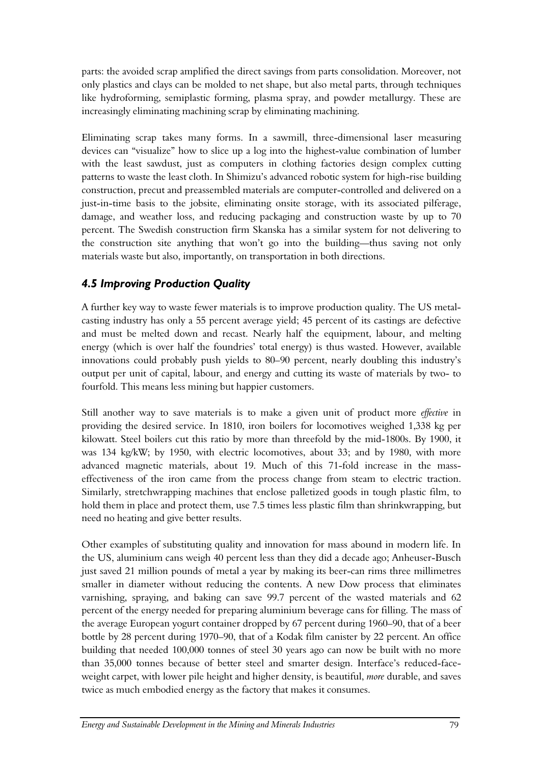parts: the avoided scrap amplified the direct savings from parts consolidation. Moreover, not only plastics and clays can be molded to net shape, but also metal parts, through techniques like hydroforming, semiplastic forming, plasma spray, and powder metallurgy. These are increasingly eliminating machining scrap by eliminating machining.

Eliminating scrap takes many forms. In a sawmill, three-dimensional laser measuring devices can "visualize" how to slice up a log into the highest-value combination of lumber with the least sawdust, just as computers in clothing factories design complex cutting patterns to waste the least cloth. In Shimizu's advanced robotic system for high-rise building construction, precut and preassembled materials are computer-controlled and delivered on a just-in-time basis to the jobsite, eliminating onsite storage, with its associated pilferage, damage, and weather loss, and reducing packaging and construction waste by up to 70 percent. The Swedish construction firm Skanska has a similar system for not delivering to the construction site anything that won't go into the building—thus saving not only materials waste but also, importantly, on transportation in both directions.

# *4.5 Improving Production Quality*

A further key way to waste fewer materials is to improve production quality. The US metalcasting industry has only a 55 percent average yield; 45 percent of its castings are defective and must be melted down and recast. Nearly half the equipment, labour, and melting energy (which is over half the foundries' total energy) is thus wasted. However, available innovations could probably push yields to 80–90 percent, nearly doubling this industry's output per unit of capital, labour, and energy and cutting its waste of materials by two- to fourfold. This means less mining but happier customers.

Still another way to save materials is to make a given unit of product more *effective* in providing the desired service. In 1810, iron boilers for locomotives weighed 1,338 kg per kilowatt. Steel boilers cut this ratio by more than threefold by the mid-1800s. By 1900, it was 134 kg/kW; by 1950, with electric locomotives, about 33; and by 1980, with more advanced magnetic materials, about 19. Much of this 71-fold increase in the masseffectiveness of the iron came from the process change from steam to electric traction. Similarly, stretchwrapping machines that enclose palletized goods in tough plastic film, to hold them in place and protect them, use 7.5 times less plastic film than shrinkwrapping, but need no heating and give better results.

Other examples of substituting quality and innovation for mass abound in modern life. In the US, aluminium cans weigh 40 percent less than they did a decade ago; Anheuser-Busch just saved 21 million pounds of metal a year by making its beer-can rims three millimetres smaller in diameter without reducing the contents. A new Dow process that eliminates varnishing, spraying, and baking can save 99.7 percent of the wasted materials and 62 percent of the energy needed for preparing aluminium beverage cans for filling. The mass of the average European yogurt container dropped by 67 percent during 1960–90, that of a beer bottle by 28 percent during 1970–90, that of a Kodak film canister by 22 percent. An office building that needed 100,000 tonnes of steel 30 years ago can now be built with no more than 35,000 tonnes because of better steel and smarter design. Interface's reduced-faceweight carpet, with lower pile height and higher density, is beautiful, *more* durable, and saves twice as much embodied energy as the factory that makes it consumes.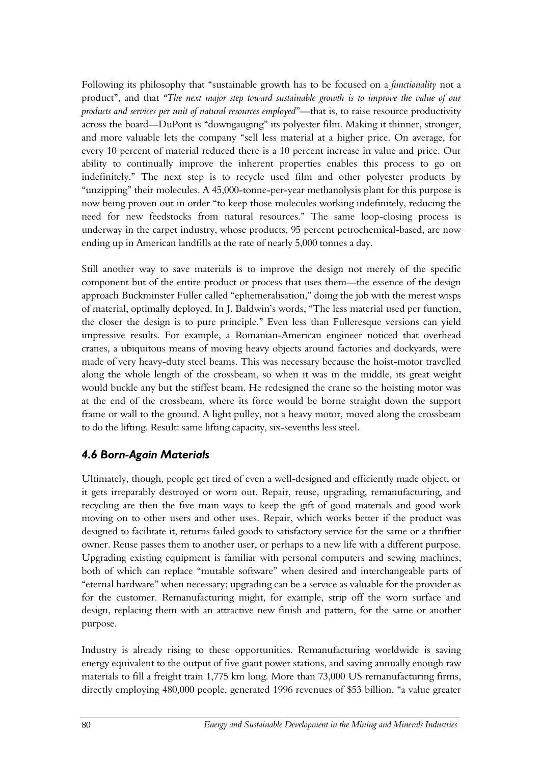Following its philosophy that "sustainable growth has to be focused on a *functionality* not a product", and that *"The next major step toward sustainable growth is to improve the value of our products and services per unit of natural resources employed*"—that is, to raise resource productivity across the board—DuPont is "downgauging" its polyester film. Making it thinner, stronger, and more valuable lets the company "sell less material at a higher price. On average, for every 10 percent of material reduced there is a 10 percent increase in value and price. Our ability to continually improve the inherent properties enables this process to go on indefinitely." The next step is to recycle used film and other polyester products by "unzipping" their molecules. A 45,000-tonne-per-year methanolysis plant for this purpose is now being proven out in order "to keep those molecules working indefinitely, reducing the need for new feedstocks from natural resources." The same loop-closing process is underway in the carpet industry, whose products, 95 percent petrochemical-based, are now ending up in American landfills at the rate of nearly 5,000 tonnes a day.

Still another way to save materials is to improve the design not merely of the specific component but of the entire product or process that uses them—the essence of the design approach Buckminster Fuller called "ephemeralisation," doing the job with the merest wisps of material, optimally deployed. In J. Baldwin's words, "The less material used per function, the closer the design is to pure principle." Even less than Fulleresque versions can yield impressive results. For example, a Romanian-American engineer noticed that overhead cranes, a ubiquitous means of moving heavy objects around factories and dockyards, were made of very heavy-duty steel beams. This was necessary because the hoist-motor travelled along the whole length of the crossbeam, so when it was in the middle, its great weight would buckle any but the stiffest beam. He redesigned the crane so the hoisting motor was at the end of the crossbeam, where its force would be borne straight down the support frame or wall to the ground. A light pulley, not a heavy motor, moved along the crossbeam to do the lifting. Result: same lifting capacity, six-sevenths less steel.

## *4.6 Born-Again Materials*

Ultimately, though, people get tired of even a well-designed and efficiently made object, or it gets irreparably destroyed or worn out. Repair, reuse, upgrading, remanufacturing, and recycling are then the five main ways to keep the gift of good materials and good work moving on to other users and other uses. Repair, which works better if the product was designed to facilitate it, returns failed goods to satisfactory service for the same or a thriftier owner. Reuse passes them to another user, or perhaps to a new life with a different purpose. Upgrading existing equipment is familiar with personal computers and sewing machines, both of which can replace "mutable software" when desired and interchangeable parts of "eternal hardware" when necessary; upgrading can be a service as valuable for the provider as for the customer. Remanufacturing might, for example, strip off the worn surface and design, replacing them with an attractive new finish and pattern, for the same or another purpose.

Industry is already rising to these opportunities. Remanufacturing worldwide is saving energy equivalent to the output of five giant power stations, and saving annually enough raw materials to fill a freight train 1,775 km long. More than 73,000 US remanufacturing firms, directly employing 480,000 people, generated 1996 revenues of \$53 billion, "a value greater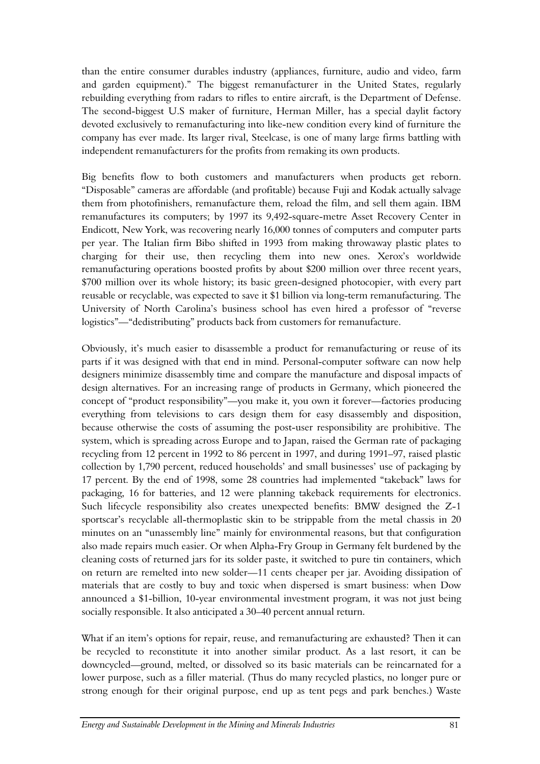than the entire consumer durables industry (appliances, furniture, audio and video, farm and garden equipment)." The biggest remanufacturer in the United States, regularly rebuilding everything from radars to rifles to entire aircraft, is the Department of Defense. The second-biggest U.S maker of furniture, Herman Miller, has a special daylit factory devoted exclusively to remanufacturing into like-new condition every kind of furniture the company has ever made. Its larger rival, Steelcase, is one of many large firms battling with independent remanufacturers for the profits from remaking its own products.

Big benefits flow to both customers and manufacturers when products get reborn. "Disposable" cameras are affordable (and profitable) because Fuji and Kodak actually salvage them from photofinishers, remanufacture them, reload the film, and sell them again. IBM remanufactures its computers; by 1997 its 9,492-square-metre Asset Recovery Center in Endicott, New York, was recovering nearly 16,000 tonnes of computers and computer parts per year. The Italian firm Bibo shifted in 1993 from making throwaway plastic plates to charging for their use, then recycling them into new ones. Xerox's worldwide remanufacturing operations boosted profits by about \$200 million over three recent years, \$700 million over its whole history; its basic green-designed photocopier, with every part reusable or recyclable, was expected to save it \$1 billion via long-term remanufacturing. The University of North Carolina's business school has even hired a professor of "reverse logistics"—"dedistributing" products back from customers for remanufacture.

Obviously, it's much easier to disassemble a product for remanufacturing or reuse of its parts if it was designed with that end in mind. Personal-computer software can now help designers minimize disassembly time and compare the manufacture and disposal impacts of design alternatives. For an increasing range of products in Germany, which pioneered the concept of "product responsibility"—you make it, you own it forever—factories producing everything from televisions to cars design them for easy disassembly and disposition, because otherwise the costs of assuming the post-user responsibility are prohibitive. The system, which is spreading across Europe and to Japan, raised the German rate of packaging recycling from 12 percent in 1992 to 86 percent in 1997, and during 1991–97, raised plastic collection by 1,790 percent, reduced households' and small businesses' use of packaging by 17 percent. By the end of 1998, some 28 countries had implemented "takeback" laws for packaging, 16 for batteries, and 12 were planning takeback requirements for electronics. Such lifecycle responsibility also creates unexpected benefits: BMW designed the Z-1 sportscar's recyclable all-thermoplastic skin to be strippable from the metal chassis in 20 minutes on an "unassembly line" mainly for environmental reasons, but that configuration also made repairs much easier. Or when Alpha-Fry Group in Germany felt burdened by the cleaning costs of returned jars for its solder paste, it switched to pure tin containers, which on return are remelted into new solder—11 cents cheaper per jar. Avoiding dissipation of materials that are costly to buy and toxic when dispersed is smart business: when Dow announced a \$1-billion, 10-year environmental investment program, it was not just being socially responsible. It also anticipated a 30–40 percent annual return.

What if an item's options for repair, reuse, and remanufacturing are exhausted? Then it can be recycled to reconstitute it into another similar product. As a last resort, it can be downcycled—ground, melted, or dissolved so its basic materials can be reincarnated for a lower purpose, such as a filler material. (Thus do many recycled plastics, no longer pure or strong enough for their original purpose, end up as tent pegs and park benches.) Waste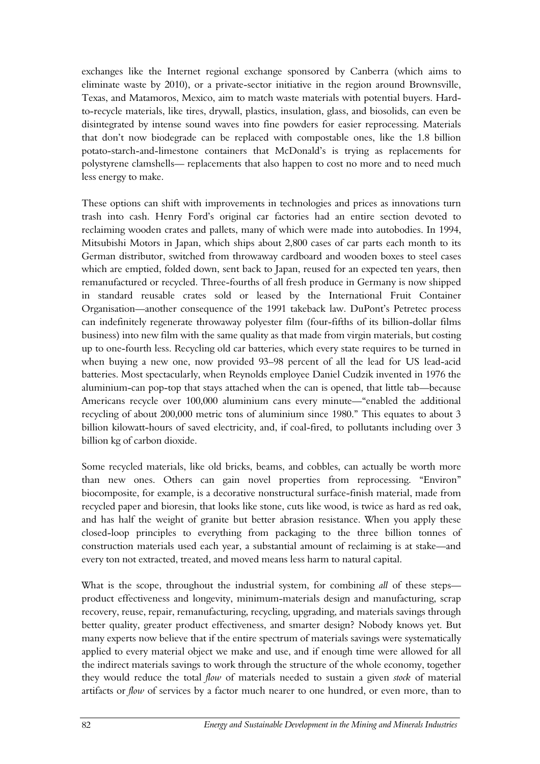exchanges like the Internet regional exchange sponsored by Canberra (which aims to eliminate waste by 2010), or a private-sector initiative in the region around Brownsville, Texas, and Matamoros, Mexico, aim to match waste materials with potential buyers. Hardto-recycle materials, like tires, drywall, plastics, insulation, glass, and biosolids, can even be disintegrated by intense sound waves into fine powders for easier reprocessing. Materials that don't now biodegrade can be replaced with compostable ones, like the 1.8 billion potato-starch-and-limestone containers that McDonald's is trying as replacements for polystyrene clamshells— replacements that also happen to cost no more and to need much less energy to make.

These options can shift with improvements in technologies and prices as innovations turn trash into cash. Henry Ford's original car factories had an entire section devoted to reclaiming wooden crates and pallets, many of which were made into autobodies. In 1994, Mitsubishi Motors in Japan, which ships about 2,800 cases of car parts each month to its German distributor, switched from throwaway cardboard and wooden boxes to steel cases which are emptied, folded down, sent back to Japan, reused for an expected ten years, then remanufactured or recycled. Three-fourths of all fresh produce in Germany is now shipped in standard reusable crates sold or leased by the International Fruit Container Organisation—another consequence of the 1991 takeback law. DuPont's Petretec process can indefinitely regenerate throwaway polyester film (four-fifths of its billion-dollar films business) into new film with the same quality as that made from virgin materials, but costing up to one-fourth less. Recycling old car batteries, which every state requires to be turned in when buying a new one, now provided 93–98 percent of all the lead for US lead-acid batteries. Most spectacularly, when Reynolds employee Daniel Cudzik invented in 1976 the aluminium-can pop-top that stays attached when the can is opened, that little tab—because Americans recycle over 100,000 aluminium cans every minute—"enabled the additional recycling of about 200,000 metric tons of aluminium since 1980." This equates to about 3 billion kilowatt-hours of saved electricity, and, if coal-fired, to pollutants including over 3 billion kg of carbon dioxide.

Some recycled materials, like old bricks, beams, and cobbles, can actually be worth more than new ones. Others can gain novel properties from reprocessing. "Environ" biocomposite, for example, is a decorative nonstructural surface-finish material, made from recycled paper and bioresin, that looks like stone, cuts like wood, is twice as hard as red oak, and has half the weight of granite but better abrasion resistance. When you apply these closed-loop principles to everything from packaging to the three billion tonnes of construction materials used each year, a substantial amount of reclaiming is at stake—and every ton not extracted, treated, and moved means less harm to natural capital.

What is the scope, throughout the industrial system, for combining *all* of these steps product effectiveness and longevity, minimum-materials design and manufacturing, scrap recovery, reuse, repair, remanufacturing, recycling, upgrading, and materials savings through better quality, greater product effectiveness, and smarter design? Nobody knows yet. But many experts now believe that if the entire spectrum of materials savings were systematically applied to every material object we make and use, and if enough time were allowed for all the indirect materials savings to work through the structure of the whole economy, together they would reduce the total *flow* of materials needed to sustain a given *stock* of material artifacts or *flow* of services by a factor much nearer to one hundred, or even more, than to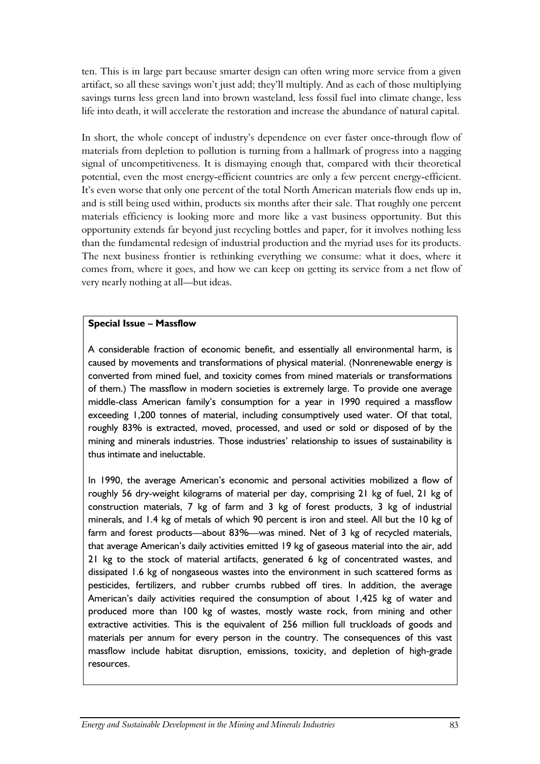ten. This is in large part because smarter design can often wring more service from a given artifact, so all these savings won't just add; they'll multiply. And as each of those multiplying savings turns less green land into brown wasteland, less fossil fuel into climate change, less life into death, it will accelerate the restoration and increase the abundance of natural capital.

In short, the whole concept of industry's dependence on ever faster once-through flow of materials from depletion to pollution is turning from a hallmark of progress into a nagging signal of uncompetitiveness. It is dismaying enough that, compared with their theoretical potential, even the most energy-efficient countries are only a few percent energy-efficient. It's even worse that only one percent of the total North American materials flow ends up in, and is still being used within, products six months after their sale. That roughly one percent materials efficiency is looking more and more like a vast business opportunity. But this opportunity extends far beyond just recycling bottles and paper, for it involves nothing less than the fundamental redesign of industrial production and the myriad uses for its products. The next business frontier is rethinking everything we consume: what it does, where it comes from, where it goes, and how we can keep on getting its service from a net flow of very nearly nothing at all—but ideas.

#### **Special Issue – Massflow**

A considerable fraction of economic benefit, and essentially all environmental harm, is caused by movements and transformations of physical material. (Nonrenewable energy is converted from mined fuel, and toxicity comes from mined materials or transformations of them.) The massflow in modern societies is extremely large. To provide one average middle-class American family's consumption for a year in 1990 required a massflow exceeding 1,200 tonnes of material, including consumptively used water. Of that total, roughly 83% is extracted, moved, processed, and used or sold or disposed of by the mining and minerals industries. Those industries' relationship to issues of sustainability is thus intimate and ineluctable.

In 1990, the average American's economic and personal activities mobilized a flow of roughly 56 dry-weight kilograms of material per day, comprising 21 kg of fuel, 21 kg of construction materials, 7 kg of farm and 3 kg of forest products, 3 kg of industrial minerals, and 1.4 kg of metals of which 90 percent is iron and steel. All but the 10 kg of farm and forest products—about 83%—was mined. Net of 3 kg of recycled materials, that average American's daily activities emitted 19 kg of gaseous material into the air, add 21 kg to the stock of material artifacts, generated 6 kg of concentrated wastes, and dissipated 1.6 kg of nongaseous wastes into the environment in such scattered forms as pesticides, fertilizers, and rubber crumbs rubbed off tires. In addition, the average American's daily activities required the consumption of about 1,425 kg of water and produced more than 100 kg of wastes, mostly waste rock, from mining and other extractive activities. This is the equivalent of 256 million full truckloads of goods and materials per annum for every person in the country. The consequences of this vast massflow include habitat disruption, emissions, toxicity, and depletion of high-grade resources.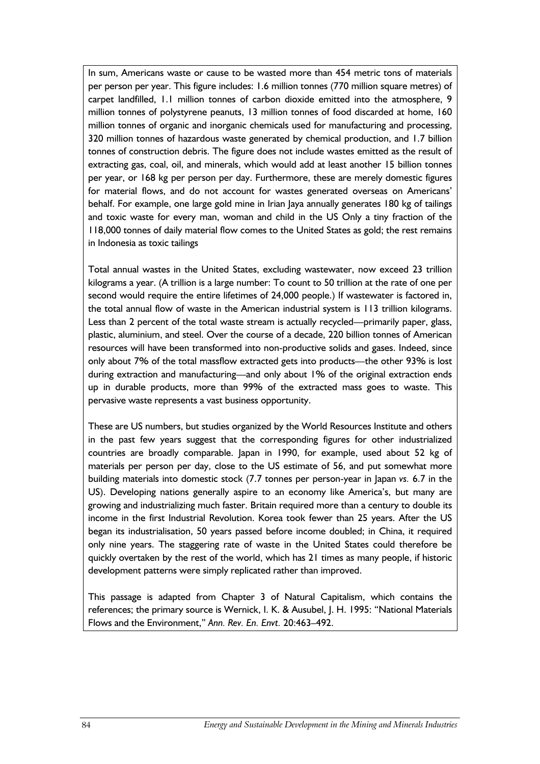In sum, Americans waste or cause to be wasted more than 454 metric tons of materials per person per year. This figure includes: 1.6 million tonnes (770 million square metres) of carpet landfilled, 1.1 million tonnes of carbon dioxide emitted into the atmosphere, 9 million tonnes of polystyrene peanuts, 13 million tonnes of food discarded at home, 160 million tonnes of organic and inorganic chemicals used for manufacturing and processing, 320 million tonnes of hazardous waste generated by chemical production, and 1.7 billion tonnes of construction debris. The figure does not include wastes emitted as the result of extracting gas, coal, oil, and minerals, which would add at least another 15 billion tonnes per year, or 168 kg per person per day. Furthermore, these are merely domestic figures for material flows, and do not account for wastes generated overseas on Americans' behalf. For example, one large gold mine in Irian Jaya annually generates 180 kg of tailings and toxic waste for every man, woman and child in the US Only a tiny fraction of the 118,000 tonnes of daily material flow comes to the United States as gold; the rest remains in Indonesia as toxic tailings

Total annual wastes in the United States, excluding wastewater, now exceed 23 trillion kilograms a year. (A trillion is a large number: To count to 50 trillion at the rate of one per second would require the entire lifetimes of 24,000 people.) If wastewater is factored in, the total annual flow of waste in the American industrial system is 113 trillion kilograms. Less than 2 percent of the total waste stream is actually recycled—primarily paper, glass, plastic, aluminium, and steel. Over the course of a decade, 220 billion tonnes of American resources will have been transformed into non-productive solids and gases. Indeed, since only about 7% of the total massflow extracted gets into products—the other 93% is lost during extraction and manufacturing—and only about 1% of the original extraction ends up in durable products, more than 99% of the extracted mass goes to waste. This pervasive waste represents a vast business opportunity.

These are US numbers, but studies organized by the World Resources Institute and others in the past few years suggest that the corresponding figures for other industrialized countries are broadly comparable. Japan in 1990, for example, used about 52 kg of materials per person per day, close to the US estimate of 56, and put somewhat more building materials into domestic stock (7.7 tonnes per person-year in Japan *vs.* 6.7 in the US). Developing nations generally aspire to an economy like America's, but many are growing and industrializing much faster. Britain required more than a century to double its income in the first Industrial Revolution. Korea took fewer than 25 years. After the US began its industrialisation, 50 years passed before income doubled; in China, it required only nine years. The staggering rate of waste in the United States could therefore be quickly overtaken by the rest of the world, which has 21 times as many people, if historic development patterns were simply replicated rather than improved.

This passage is adapted from Chapter 3 of Natural Capitalism, which contains the references; the primary source is Wernick, I. K. & Ausubel, J. H. 1995: "National Materials Flows and the Environment," *Ann. Rev. En. Envt.* 20:463–492.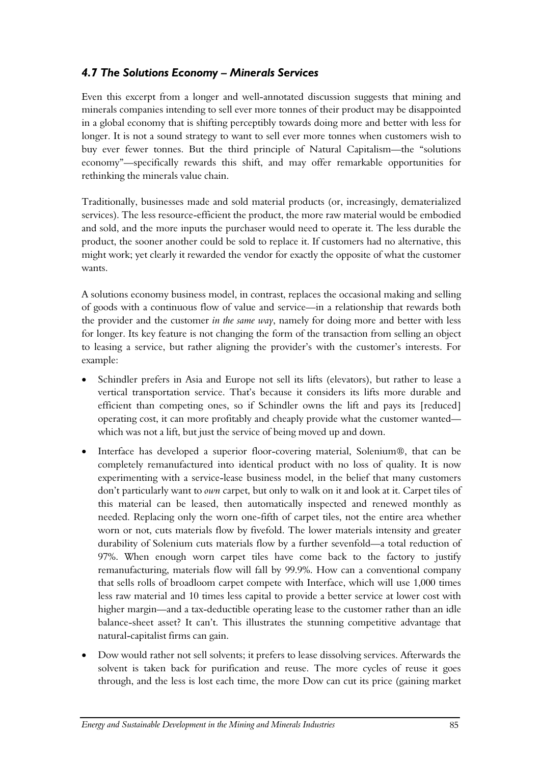## *4.7 The Solutions Economy – Minerals Services*

Even this excerpt from a longer and well-annotated discussion suggests that mining and minerals companies intending to sell ever more tonnes of their product may be disappointed in a global economy that is shifting perceptibly towards doing more and better with less for longer. It is not a sound strategy to want to sell ever more tonnes when customers wish to buy ever fewer tonnes. But the third principle of Natural Capitalism—the "solutions economy"—specifically rewards this shift, and may offer remarkable opportunities for rethinking the minerals value chain.

Traditionally, businesses made and sold material products (or, increasingly, dematerialized services). The less resource-efficient the product, the more raw material would be embodied and sold, and the more inputs the purchaser would need to operate it. The less durable the product, the sooner another could be sold to replace it. If customers had no alternative, this might work; yet clearly it rewarded the vendor for exactly the opposite of what the customer wants.

A solutions economy business model, in contrast, replaces the occasional making and selling of goods with a continuous flow of value and service—in a relationship that rewards both the provider and the customer *in the same way*, namely for doing more and better with less for longer. Its key feature is not changing the form of the transaction from selling an object to leasing a service, but rather aligning the provider's with the customer's interests. For example:

- Schindler prefers in Asia and Europe not sell its lifts (elevators), but rather to lease a vertical transportation service. That's because it considers its lifts more durable and efficient than competing ones, so if Schindler owns the lift and pays its [reduced] operating cost, it can more profitably and cheaply provide what the customer wanted which was not a lift, but just the service of being moved up and down.
- Interface has developed a superior floor-covering material, Solenium®, that can be completely remanufactured into identical product with no loss of quality. It is now experimenting with a service-lease business model, in the belief that many customers don't particularly want to *own* carpet, but only to walk on it and look at it. Carpet tiles of this material can be leased, then automatically inspected and renewed monthly as needed. Replacing only the worn one-fifth of carpet tiles, not the entire area whether worn or not, cuts materials flow by fivefold. The lower materials intensity and greater durability of Solenium cuts materials flow by a further sevenfold—a total reduction of 97%. When enough worn carpet tiles have come back to the factory to justify remanufacturing, materials flow will fall by 99.9%. How can a conventional company that sells rolls of broadloom carpet compete with Interface, which will use 1,000 times less raw material and 10 times less capital to provide a better service at lower cost with higher margin—and a tax-deductible operating lease to the customer rather than an idle balance-sheet asset? It can't. This illustrates the stunning competitive advantage that natural-capitalist firms can gain.
- Dow would rather not sell solvents; it prefers to lease dissolving services. Afterwards the solvent is taken back for purification and reuse. The more cycles of reuse it goes through, and the less is lost each time, the more Dow can cut its price (gaining market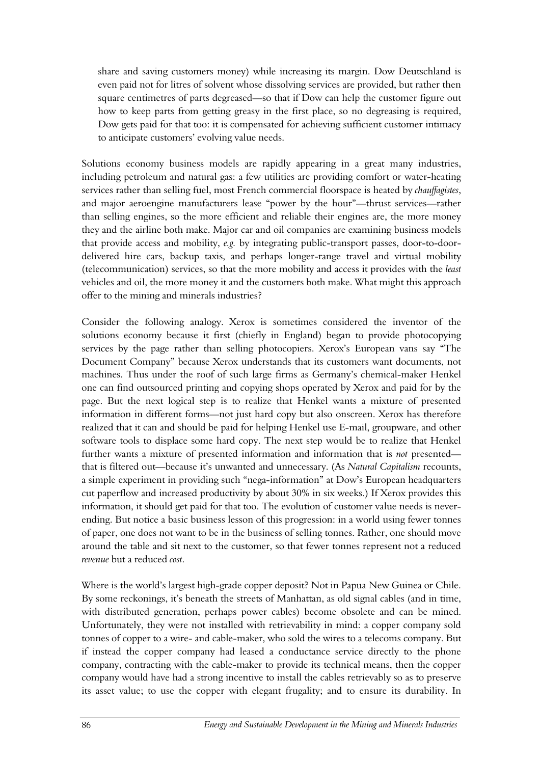share and saving customers money) while increasing its margin. Dow Deutschland is even paid not for litres of solvent whose dissolving services are provided, but rather then square centimetres of parts degreased—so that if Dow can help the customer figure out how to keep parts from getting greasy in the first place, so no degreasing is required, Dow gets paid for that too: it is compensated for achieving sufficient customer intimacy to anticipate customers' evolving value needs.

Solutions economy business models are rapidly appearing in a great many industries, including petroleum and natural gas: a few utilities are providing comfort or water-heating services rather than selling fuel, most French commercial floorspace is heated by *chauffagistes*, and major aeroengine manufacturers lease "power by the hour"—thrust services—rather than selling engines, so the more efficient and reliable their engines are, the more money they and the airline both make. Major car and oil companies are examining business models that provide access and mobility, *e.g.* by integrating public-transport passes, door-to-doordelivered hire cars, backup taxis, and perhaps longer-range travel and virtual mobility (telecommunication) services, so that the more mobility and access it provides with the *least*  vehicles and oil, the more money it and the customers both make. What might this approach offer to the mining and minerals industries?

Consider the following analogy. Xerox is sometimes considered the inventor of the solutions economy because it first (chiefly in England) began to provide photocopying services by the page rather than selling photocopiers. Xerox's European vans say "The Document Company" because Xerox understands that its customers want documents, not machines. Thus under the roof of such large firms as Germany's chemical-maker Henkel one can find outsourced printing and copying shops operated by Xerox and paid for by the page. But the next logical step is to realize that Henkel wants a mixture of presented information in different forms—not just hard copy but also onscreen. Xerox has therefore realized that it can and should be paid for helping Henkel use E-mail, groupware, and other software tools to displace some hard copy. The next step would be to realize that Henkel further wants a mixture of presented information and information that is *not* presented that is filtered out—because it's unwanted and unnecessary. (As *Natural Capitalism* recounts, a simple experiment in providing such "nega-information" at Dow's European headquarters cut paperflow and increased productivity by about 30% in six weeks.) If Xerox provides this information, it should get paid for that too. The evolution of customer value needs is neverending. But notice a basic business lesson of this progression: in a world using fewer tonnes of paper, one does not want to be in the business of selling tonnes. Rather, one should move around the table and sit next to the customer, so that fewer tonnes represent not a reduced *revenue* but a reduced *cost*.

Where is the world's largest high-grade copper deposit? Not in Papua New Guinea or Chile. By some reckonings, it's beneath the streets of Manhattan, as old signal cables (and in time, with distributed generation, perhaps power cables) become obsolete and can be mined. Unfortunately, they were not installed with retrievability in mind: a copper company sold tonnes of copper to a wire- and cable-maker, who sold the wires to a telecoms company. But if instead the copper company had leased a conductance service directly to the phone company, contracting with the cable-maker to provide its technical means, then the copper company would have had a strong incentive to install the cables retrievably so as to preserve its asset value; to use the copper with elegant frugality; and to ensure its durability. In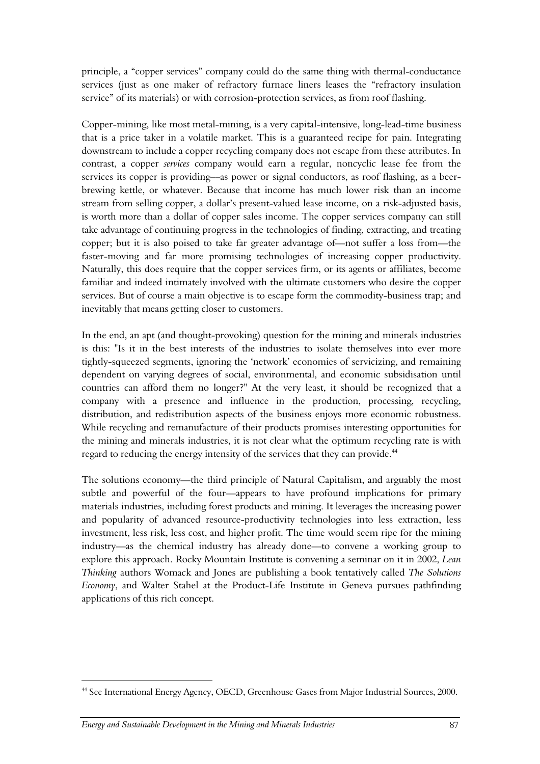principle, a "copper services" company could do the same thing with thermal-conductance services (just as one maker of refractory furnace liners leases the "refractory insulation service" of its materials) or with corrosion-protection services, as from roof flashing.

Copper-mining, like most metal-mining, is a very capital-intensive, long-lead-time business that is a price taker in a volatile market. This is a guaranteed recipe for pain. Integrating downstream to include a copper recycling company does not escape from these attributes. In contrast, a copper *services* company would earn a regular, noncyclic lease fee from the services its copper is providing––as power or signal conductors, as roof flashing, as a beerbrewing kettle, or whatever. Because that income has much lower risk than an income stream from selling copper, a dollar's present-valued lease income, on a risk-adjusted basis, is worth more than a dollar of copper sales income. The copper services company can still take advantage of continuing progress in the technologies of finding, extracting, and treating copper; but it is also poised to take far greater advantage of—not suffer a loss from—the faster-moving and far more promising technologies of increasing copper productivity. Naturally, this does require that the copper services firm, or its agents or affiliates, become familiar and indeed intimately involved with the ultimate customers who desire the copper services. But of course a main objective is to escape form the commodity-business trap; and inevitably that means getting closer to customers.

In the end, an apt (and thought-provoking) question for the mining and minerals industries is this: "Is it in the best interests of the industries to isolate themselves into ever more tightly-squeezed segments, ignoring the 'network' economies of servicizing, and remaining dependent on varying degrees of social, environmental, and economic subsidisation until countries can afford them no longer?" At the very least, it should be recognized that a company with a presence and influence in the production, processing, recycling, distribution, and redistribution aspects of the business enjoys more economic robustness. While recycling and remanufacture of their products promises interesting opportunities for the mining and minerals industries, it is not clear what the optimum recycling rate is with regard to reducing the energy intensity of the services that they can provide.<sup>44</sup>

The solutions economy—the third principle of Natural Capitalism, and arguably the most subtle and powerful of the four—appears to have profound implications for primary materials industries, including forest products and mining. It leverages the increasing power and popularity of advanced resource-productivity technologies into less extraction, less investment, less risk, less cost, and higher profit. The time would seem ripe for the mining industry—as the chemical industry has already done—to convene a working group to explore this approach. Rocky Mountain Institute is convening a seminar on it in 2002, *Lean Thinking* authors Womack and Jones are publishing a book tentatively called *The Solutions Economy*, and Walter Stahel at the Product-Life Institute in Geneva pursues pathfinding applications of this rich concept.

 $\overline{a}$ 

<sup>44</sup> See International Energy Agency, OECD, Greenhouse Gases from Major Industrial Sources, 2000.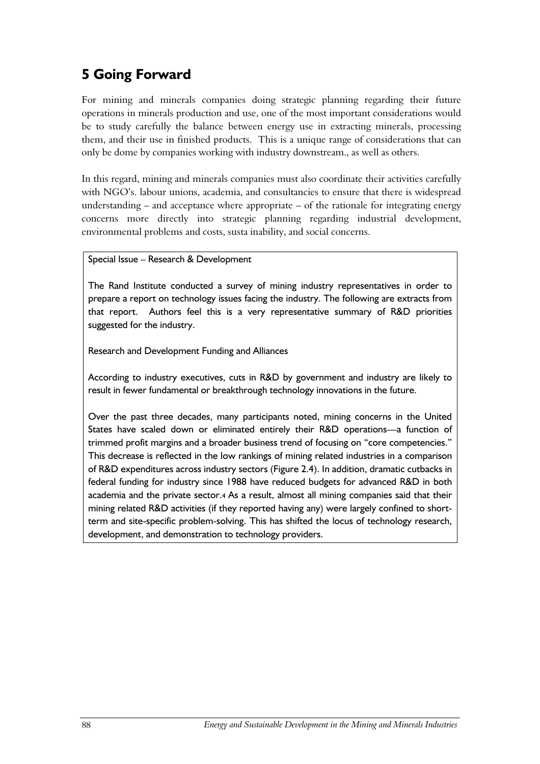# **5 Going Forward**

For mining and minerals companies doing strategic planning regarding their future operations in minerals production and use, one of the most important considerations would be to study carefully the balance between energy use in extracting minerals, processing them, and their use in finished products. This is a unique range of considerations that can only be dome by companies working with industry downstream., as well as others.

In this regard, mining and minerals companies must also coordinate their activities carefully with NGO's. labour unions, academia, and consultancies to ensure that there is widespread understanding – and acceptance where appropriate – of the rationale for integrating energy concerns more directly into strategic planning regarding industrial development, environmental problems and costs, susta inability, and social concerns.

#### Special Issue – Research & Development

The Rand Institute conducted a survey of mining industry representatives in order to prepare a report on technology issues facing the industry. The following are extracts from that report. Authors feel this is a very representative summary of R&D priorities suggested for the industry.

Research and Development Funding and Alliances

According to industry executives, cuts in R&D by government and industry are likely to result in fewer fundamental or breakthrough technology innovations in the future.

Over the past three decades, many participants noted, mining concerns in the United States have scaled down or eliminated entirely their R&D operations—a function of trimmed profit margins and a broader business trend of focusing on "core competencies." This decrease is reflected in the low rankings of mining related industries in a comparison of R&D expenditures across industry sectors (Figure 2.4). In addition, dramatic cutbacks in federal funding for industry since 1988 have reduced budgets for advanced R&D in both academia and the private sector.4 As a result, almost all mining companies said that their mining related R&D activities (if they reported having any) were largely confined to shortterm and site-specific problem-solving. This has shifted the locus of technology research, development, and demonstration to technology providers.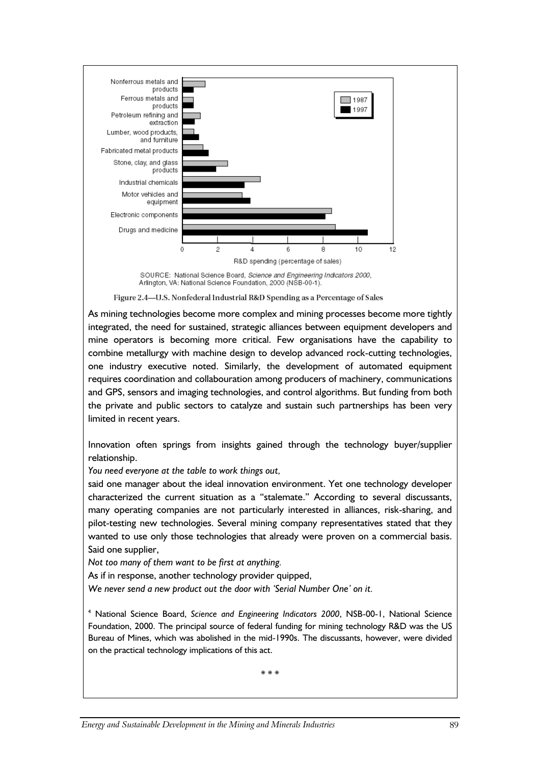

Arlington, VA: National Science Foundation, 2000 (NSB-00-1).

Figure 2.4-U.S. Nonfederal Industrial R&D Spending as a Percentage of Sales

As mining technologies become more complex and mining processes become more tightly integrated, the need for sustained, strategic alliances between equipment developers and mine operators is becoming more critical. Few organisations have the capability to combine metallurgy with machine design to develop advanced rock-cutting technologies, one industry executive noted. Similarly, the development of automated equipment requires coordination and collabouration among producers of machinery, communications and GPS, sensors and imaging technologies, and control algorithms. But funding from both the private and public sectors to catalyze and sustain such partnerships has been very limited in recent years.

Innovation often springs from insights gained through the technology buyer/supplier relationship.

*You need everyone at the table to work things out,* 

said one manager about the ideal innovation environment. Yet one technology developer characterized the current situation as a "stalemate." According to several discussants, many operating companies are not particularly interested in alliances, risk-sharing, and pilot-testing new technologies. Several mining company representatives stated that they wanted to use only those technologies that already were proven on a commercial basis. Said one supplier,

*Not too many of them want to be first at anything.* 

As if in response, another technology provider quipped,

*We never send a new product out the door with 'Serial Number One' on it.* 

4 National Science Board, *Science and Engineering Indicators 2000*, NSB-00-1, National Science Foundation, 2000. The principal source of federal funding for mining technology R&D was the US Bureau of Mines, which was abolished in the mid-1990s. The discussants, however, were divided on the practical technology implications of this act.

\* \* \*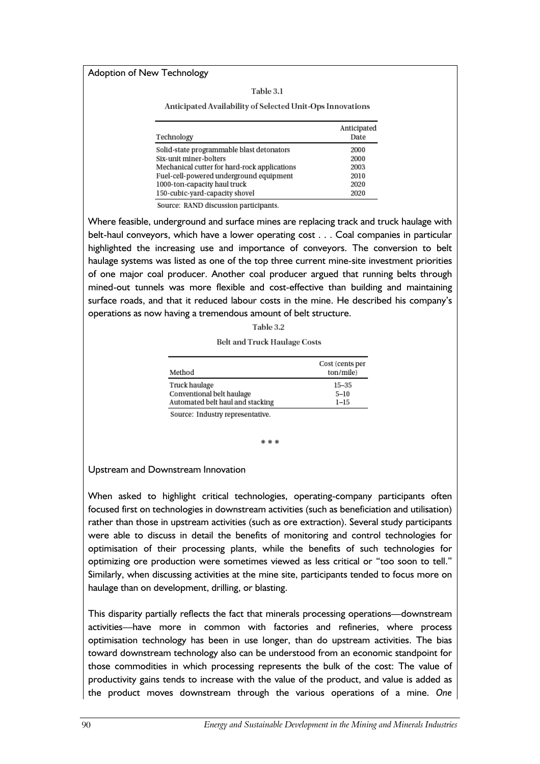#### Adoption of New Technology

#### Table 3.1

Anticipated Availability of Selected Unit-Ops Innovations

| Technology                                   | Anticipated<br>Date |
|----------------------------------------------|---------------------|
| Solid-state programmable blast detonators    | 2000                |
| Six-unit miner-bolters                       | 2000                |
| Mechanical cutter for hard-rock applications | 2003                |
| Fuel-cell-powered underground equipment      | 2010                |
| 1000-ton-capacity haul truck                 | 2020                |
| 150-cubic-yard-capacity shovel               | 2020                |

Source: RAND discussion participants.

Where feasible, underground and surface mines are replacing track and truck haulage with belt-haul conveyors, which have a lower operating cost . . . Coal companies in particular highlighted the increasing use and importance of conveyors. The conversion to belt haulage systems was listed as one of the top three current mine-site investment priorities of one major coal producer. Another coal producer argued that running belts through mined-out tunnels was more flexible and cost-effective than building and maintaining surface roads, and that it reduced labour costs in the mine. He described his company's operations as now having a tremendous amount of belt structure.

| Table 3.2 |  |  |
|-----------|--|--|
|           |  |  |

#### **Belt and Truck Haulage Costs**

| Method                           | Cost (cents per<br>ton/mile) |
|----------------------------------|------------------------------|
| Truck haulage                    | 15–35                        |
| Conventional belt haulage        | $5 - 10$                     |
| Automated belt haul and stacking | $1 - 15$                     |

Source: Industry representative.

\* \* \*

Upstream and Downstream Innovation

When asked to highlight critical technologies, operating-company participants often focused first on technologies in downstream activities (such as beneficiation and utilisation) rather than those in upstream activities (such as ore extraction). Several study participants were able to discuss in detail the benefits of monitoring and control technologies for optimisation of their processing plants, while the benefits of such technologies for optimizing ore production were sometimes viewed as less critical or "too soon to tell." Similarly, when discussing activities at the mine site, participants tended to focus more on haulage than on development, drilling, or blasting.

This disparity partially reflects the fact that minerals processing operations—downstream activities—have more in common with factories and refineries, where process optimisation technology has been in use longer, than do upstream activities. The bias toward downstream technology also can be understood from an economic standpoint for those commodities in which processing represents the bulk of the cost: The value of productivity gains tends to increase with the value of the product, and value is added as the product moves downstream through the various operations of a mine. *One*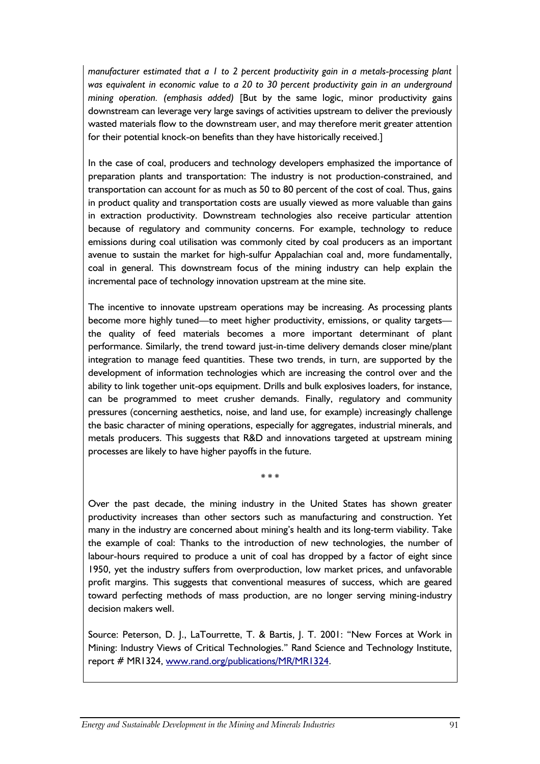*manufacturer estimated that a 1 to 2 percent productivity gain in a metals-processing plant was equivalent in economic value to a 20 to 30 percent productivity gain in an underground mining operation. (emphasis added)* [But by the same logic, minor productivity gains downstream can leverage very large savings of activities upstream to deliver the previously wasted materials flow to the downstream user, and may therefore merit greater attention for their potential knock-on benefits than they have historically received.]

In the case of coal, producers and technology developers emphasized the importance of preparation plants and transportation: The industry is not production-constrained, and transportation can account for as much as 50 to 80 percent of the cost of coal. Thus, gains in product quality and transportation costs are usually viewed as more valuable than gains in extraction productivity. Downstream technologies also receive particular attention because of regulatory and community concerns. For example, technology to reduce emissions during coal utilisation was commonly cited by coal producers as an important avenue to sustain the market for high-sulfur Appalachian coal and, more fundamentally, coal in general. This downstream focus of the mining industry can help explain the incremental pace of technology innovation upstream at the mine site.

The incentive to innovate upstream operations may be increasing. As processing plants become more highly tuned—to meet higher productivity, emissions, or quality targets the quality of feed materials becomes a more important determinant of plant performance. Similarly, the trend toward just-in-time delivery demands closer mine/plant integration to manage feed quantities. These two trends, in turn, are supported by the development of information technologies which are increasing the control over and the ability to link together unit-ops equipment. Drills and bulk explosives loaders, for instance, can be programmed to meet crusher demands. Finally, regulatory and community pressures (concerning aesthetics, noise, and land use, for example) increasingly challenge the basic character of mining operations, especially for aggregates, industrial minerals, and metals producers. This suggests that R&D and innovations targeted at upstream mining processes are likely to have higher payoffs in the future.

\* \* \*

Over the past decade, the mining industry in the United States has shown greater productivity increases than other sectors such as manufacturing and construction. Yet many in the industry are concerned about mining's health and its long-term viability. Take the example of coal: Thanks to the introduction of new technologies, the number of labour-hours required to produce a unit of coal has dropped by a factor of eight since 1950, yet the industry suffers from overproduction, low market prices, and unfavorable profit margins. This suggests that conventional measures of success, which are geared toward perfecting methods of mass production, are no longer serving mining-industry decision makers well.

Source: Peterson, D. J., LaTourrette, T. & Bartis, J. T. 2001: "New Forces at Work in Mining: Industry Views of Critical Technologies." Rand Science and Technology Institute, report # MR1324, www.rand.org/publications/MR/MR1324.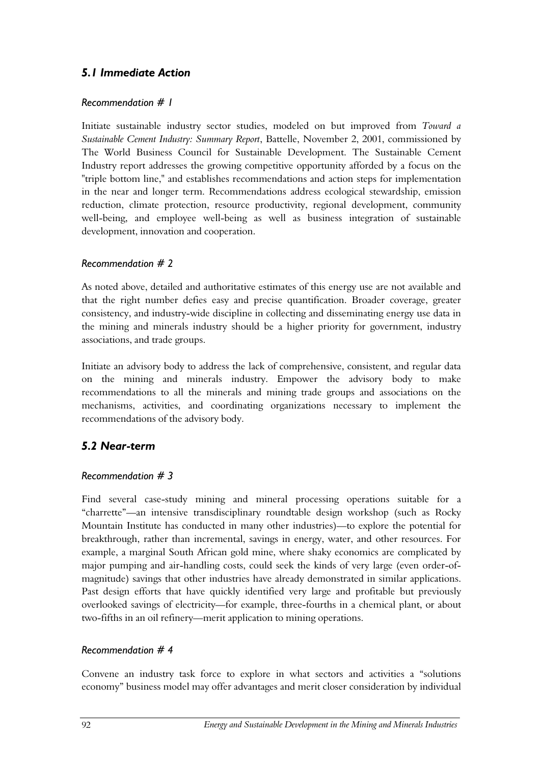## *5.1 Immediate Action*

### *Recommendation # 1*

Initiate sustainable industry sector studies, modeled on but improved from *Toward a Sustainable Cement Industry: Summary Report*, Battelle, November 2, 2001, commissioned by The World Business Council for Sustainable Development. The Sustainable Cement Industry report addresses the growing competitive opportunity afforded by a focus on the "triple bottom line," and establishes recommendations and action steps for implementation in the near and longer term. Recommendations address ecological stewardship, emission reduction, climate protection, resource productivity, regional development, community well-being, and employee well-being as well as business integration of sustainable development, innovation and cooperation.

### *Recommendation # 2*

As noted above, detailed and authoritative estimates of this energy use are not available and that the right number defies easy and precise quantification. Broader coverage, greater consistency, and industry-wide discipline in collecting and disseminating energy use data in the mining and minerals industry should be a higher priority for government, industry associations, and trade groups.

Initiate an advisory body to address the lack of comprehensive, consistent, and regular data on the mining and minerals industry. Empower the advisory body to make recommendations to all the minerals and mining trade groups and associations on the mechanisms, activities, and coordinating organizations necessary to implement the recommendations of the advisory body.

## *5.2 Near-term*

#### *Recommendation # 3*

Find several case-study mining and mineral processing operations suitable for a "charrette"—an intensive transdisciplinary roundtable design workshop (such as Rocky Mountain Institute has conducted in many other industries)—to explore the potential for breakthrough, rather than incremental, savings in energy, water, and other resources. For example, a marginal South African gold mine, where shaky economics are complicated by major pumping and air-handling costs, could seek the kinds of very large (even order-ofmagnitude) savings that other industries have already demonstrated in similar applications. Past design efforts that have quickly identified very large and profitable but previously overlooked savings of electricity—for example, three-fourths in a chemical plant, or about two-fifths in an oil refinery—merit application to mining operations.

### *Recommendation # 4*

Convene an industry task force to explore in what sectors and activities a "solutions economy" business model may offer advantages and merit closer consideration by individual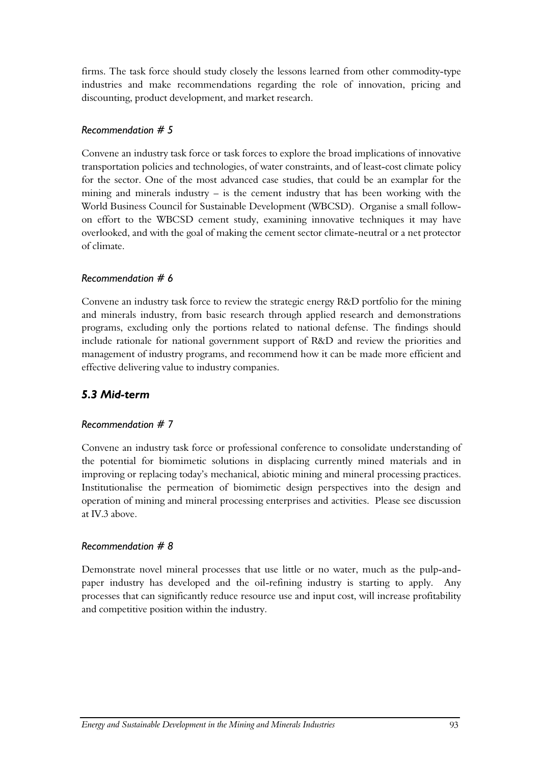firms. The task force should study closely the lessons learned from other commodity-type industries and make recommendations regarding the role of innovation, pricing and discounting, product development, and market research.

### *Recommendation # 5*

Convene an industry task force or task forces to explore the broad implications of innovative transportation policies and technologies, of water constraints, and of least-cost climate policy for the sector. One of the most advanced case studies, that could be an examplar for the mining and minerals industry – is the cement industry that has been working with the World Business Council for Sustainable Development (WBCSD). Organise a small followon effort to the WBCSD cement study, examining innovative techniques it may have overlooked, and with the goal of making the cement sector climate-neutral or a net protector of climate.

#### *Recommendation # 6*

Convene an industry task force to review the strategic energy R&D portfolio for the mining and minerals industry, from basic research through applied research and demonstrations programs, excluding only the portions related to national defense. The findings should include rationale for national government support of R&D and review the priorities and management of industry programs, and recommend how it can be made more efficient and effective delivering value to industry companies.

## *5.3 Mid-term*

### *Recommendation # 7*

Convene an industry task force or professional conference to consolidate understanding of the potential for biomimetic solutions in displacing currently mined materials and in improving or replacing today's mechanical, abiotic mining and mineral processing practices. Institutionalise the permeation of biomimetic design perspectives into the design and operation of mining and mineral processing enterprises and activities. Please see discussion at IV.3 above.

#### *Recommendation # 8*

Demonstrate novel mineral processes that use little or no water, much as the pulp-andpaper industry has developed and the oil-refining industry is starting to apply. Any processes that can significantly reduce resource use and input cost, will increase profitability and competitive position within the industry.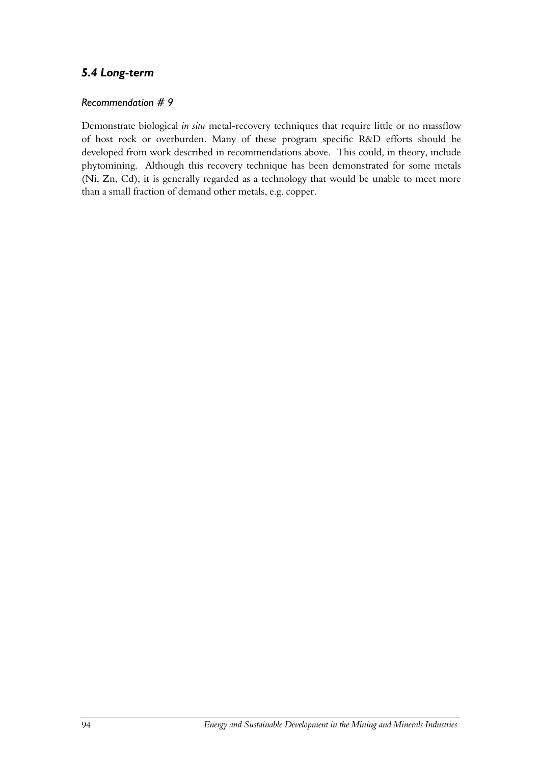## *5.4 Long-term*

## *Recommendation # 9*

Demonstrate biological *in situ* metal-recovery techniques that require little or no massflow of host rock or overburden. Many of these program specific R&D efforts should be developed from work described in recommendations above. This could, in theory, include phytomining. Although this recovery technique has been demonstrated for some metals (Ni, Zn, Cd), it is generally regarded as a technology that would be unable to meet more than a small fraction of demand other metals, e.g. copper.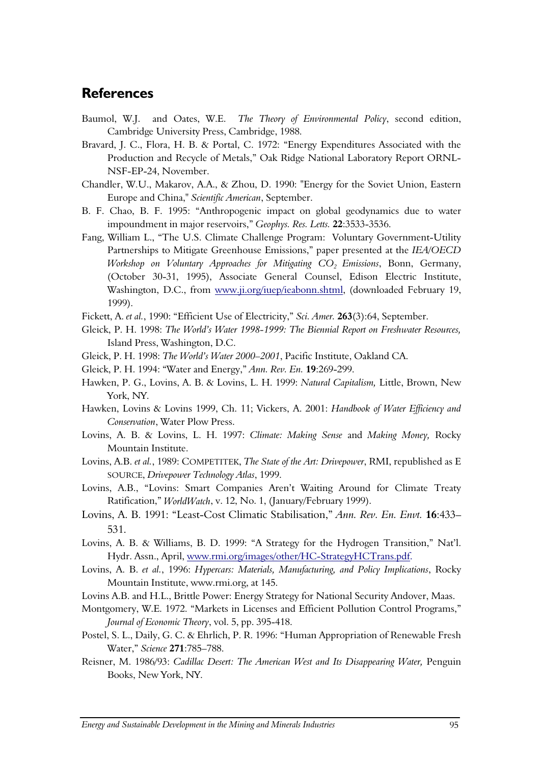## **References**

- Baumol, W.J. and Oates, W.E. *The Theory of Environmental Policy*, second edition, Cambridge University Press, Cambridge, 1988.
- Bravard, J. C., Flora, H. B. & Portal, C. 1972: "Energy Expenditures Associated with the Production and Recycle of Metals," Oak Ridge National Laboratory Report ORNL-NSF-EP-24, November.
- Chandler, W.U., Makarov, A.A., & Zhou, D. 1990: "Energy for the Soviet Union, Eastern Europe and China," *Scientific American*, September.
- B. F. Chao, B. F. 1995: "Anthropogenic impact on global geodynamics due to water impoundment in major reservoirs," *Geophys. Res. Letts.* **22**:3533-3536.
- Fang, William L., "The U.S. Climate Challenge Program: Voluntary Government-Utility Partnerships to Mitigate Greenhouse Emissions," paper presented at the *IEA/OECD Workshop on Voluntary Approaches for Mitigating CO<sub>2</sub> Emissions*, Bonn, Germany, (October 30-31, 1995), Associate General Counsel, Edison Electric Institute, Washington, D.C., from [www.ji.org/iuep/ieabonn.shtml,](http://www.ji.org/iuep/ieabonn.shtml) (downloaded February 19, 1999).
- Fickett, A. *et al.*, 1990: "Efficient Use of Electricity," *Sci. Amer.* **263**(3):64, September.
- Gleick, P. H. 1998: *The World's Water 1998-1999: The Biennial Report on Freshwater Resources,* Island Press, Washington, D.C.
- Gleick, P. H. 1998: *The World's Water 2000–2001*, Pacific Institute, Oakland CA.
- Gleick, P. H. 1994: "Water and Energy," *Ann. Rev. En.* **19**:269-299.
- Hawken, P. G., Lovins, A. B. & Lovins, L. H. 1999: *Natural Capitalism,* Little, Brown, New York, NY.
- Hawken, Lovins & Lovins 1999, Ch. 11; Vickers, A. 2001: *Handbook of Water Efficiency and Conservation*, Water Plow Press.
- Lovins, A. B. & Lovins, L. H. 1997: *Climate: Making Sense* and *Making Money,* Rocky Mountain Institute.
- Lovins, A.B. *et al.*, 1989: COMPETITEK, *The State of the Art: Drivepower*, RMI, republished as E SOURCE, *Drivepower Technology Atlas*, 1999.
- Lovins, A.B., "Lovins: Smart Companies Aren't Waiting Around for Climate Treaty Ratification," *WorldWatch*, v. 12, No. 1, (January/February 1999).
- Lovins, A. B. 1991: "Least-Cost Climatic Stabilisation," *Ann. Rev. En. Envt.* **16**:433– 531.
- Lovins, A. B. & Williams, B. D. 1999: "A Strategy for the Hydrogen Transition," Nat'l. Hydr. Assn., April, [www.rmi.org/images/other/HC-StrategyHCTrans.pdf.](http://www.rmi.org/images/other/HC-StrategyHCTrans.pdf)
- Lovins, A. B. *et al.*, 1996: *Hypercars: Materials, Manufacturing, and Policy Implications*, Rocky Mountain Institute, www.rmi.org, at 145.
- Lovins A.B. and H.L., Brittle Power: Energy Strategy for National Security Andover, Maas.
- Montgomery, W.E. 1972. "Markets in Licenses and Efficient Pollution Control Programs," *Journal of Economic Theory*, vol. 5, pp. 395-418.
- Postel, S. L., Daily, G. C. & Ehrlich, P. R. 1996: "Human Appropriation of Renewable Fresh Water," *Science* **271**:785–788.
- Reisner, M. 1986/93: *Cadillac Desert: The American West and Its Disappearing Water,* Penguin Books, New York, NY.